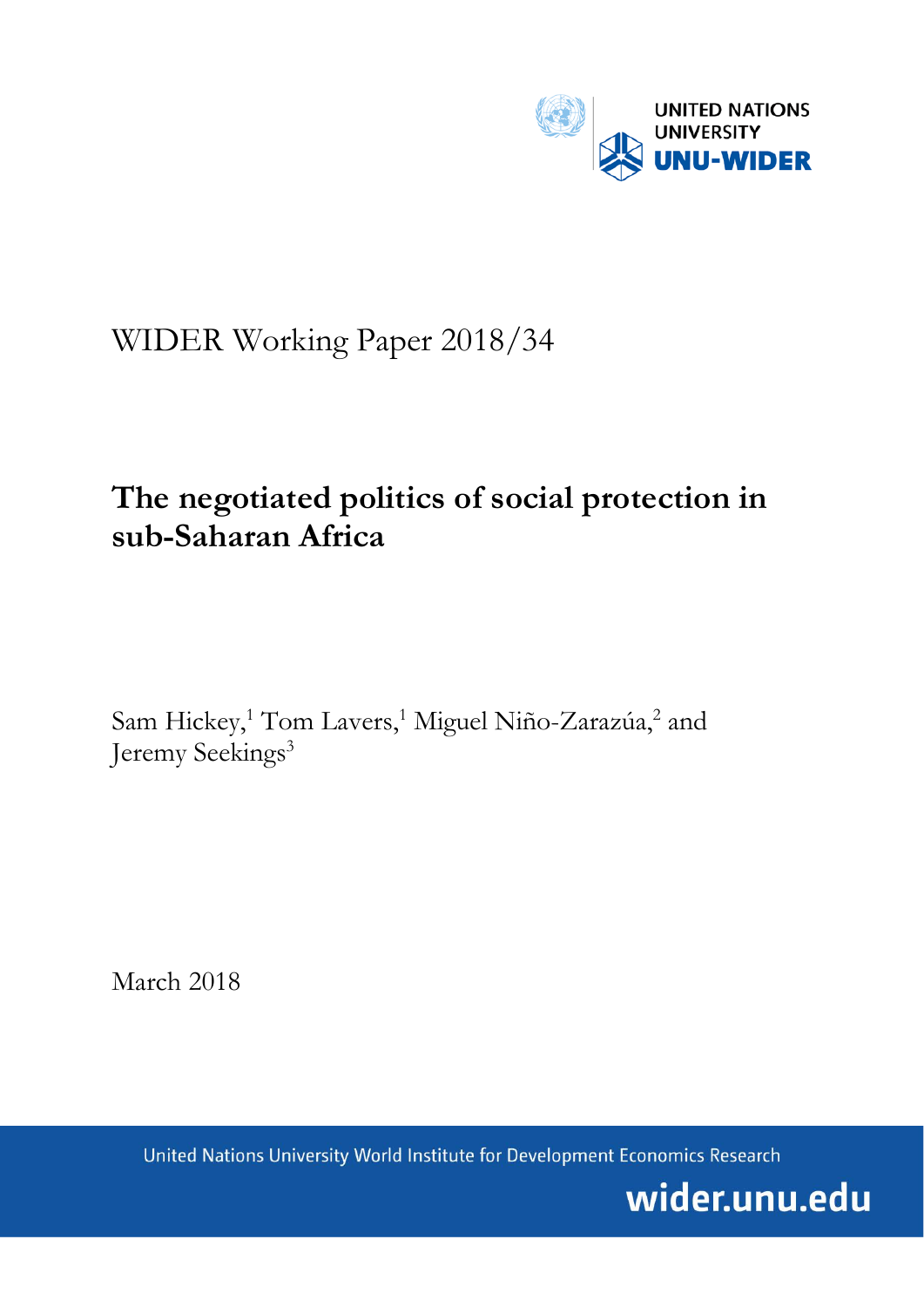

# WIDER Working Paper 2018/34

# **The negotiated politics of social protection in sub-Saharan Africa**

Sam Hickey,<sup>1</sup> Tom Lavers,<sup>1</sup> Miguel Niño-Zarazúa,<sup>2</sup> and Jeremy Seekings<sup>3</sup>

March 2018

United Nations University World Institute for Development Economics Research

wider.unu.edu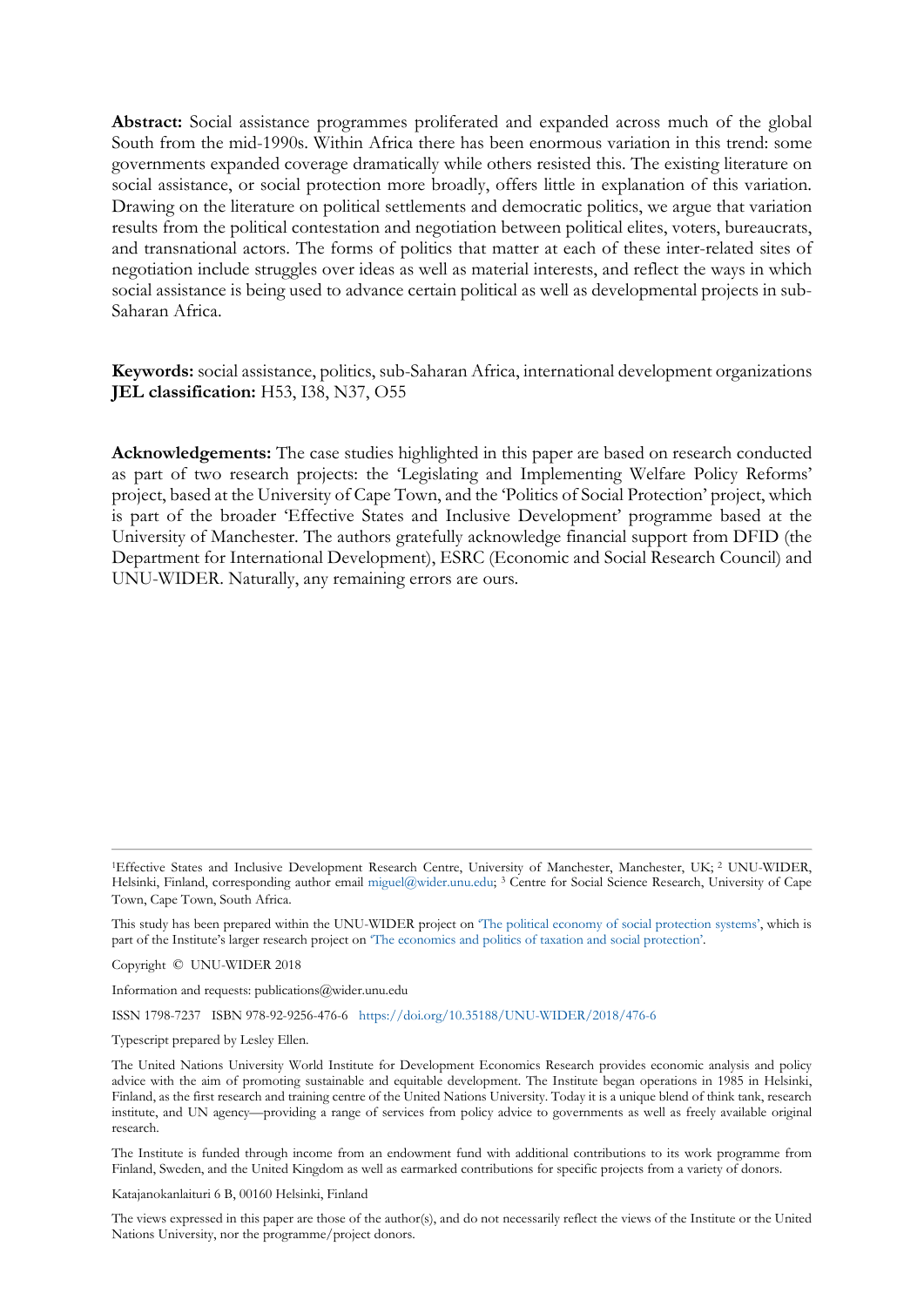**Abstract:** Social assistance programmes proliferated and expanded across much of the global South from the mid-1990s. Within Africa there has been enormous variation in this trend: some governments expanded coverage dramatically while others resisted this. The existing literature on social assistance, or social protection more broadly, offers little in explanation of this variation. Drawing on the literature on political settlements and democratic politics, we argue that variation results from the political contestation and negotiation between political elites, voters, bureaucrats, and transnational actors. The forms of politics that matter at each of these inter-related sites of negotiation include struggles over ideas as well as material interests, and reflect the ways in which social assistance is being used to advance certain political as well as developmental projects in sub-Saharan Africa.

**Keywords:** social assistance, politics, sub-Saharan Africa, international development organizations **JEL classification:** H53, I38, N37, O55

**Acknowledgements:** The case studies highlighted in this paper are based on research conducted as part of two research projects: the 'Legislating and Implementing Welfare Policy Reforms' project, based at the University of Cape Town, and the 'Politics of Social Protection' project, which is part of the broader 'Effective States and Inclusive Development' programme based at the University of Manchester. The authors gratefully acknowledge financial support from DFID (the Department for International Development), ESRC (Economic and Social Research Council) and UNU-WIDER. Naturally, any remaining errors are ours.

<sup>1</sup>Effective States and Inclusive Development Research Centre, University of Manchester, Manchester, UK; <sup>2</sup> UNU-WIDER, Helsinki, Finland, corresponding author email [miguel@wider.unu.edu;](mailto:miguel@wider.unu.edu) <sup>3</sup> Centre for Social Science Research, University of Cape Town, Cape Town, South Africa.

This study has been prepared within the UNU-WIDER project on ['The political economy of social protection systems',](https://www.wider.unu.edu/node/479) which is part of the Institute's larger research project on 'The economics and [politics of taxation and social protection'.](https://www.wider.unu.edu/node/367)

Copyright © UNU-WIDER 2018

Information and requests: publications@wider.unu.edu

ISSN 1798-7237 ISBN 978-92-9256-476-6 <https://doi.org/10.35188/UNU-WIDER/2018/476-6>

Typescript prepared by Lesley Ellen.

The United Nations University World Institute for Development Economics Research provides economic analysis and policy advice with the aim of promoting sustainable and equitable development. The Institute began operations in 1985 in Helsinki, Finland, as the first research and training centre of the United Nations University. Today it is a unique blend of think tank, research institute, and UN agency—providing a range of services from policy advice to governments as well as freely available original research.

The Institute is funded through income from an endowment fund with additional contributions to its work programme from Finland, Sweden, and the United Kingdom as well as earmarked contributions for specific projects from a variety of donors.

Katajanokanlaituri 6 B, 00160 Helsinki, Finland

The views expressed in this paper are those of the author(s), and do not necessarily reflect the views of the Institute or the United Nations University, nor the programme/project donors.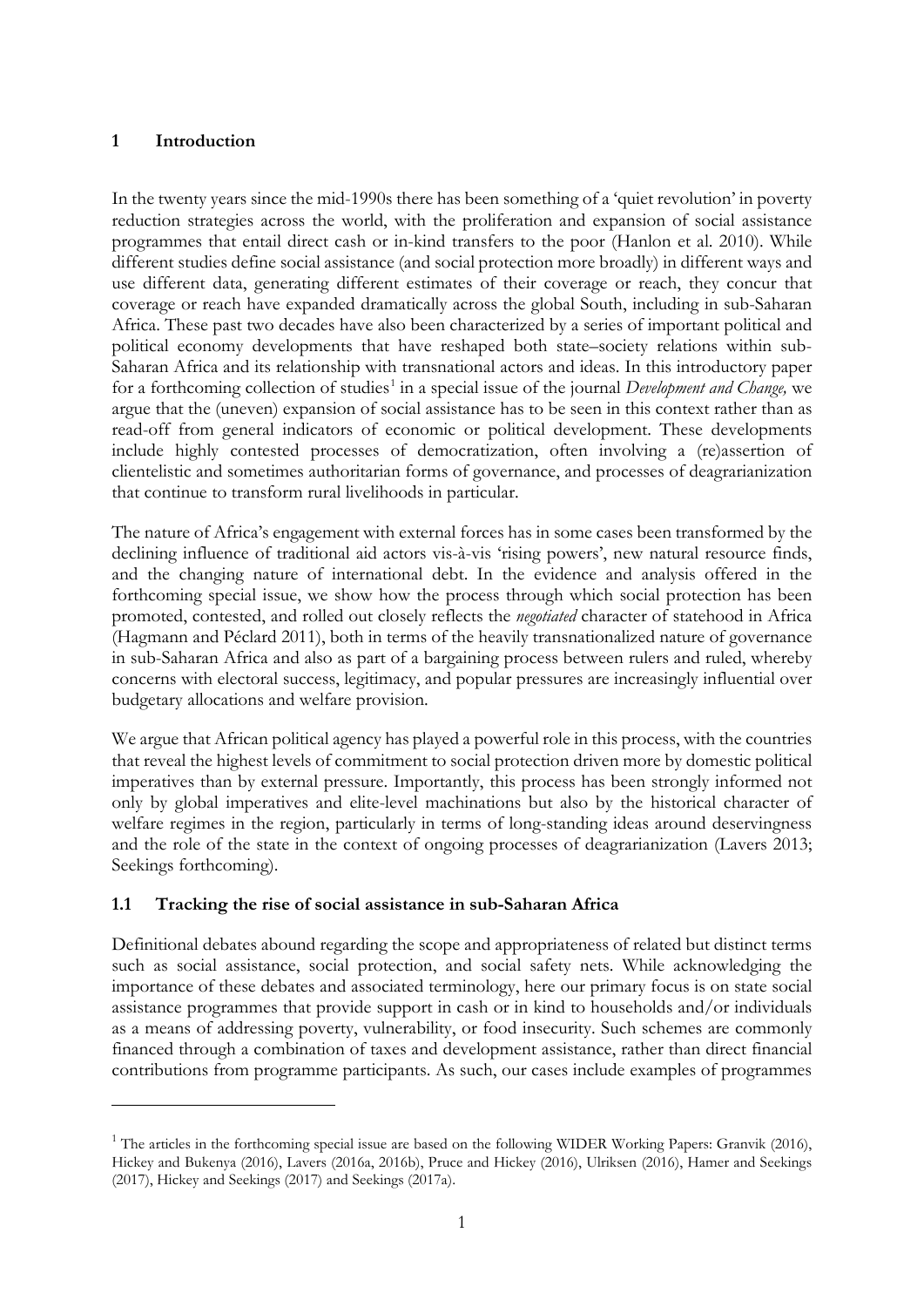### **1 Introduction**

-

In the twenty years since the mid-1990s there has been something of a 'quiet revolution' in poverty reduction strategies across the world, with the proliferation and expansion of social assistance programmes that entail direct cash or in-kind transfers to the poor (Hanlon et al. 2010). While different studies define social assistance (and social protection more broadly) in different ways and use different data, generating different estimates of their coverage or reach, they concur that coverage or reach have expanded dramatically across the global South, including in sub-Saharan Africa. These past two decades have also been characterized by a series of important political and political economy developments that have reshaped both state–society relations within sub-Saharan Africa and its relationship with transnational actors and ideas. In this introductory paper for a forthcoming collection of studies<sup>[1](#page-2-0)</sup> in a special issue of the journal *Development and Change*, we argue that the (uneven) expansion of social assistance has to be seen in this context rather than as read-off from general indicators of economic or political development. These developments include highly contested processes of democratization, often involving a (re)assertion of clientelistic and sometimes authoritarian forms of governance, and processes of deagrarianization that continue to transform rural livelihoods in particular.

The nature of Africa's engagement with external forces has in some cases been transformed by the declining influence of traditional aid actors vis-à-vis 'rising powers', new natural resource finds, and the changing nature of international debt. In the evidence and analysis offered in the forthcoming special issue, we show how the process through which social protection has been promoted, contested, and rolled out closely reflects the *negotiated* character of statehood in Africa (Hagmann and Péclard 2011), both in terms of the heavily transnationalized nature of governance in sub-Saharan Africa and also as part of a bargaining process between rulers and ruled, whereby concerns with electoral success, legitimacy, and popular pressures are increasingly influential over budgetary allocations and welfare provision.

We argue that African political agency has played a powerful role in this process, with the countries that reveal the highest levels of commitment to social protection driven more by domestic political imperatives than by external pressure. Importantly, this process has been strongly informed not only by global imperatives and elite-level machinations but also by the historical character of welfare regimes in the region, particularly in terms of long-standing ideas around deservingness and the role of the state in the context of ongoing processes of deagrarianization (Lavers 2013; Seekings forthcoming).

### **1.1 Tracking the rise of social assistance in sub-Saharan Africa**

Definitional debates abound regarding the scope and appropriateness of related but distinct terms such as social assistance, social protection, and social safety nets. While acknowledging the importance of these debates and associated terminology, here our primary focus is on state social assistance programmes that provide support in cash or in kind to households and/or individuals as a means of addressing poverty, vulnerability, or food insecurity. Such schemes are commonly financed through a combination of taxes and development assistance, rather than direct financial contributions from programme participants. As such, our cases include examples of programmes

<span id="page-2-0"></span><sup>&</sup>lt;sup>1</sup> The articles in the forthcoming special issue are based on the following WIDER Working Papers: Granvik (2016), Hickey and Bukenya (2016), Lavers (2016a, 2016b), Pruce and Hickey (2016), Ulriksen (2016), Hamer and Seekings (2017), Hickey and Seekings (2017) and Seekings (2017a).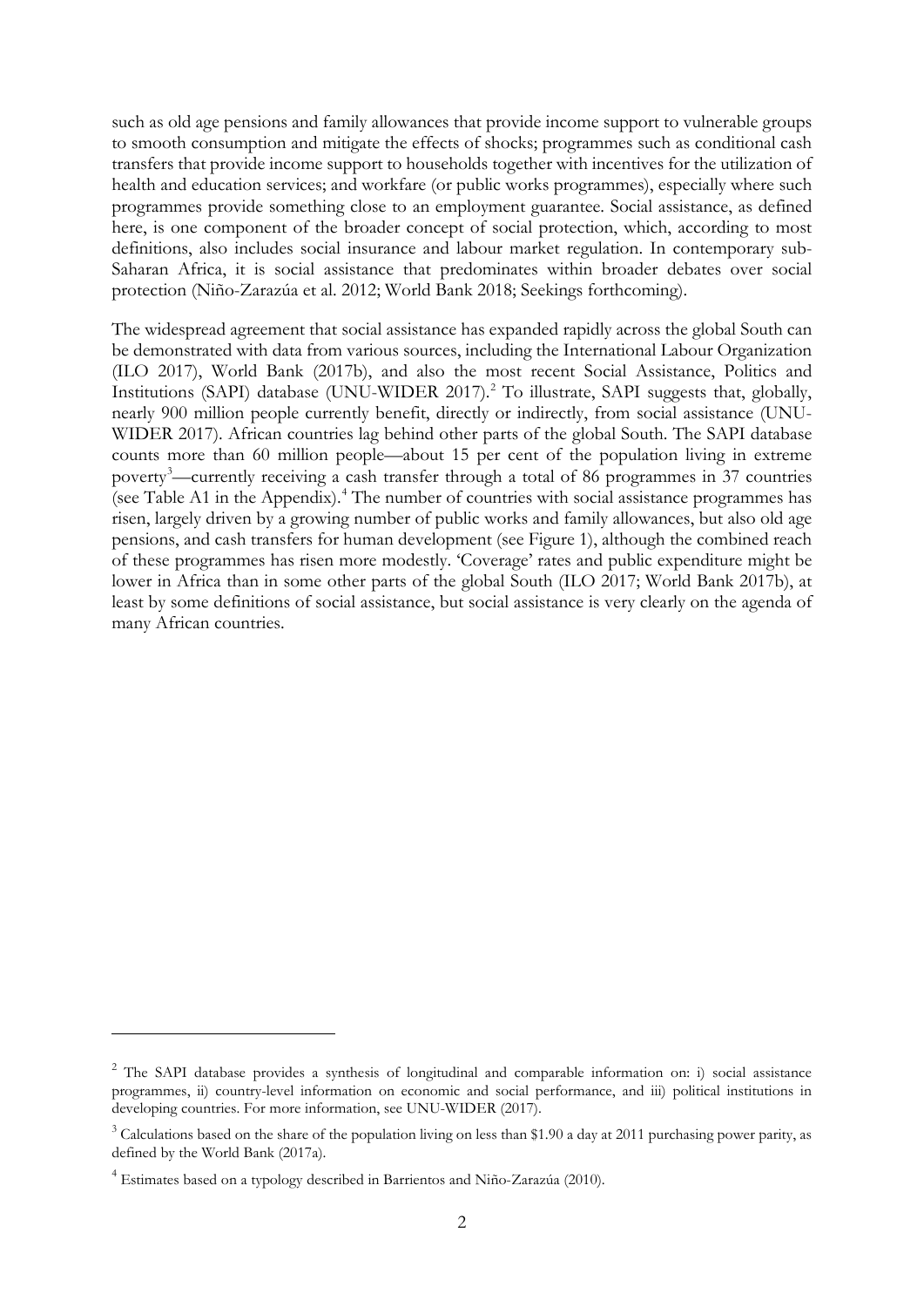such as old age pensions and family allowances that provide income support to vulnerable groups to smooth consumption and mitigate the effects of shocks; programmes such as conditional cash transfers that provide income support to households together with incentives for the utilization of health and education services; and workfare (or public works programmes), especially where such programmes provide something close to an employment guarantee. Social assistance, as defined here, is one component of the broader concept of social protection, which, according to most definitions, also includes social insurance and labour market regulation. In contemporary sub-Saharan Africa, it is social assistance that predominates within broader debates over social protection (Niño-Zarazúa et al. 2012; World Bank 2018; Seekings forthcoming).

The widespread agreement that social assistance has expanded rapidly across the global South can be demonstrated with data from various sources, including the International Labour Organization (ILO 2017), World Bank (2017b), and also the most recent Social Assistance, Politics and Institutions (SAPI) database (UNU-WIDER 2017). [2](#page-3-0) To illustrate, SAPI suggests that, globally, nearly 900 million people currently benefit, directly or indirectly, from social assistance (UNU-WIDER 2017). African countries lag behind other parts of the global South. The SAPI database counts more than 60 million people—about 15 per cent of the population living in extreme poverty<sup>[3](#page-3-1)</sup>—currently receiving a cash transfer through a total of 86 programmes in 37 countries (see Table A1 in the Appendix).[4](#page-3-2) The number of countries with social assistance programmes has risen, largely driven by a growing number of public works and family allowances, but also old age pensions, and cash transfers for human development (see Figure 1), although the combined reach of these programmes has risen more modestly. 'Coverage' rates and public expenditure might be lower in Africa than in some other parts of the global South (ILO 2017; World Bank 2017b), at least by some definitions of social assistance, but social assistance is very clearly on the agenda of many African countries.

-

<span id="page-3-0"></span><sup>2</sup> The SAPI database provides a synthesis of longitudinal and comparable information on: i) social assistance programmes, ii) country-level information on economic and social performance, and iii) political institutions in developing countries. For more information, see UNU-WIDER (2017).

<span id="page-3-1"></span> $3$  Calculations based on the share of the population living on less than \$1.90 a day at 2011 purchasing power parity, as defined by the World Bank (2017a).

<span id="page-3-2"></span><sup>4</sup> Estimates based on a typology described in Barrientos and Niño-Zarazúa (2010).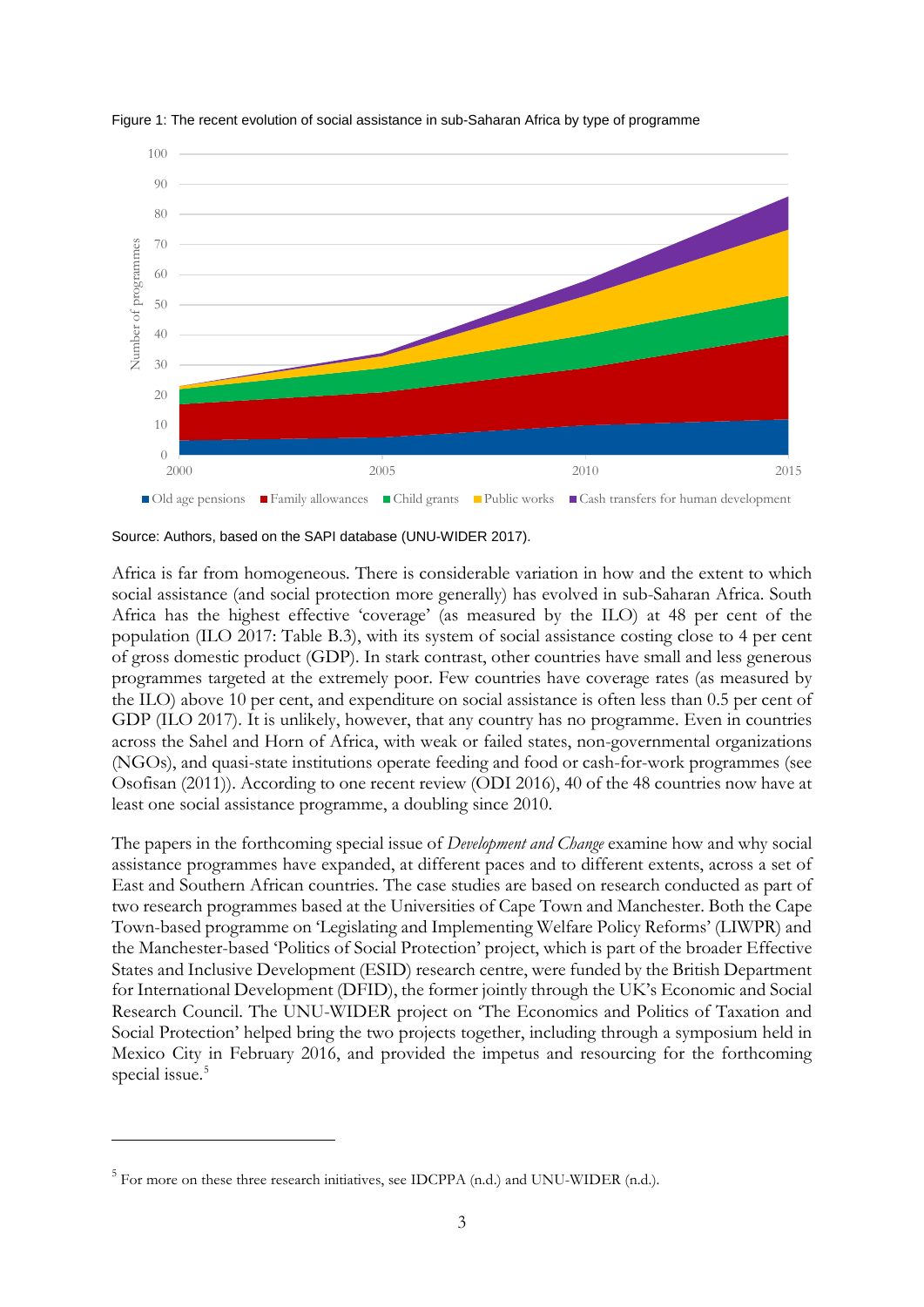



Africa is far from homogeneous. There is considerable variation in how and the extent to which social assistance (and social protection more generally) has evolved in sub-Saharan Africa. South Africa has the highest effective 'coverage' (as measured by the ILO) at 48 per cent of the population (ILO 2017: Table B.3), with its system of social assistance costing close to 4 per cent of gross domestic product (GDP). In stark contrast, other countries have small and less generous programmes targeted at the extremely poor. Few countries have coverage rates (as measured by the ILO) above 10 per cent, and expenditure on social assistance is often less than 0.5 per cent of GDP (ILO 2017). It is unlikely, however, that any country has no programme. Even in countries across the Sahel and Horn of Africa, with weak or failed states, non-governmental organizations (NGOs), and quasi-state institutions operate feeding and food or cash-for-work programmes (see Osofisan (2011)). According to one recent review (ODI 2016), 40 of the 48 countries now have at least one social assistance programme, a doubling since 2010.

The papers in the forthcoming special issue of *Development and Change* examine how and why social assistance programmes have expanded, at different paces and to different extents, across a set of East and Southern African countries. The case studies are based on research conducted as part of two research programmes based at the Universities of Cape Town and Manchester. Both the Cape Town-based programme on 'Legislating and Implementing Welfare Policy Reforms' (LIWPR) and the Manchester-based 'Politics of Social Protection' project, which is part of the broader Effective States and Inclusive Development (ESID) research centre, were funded by the British Department for International Development (DFID), the former jointly through the UK's Economic and Social Research Council. The UNU-WIDER project on 'The Economics and Politics of Taxation and Social Protection' helped bring the two projects together, including through a symposium held in Mexico City in February 2016, and provided the impetus and resourcing for the forthcoming special issue.<sup>[5](#page-4-0)</sup>

-

Source: Authors, based on the SAPI database (UNU-WIDER 2017).

<span id="page-4-0"></span><sup>5</sup> For more on these three research initiatives, see IDCPPA (n.d.) and UNU-WIDER (n.d.).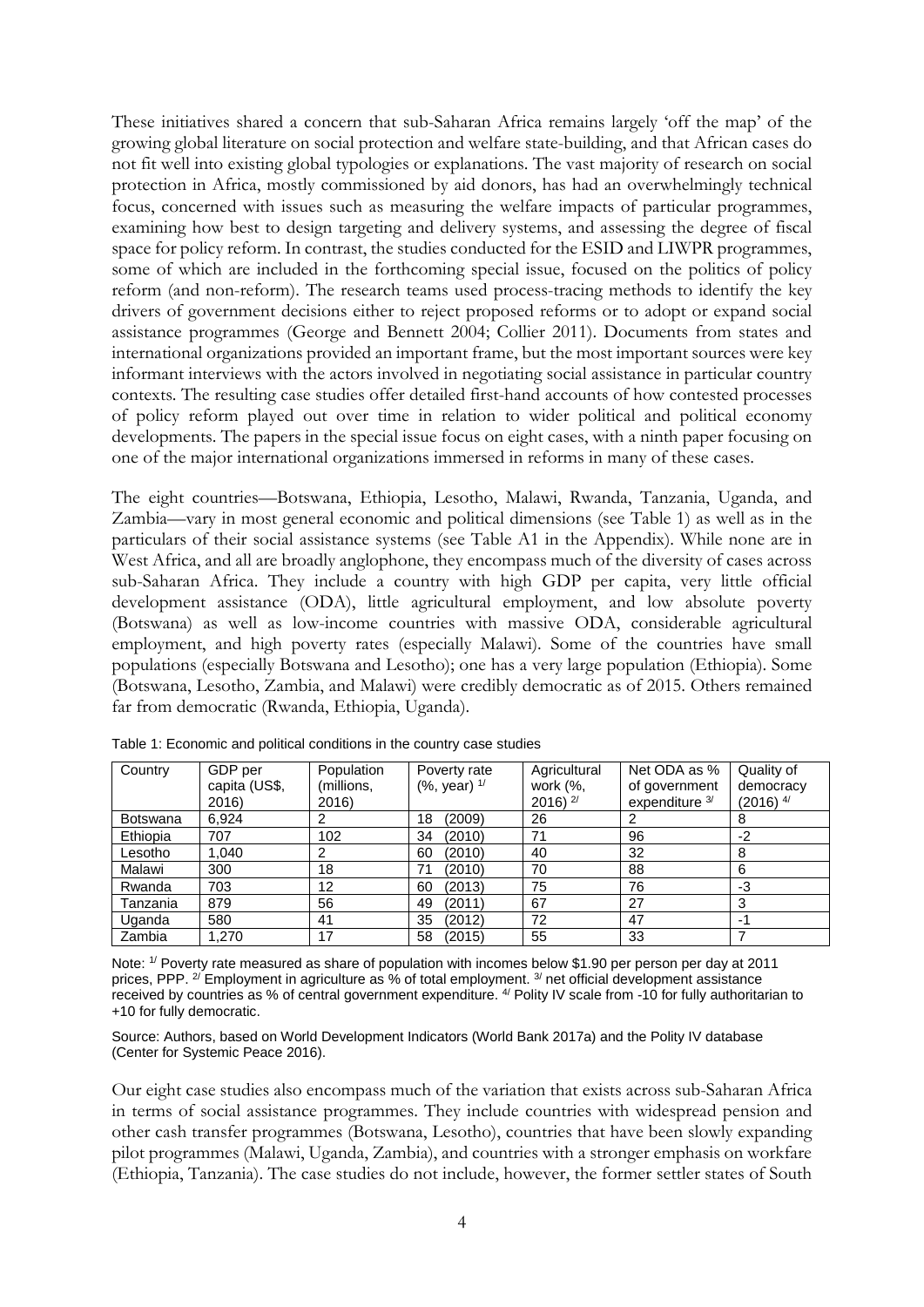These initiatives shared a concern that sub-Saharan Africa remains largely 'off the map' of the growing global literature on social protection and welfare state-building, and that African cases do not fit well into existing global typologies or explanations. The vast majority of research on social protection in Africa, mostly commissioned by aid donors, has had an overwhelmingly technical focus, concerned with issues such as measuring the welfare impacts of particular programmes, examining how best to design targeting and delivery systems, and assessing the degree of fiscal space for policy reform. In contrast, the studies conducted for the ESID and LIWPR programmes, some of which are included in the forthcoming special issue, focused on the politics of policy reform (and non-reform). The research teams used process-tracing methods to identify the key drivers of government decisions either to reject proposed reforms or to adopt or expand social assistance programmes (George and Bennett 2004; Collier 2011). Documents from states and international organizations provided an important frame, but the most important sources were key informant interviews with the actors involved in negotiating social assistance in particular country contexts. The resulting case studies offer detailed first-hand accounts of how contested processes of policy reform played out over time in relation to wider political and political economy developments. The papers in the special issue focus on eight cases, with a ninth paper focusing on one of the major international organizations immersed in reforms in many of these cases.

The eight countries—Botswana, Ethiopia, Lesotho, Malawi, Rwanda, Tanzania, Uganda, and Zambia—vary in most general economic and political dimensions (see Table 1) as well as in the particulars of their social assistance systems (see Table A1 in the Appendix). While none are in West Africa, and all are broadly anglophone, they encompass much of the diversity of cases across sub-Saharan Africa. They include a country with high GDP per capita, very little official development assistance (ODA), little agricultural employment, and low absolute poverty (Botswana) as well as low-income countries with massive ODA, considerable agricultural employment, and high poverty rates (especially Malawi). Some of the countries have small populations (especially Botswana and Lesotho); one has a very large population (Ethiopia). Some (Botswana, Lesotho, Zambia, and Malawi) were credibly democratic as of 2015. Others remained far from democratic (Rwanda, Ethiopia, Uganda).

| Country         | GDP per       | Population | Poverty rate      | Agricultural  | Net ODA as %   | Quality of     |
|-----------------|---------------|------------|-------------------|---------------|----------------|----------------|
|                 | capita (US\$, | (millions, | $(%$ , year) $1/$ | work (%,      | of government  | democracy      |
|                 | 2016)         | 2016)      |                   | 2016) $^{2/}$ | expenditure 3/ | $(2016)^{4/2}$ |
| <b>Botswana</b> | 6,924         |            | (2009)<br>18      | 26            |                |                |
| Ethiopia        | 707           | 102        | (2010)<br>34      | 71            | 96             | $-2$           |
| Lesotho         | 1.040         | ົ          | (2010)<br>60      | 40            | 32             | 8              |
| Malawi          | 300           | 18         | (2010)<br>71      | 70            | 88             | 6              |
| Rwanda          | 703           | 12         | (2013)<br>60      | 75            | 76             | -3             |
| Tanzania        | 879           | 56         | (2011)<br>49      | 67            | 27             | 3              |
| Uganda          | 580           | 41         | (2012)<br>35      | 72            | 47             | $-1$           |
| Zambia          | 1.270         | 17         | 58<br>(2015)      | 55            | 33             |                |

Table 1: Economic and political conditions in the country case studies

Note: 1/ Poverty rate measured as share of population with incomes below \$1.90 per person per day at 2011 prices, PPP. <sup>2/</sup> Employment in agriculture as % of total employment. <sup>3/</sup> net official development assistance received by countries as % of central government expenditure. <sup>4/</sup> Polity IV scale from -10 for fully authoritarian to +10 for fully democratic.

Source: Authors, based on World Development Indicators (World Bank 2017a) and the Polity IV database (Center for Systemic Peace 2016).

Our eight case studies also encompass much of the variation that exists across sub-Saharan Africa in terms of social assistance programmes. They include countries with widespread pension and other cash transfer programmes (Botswana, Lesotho), countries that have been slowly expanding pilot programmes (Malawi, Uganda, Zambia), and countries with a stronger emphasis on workfare (Ethiopia, Tanzania). The case studies do not include, however, the former settler states of South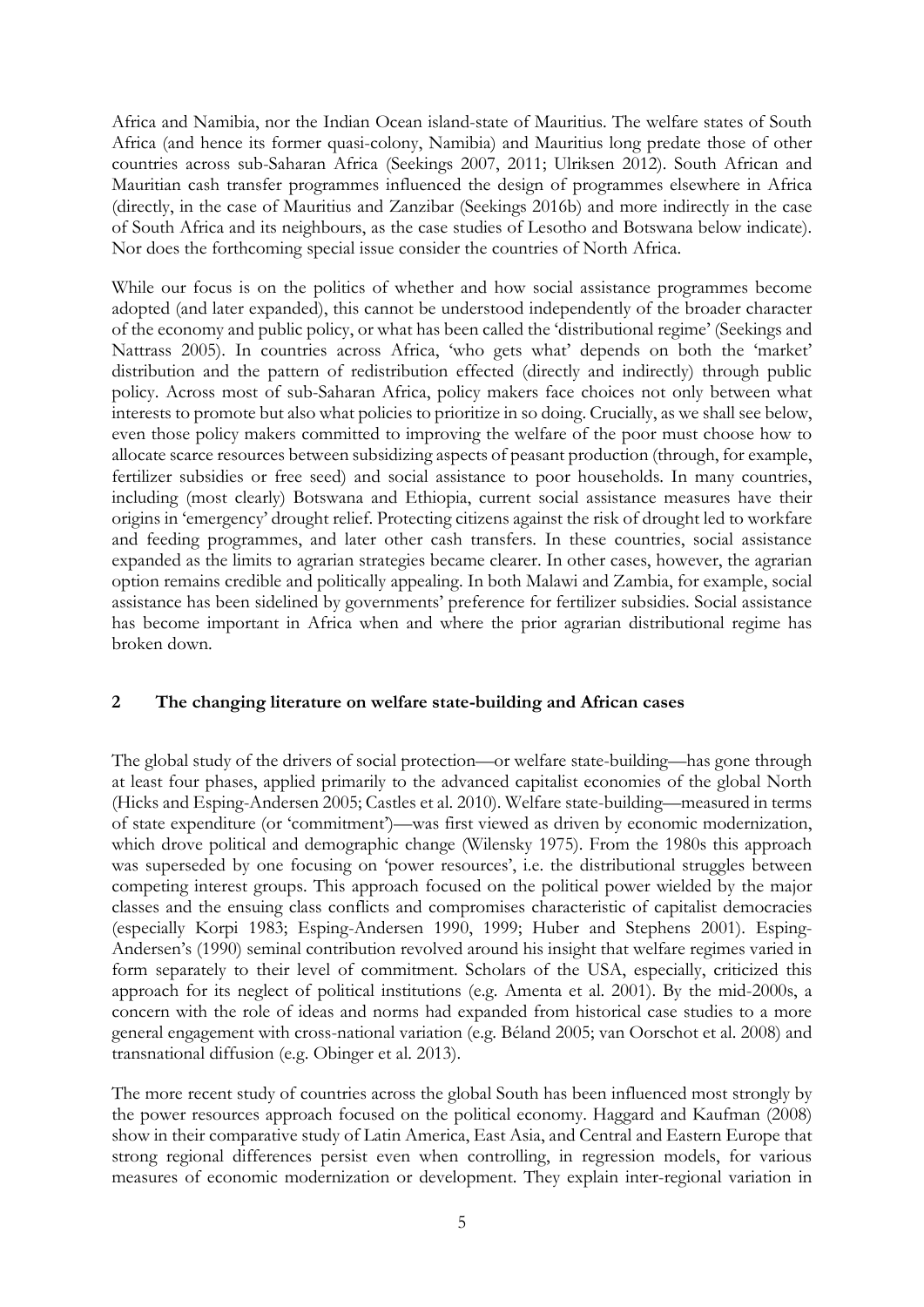Africa and Namibia, nor the Indian Ocean island-state of Mauritius. The welfare states of South Africa (and hence its former quasi-colony, Namibia) and Mauritius long predate those of other countries across sub-Saharan Africa (Seekings 2007, 2011; Ulriksen 2012). South African and Mauritian cash transfer programmes influenced the design of programmes elsewhere in Africa (directly, in the case of Mauritius and Zanzibar (Seekings 2016b) and more indirectly in the case of South Africa and its neighbours, as the case studies of Lesotho and Botswana below indicate). Nor does the forthcoming special issue consider the countries of North Africa.

While our focus is on the politics of whether and how social assistance programmes become adopted (and later expanded), this cannot be understood independently of the broader character of the economy and public policy, or what has been called the 'distributional regime' (Seekings and Nattrass 2005). In countries across Africa, 'who gets what' depends on both the 'market' distribution and the pattern of redistribution effected (directly and indirectly) through public policy. Across most of sub-Saharan Africa, policy makers face choices not only between what interests to promote but also what policies to prioritize in so doing. Crucially, as we shall see below, even those policy makers committed to improving the welfare of the poor must choose how to allocate scarce resources between subsidizing aspects of peasant production (through, for example, fertilizer subsidies or free seed) and social assistance to poor households. In many countries, including (most clearly) Botswana and Ethiopia, current social assistance measures have their origins in 'emergency' drought relief. Protecting citizens against the risk of drought led to workfare and feeding programmes, and later other cash transfers. In these countries, social assistance expanded as the limits to agrarian strategies became clearer. In other cases, however, the agrarian option remains credible and politically appealing. In both Malawi and Zambia, for example, social assistance has been sidelined by governments' preference for fertilizer subsidies. Social assistance has become important in Africa when and where the prior agrarian distributional regime has broken down.

### **2 The changing literature on welfare state-building and African cases**

The global study of the drivers of social protection—or welfare state-building—has gone through at least four phases, applied primarily to the advanced capitalist economies of the global North (Hicks and Esping-Andersen 2005; Castles et al. 2010). Welfare state-building—measured in terms of state expenditure (or 'commitment')—was first viewed as driven by economic modernization, which drove political and demographic change (Wilensky 1975). From the 1980s this approach was superseded by one focusing on 'power resources', i.e. the distributional struggles between competing interest groups. This approach focused on the political power wielded by the major classes and the ensuing class conflicts and compromises characteristic of capitalist democracies (especially Korpi 1983; Esping-Andersen 1990, 1999; Huber and Stephens 2001). Esping-Andersen's (1990) seminal contribution revolved around his insight that welfare regimes varied in form separately to their level of commitment. Scholars of the USA, especially, criticized this approach for its neglect of political institutions (e.g. Amenta et al. 2001). By the mid-2000s, a concern with the role of ideas and norms had expanded from historical case studies to a more general engagement with cross-national variation (e.g. Béland 2005; van Oorschot et al. 2008) and transnational diffusion (e.g. Obinger et al. 2013).

The more recent study of countries across the global South has been influenced most strongly by the power resources approach focused on the political economy. Haggard and Kaufman (2008) show in their comparative study of Latin America, East Asia, and Central and Eastern Europe that strong regional differences persist even when controlling, in regression models, for various measures of economic modernization or development. They explain inter-regional variation in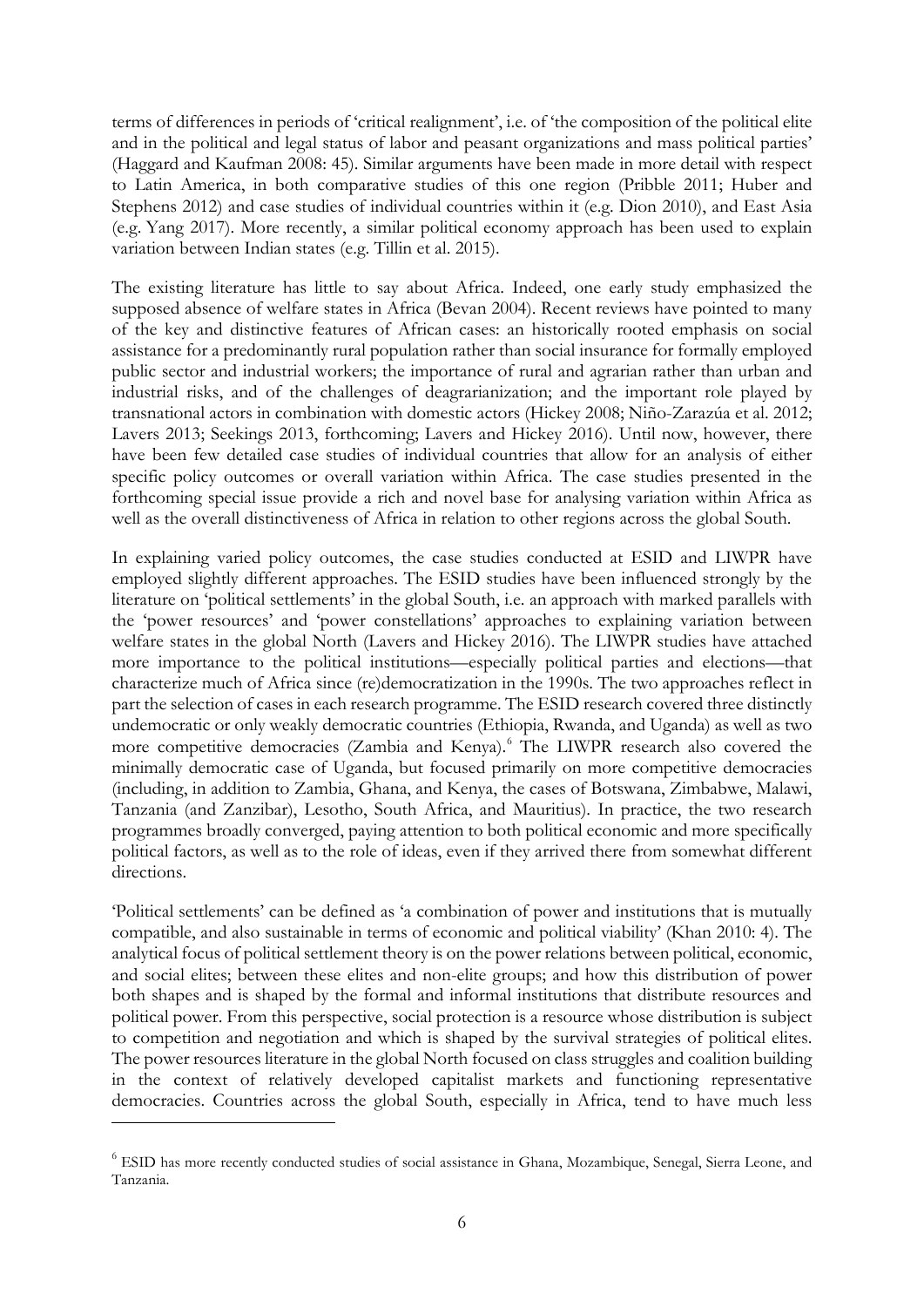terms of differences in periods of 'critical realignment', i.e. of 'the composition of the political elite and in the political and legal status of labor and peasant organizations and mass political parties' (Haggard and Kaufman 2008: 45). Similar arguments have been made in more detail with respect to Latin America, in both comparative studies of this one region (Pribble 2011; Huber and Stephens 2012) and case studies of individual countries within it (e.g. Dion 2010), and East Asia (e.g. Yang 2017). More recently, a similar political economy approach has been used to explain variation between Indian states (e.g. Tillin et al. 2015).

The existing literature has little to say about Africa. Indeed, one early study emphasized the supposed absence of welfare states in Africa (Bevan 2004). Recent reviews have pointed to many of the key and distinctive features of African cases: an historically rooted emphasis on social assistance for a predominantly rural population rather than social insurance for formally employed public sector and industrial workers; the importance of rural and agrarian rather than urban and industrial risks, and of the challenges of deagrarianization; and the important role played by transnational actors in combination with domestic actors (Hickey 2008; Niño-Zarazúa et al. 2012; Lavers 2013; Seekings 2013, forthcoming; Lavers and Hickey 2016). Until now, however, there have been few detailed case studies of individual countries that allow for an analysis of either specific policy outcomes or overall variation within Africa. The case studies presented in the forthcoming special issue provide a rich and novel base for analysing variation within Africa as well as the overall distinctiveness of Africa in relation to other regions across the global South.

In explaining varied policy outcomes, the case studies conducted at ESID and LIWPR have employed slightly different approaches. The ESID studies have been influenced strongly by the literature on 'political settlements' in the global South, i.e. an approach with marked parallels with the 'power resources' and 'power constellations' approaches to explaining variation between welfare states in the global North (Lavers and Hickey 2016). The LIWPR studies have attached more importance to the political institutions—especially political parties and elections—that characterize much of Africa since (re)democratization in the 1990s. The two approaches reflect in part the selection of cases in each research programme. The ESID research covered three distinctly undemocratic or only weakly democratic countries (Ethiopia, Rwanda, and Uganda) as well as two more competitive democracies (Zambia and Kenya).[6](#page-7-0) The LIWPR research also covered the minimally democratic case of Uganda, but focused primarily on more competitive democracies (including, in addition to Zambia, Ghana, and Kenya, the cases of Botswana, Zimbabwe, Malawi, Tanzania (and Zanzibar), Lesotho, South Africa, and Mauritius). In practice, the two research programmes broadly converged, paying attention to both political economic and more specifically political factors, as well as to the role of ideas, even if they arrived there from somewhat different directions.

'Political settlements' can be defined as 'a combination of power and institutions that is mutually compatible, and also sustainable in terms of economic and political viability' (Khan 2010: 4). The analytical focus of political settlement theory is on the power relations between political, economic, and social elites; between these elites and non-elite groups; and how this distribution of power both shapes and is shaped by the formal and informal institutions that distribute resources and political power. From this perspective, social protection is a resource whose distribution is subject to competition and negotiation and which is shaped by the survival strategies of political elites. The power resources literature in the global North focused on class struggles and coalition building in the context of relatively developed capitalist markets and functioning representative democracies. Countries across the global South, especially in Africa, tend to have much less

<u>.</u>

<span id="page-7-0"></span><sup>6</sup> ESID has more recently conducted studies of social assistance in Ghana, Mozambique, Senegal, Sierra Leone, and Tanzania.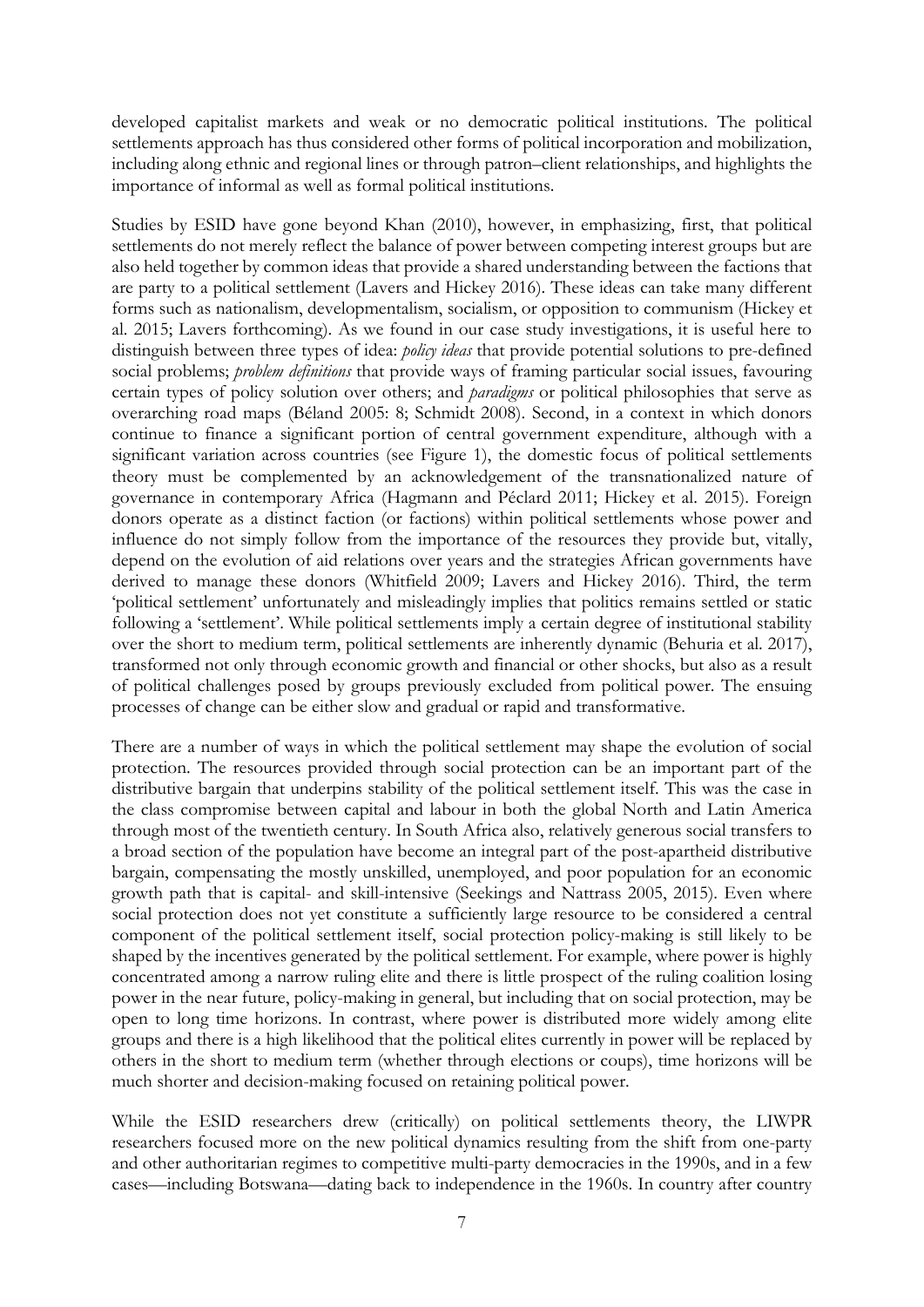developed capitalist markets and weak or no democratic political institutions. The political settlements approach has thus considered other forms of political incorporation and mobilization, including along ethnic and regional lines or through patron–client relationships, and highlights the importance of informal as well as formal political institutions.

Studies by ESID have gone beyond Khan (2010), however, in emphasizing, first, that political settlements do not merely reflect the balance of power between competing interest groups but are also held together by common ideas that provide a shared understanding between the factions that are party to a political settlement (Lavers and Hickey 2016). These ideas can take many different forms such as nationalism, developmentalism, socialism, or opposition to communism (Hickey et al. 2015; Lavers forthcoming). As we found in our case study investigations, it is useful here to distinguish between three types of idea: *policy ideas* that provide potential solutions to pre-defined social problems; *problem definitions* that provide ways of framing particular social issues, favouring certain types of policy solution over others; and *paradigms* or political philosophies that serve as overarching road maps (Béland 2005: 8; Schmidt 2008). Second, in a context in which donors continue to finance a significant portion of central government expenditure, although with a significant variation across countries (see Figure 1), the domestic focus of political settlements theory must be complemented by an acknowledgement of the transnationalized nature of governance in contemporary Africa (Hagmann and Péclard 2011; Hickey et al. 2015). Foreign donors operate as a distinct faction (or factions) within political settlements whose power and influence do not simply follow from the importance of the resources they provide but, vitally, depend on the evolution of aid relations over years and the strategies African governments have derived to manage these donors (Whitfield 2009; Lavers and Hickey 2016). Third, the term 'political settlement' unfortunately and misleadingly implies that politics remains settled or static following a 'settlement'. While political settlements imply a certain degree of institutional stability over the short to medium term, political settlements are inherently dynamic (Behuria et al. 2017), transformed not only through economic growth and financial or other shocks, but also as a result of political challenges posed by groups previously excluded from political power. The ensuing processes of change can be either slow and gradual or rapid and transformative.

There are a number of ways in which the political settlement may shape the evolution of social protection. The resources provided through social protection can be an important part of the distributive bargain that underpins stability of the political settlement itself. This was the case in the class compromise between capital and labour in both the global North and Latin America through most of the twentieth century. In South Africa also, relatively generous social transfers to a broad section of the population have become an integral part of the post-apartheid distributive bargain, compensating the mostly unskilled, unemployed, and poor population for an economic growth path that is capital- and skill-intensive (Seekings and Nattrass 2005, 2015). Even where social protection does not yet constitute a sufficiently large resource to be considered a central component of the political settlement itself, social protection policy-making is still likely to be shaped by the incentives generated by the political settlement. For example, where power is highly concentrated among a narrow ruling elite and there is little prospect of the ruling coalition losing power in the near future, policy-making in general, but including that on social protection, may be open to long time horizons. In contrast, where power is distributed more widely among elite groups and there is a high likelihood that the political elites currently in power will be replaced by others in the short to medium term (whether through elections or coups), time horizons will be much shorter and decision-making focused on retaining political power.

While the ESID researchers drew (critically) on political settlements theory, the LIWPR researchers focused more on the new political dynamics resulting from the shift from one-party and other authoritarian regimes to competitive multi-party democracies in the 1990s, and in a few cases—including Botswana—dating back to independence in the 1960s. In country after country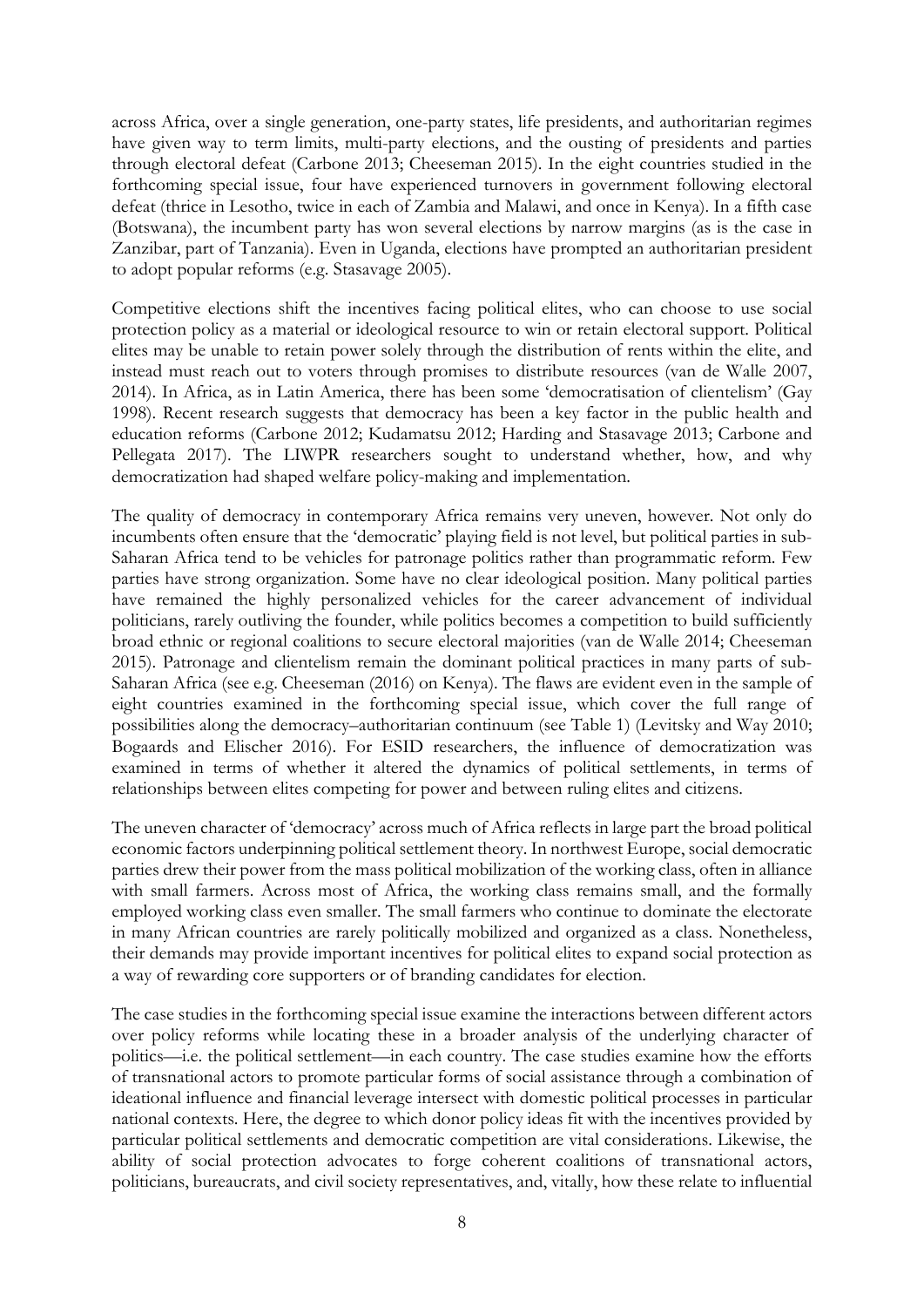across Africa, over a single generation, one-party states, life presidents, and authoritarian regimes have given way to term limits, multi-party elections, and the ousting of presidents and parties through electoral defeat (Carbone 2013; Cheeseman 2015). In the eight countries studied in the forthcoming special issue, four have experienced turnovers in government following electoral defeat (thrice in Lesotho, twice in each of Zambia and Malawi, and once in Kenya). In a fifth case (Botswana), the incumbent party has won several elections by narrow margins (as is the case in Zanzibar, part of Tanzania). Even in Uganda, elections have prompted an authoritarian president to adopt popular reforms (e.g. Stasavage 2005).

Competitive elections shift the incentives facing political elites, who can choose to use social protection policy as a material or ideological resource to win or retain electoral support. Political elites may be unable to retain power solely through the distribution of rents within the elite, and instead must reach out to voters through promises to distribute resources (van de Walle 2007, 2014). In Africa, as in Latin America, there has been some 'democratisation of clientelism' (Gay 1998). Recent research suggests that democracy has been a key factor in the public health and education reforms (Carbone 2012; Kudamatsu 2012; Harding and Stasavage 2013; Carbone and Pellegata 2017). The LIWPR researchers sought to understand whether, how, and why democratization had shaped welfare policy-making and implementation.

The quality of democracy in contemporary Africa remains very uneven, however. Not only do incumbents often ensure that the 'democratic' playing field is not level, but political parties in sub-Saharan Africa tend to be vehicles for patronage politics rather than programmatic reform. Few parties have strong organization. Some have no clear ideological position. Many political parties have remained the highly personalized vehicles for the career advancement of individual politicians, rarely outliving the founder, while politics becomes a competition to build sufficiently broad ethnic or regional coalitions to secure electoral majorities (van de Walle 2014; Cheeseman 2015). Patronage and clientelism remain the dominant political practices in many parts of sub-Saharan Africa (see e.g. Cheeseman (2016) on Kenya). The flaws are evident even in the sample of eight countries examined in the forthcoming special issue, which cover the full range of possibilities along the democracy–authoritarian continuum (see Table 1) (Levitsky and Way 2010; Bogaards and Elischer 2016). For ESID researchers, the influence of democratization was examined in terms of whether it altered the dynamics of political settlements, in terms of relationships between elites competing for power and between ruling elites and citizens.

The uneven character of 'democracy' across much of Africa reflects in large part the broad political economic factors underpinning political settlement theory. In northwest Europe, social democratic parties drew their power from the mass political mobilization of the working class, often in alliance with small farmers. Across most of Africa, the working class remains small, and the formally employed working class even smaller. The small farmers who continue to dominate the electorate in many African countries are rarely politically mobilized and organized as a class. Nonetheless, their demands may provide important incentives for political elites to expand social protection as a way of rewarding core supporters or of branding candidates for election.

The case studies in the forthcoming special issue examine the interactions between different actors over policy reforms while locating these in a broader analysis of the underlying character of politics—i.e. the political settlement—in each country. The case studies examine how the efforts of transnational actors to promote particular forms of social assistance through a combination of ideational influence and financial leverage intersect with domestic political processes in particular national contexts. Here, the degree to which donor policy ideas fit with the incentives provided by particular political settlements and democratic competition are vital considerations. Likewise, the ability of social protection advocates to forge coherent coalitions of transnational actors, politicians, bureaucrats, and civil society representatives, and, vitally, how these relate to influential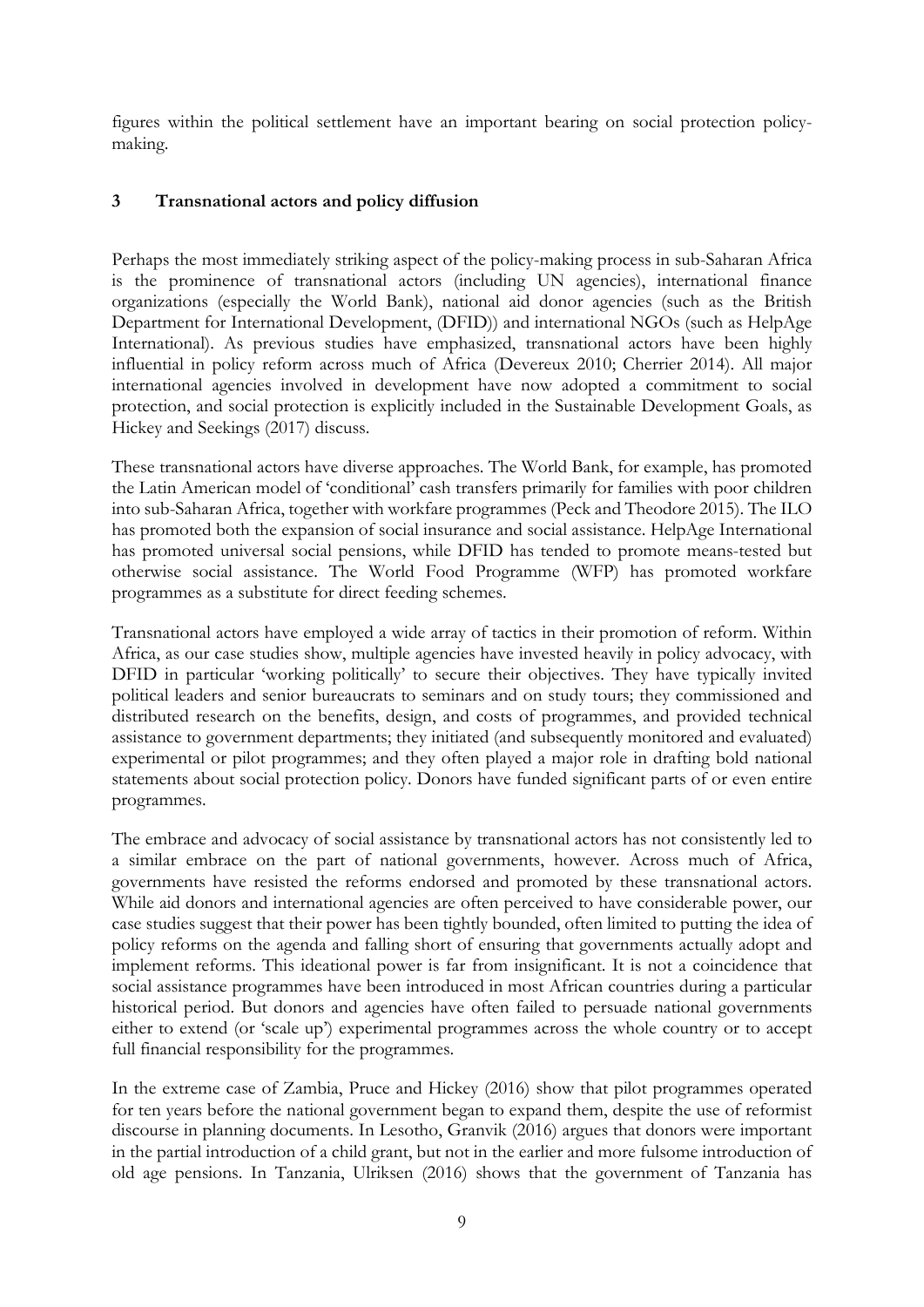figures within the political settlement have an important bearing on social protection policymaking.

## **3 Transnational actors and policy diffusion**

Perhaps the most immediately striking aspect of the policy-making process in sub-Saharan Africa is the prominence of transnational actors (including UN agencies), international finance organizations (especially the World Bank), national aid donor agencies (such as the British Department for International Development, (DFID)) and international NGOs (such as HelpAge International). As previous studies have emphasized, transnational actors have been highly influential in policy reform across much of Africa (Devereux 2010; Cherrier 2014). All major international agencies involved in development have now adopted a commitment to social protection, and social protection is explicitly included in the Sustainable Development Goals, as Hickey and Seekings (2017) discuss.

These transnational actors have diverse approaches. The World Bank, for example, has promoted the Latin American model of 'conditional' cash transfers primarily for families with poor children into sub-Saharan Africa, together with workfare programmes (Peck and Theodore 2015). The ILO has promoted both the expansion of social insurance and social assistance. HelpAge International has promoted universal social pensions, while DFID has tended to promote means-tested but otherwise social assistance. The World Food Programme (WFP) has promoted workfare programmes as a substitute for direct feeding schemes.

Transnational actors have employed a wide array of tactics in their promotion of reform. Within Africa, as our case studies show, multiple agencies have invested heavily in policy advocacy, with DFID in particular 'working politically' to secure their objectives. They have typically invited political leaders and senior bureaucrats to seminars and on study tours; they commissioned and distributed research on the benefits, design, and costs of programmes, and provided technical assistance to government departments; they initiated (and subsequently monitored and evaluated) experimental or pilot programmes; and they often played a major role in drafting bold national statements about social protection policy. Donors have funded significant parts of or even entire programmes.

The embrace and advocacy of social assistance by transnational actors has not consistently led to a similar embrace on the part of national governments, however. Across much of Africa, governments have resisted the reforms endorsed and promoted by these transnational actors. While aid donors and international agencies are often perceived to have considerable power, our case studies suggest that their power has been tightly bounded, often limited to putting the idea of policy reforms on the agenda and falling short of ensuring that governments actually adopt and implement reforms. This ideational power is far from insignificant. It is not a coincidence that social assistance programmes have been introduced in most African countries during a particular historical period. But donors and agencies have often failed to persuade national governments either to extend (or 'scale up') experimental programmes across the whole country or to accept full financial responsibility for the programmes.

In the extreme case of Zambia, Pruce and Hickey (2016) show that pilot programmes operated for ten years before the national government began to expand them, despite the use of reformist discourse in planning documents. In Lesotho, Granvik (2016) argues that donors were important in the partial introduction of a child grant, but not in the earlier and more fulsome introduction of old age pensions. In Tanzania, Ulriksen (2016) shows that the government of Tanzania has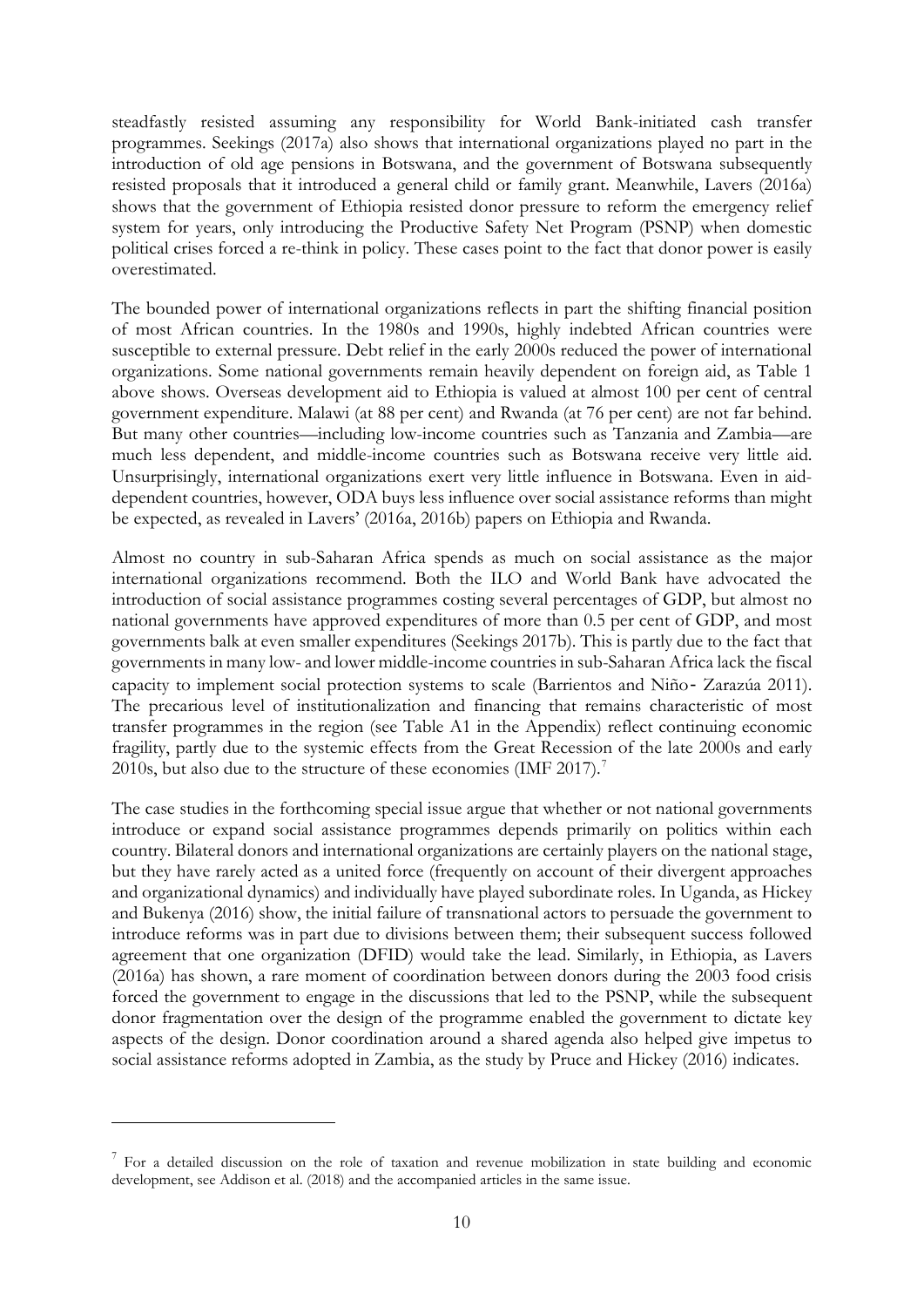steadfastly resisted assuming any responsibility for World Bank-initiated cash transfer programmes. Seekings (2017a) also shows that international organizations played no part in the introduction of old age pensions in Botswana, and the government of Botswana subsequently resisted proposals that it introduced a general child or family grant. Meanwhile, Lavers (2016a) shows that the government of Ethiopia resisted donor pressure to reform the emergency relief system for years, only introducing the Productive Safety Net Program (PSNP) when domestic political crises forced a re-think in policy. These cases point to the fact that donor power is easily overestimated.

The bounded power of international organizations reflects in part the shifting financial position of most African countries. In the 1980s and 1990s, highly indebted African countries were susceptible to external pressure. Debt relief in the early 2000s reduced the power of international organizations. Some national governments remain heavily dependent on foreign aid, as Table 1 above shows. Overseas development aid to Ethiopia is valued at almost 100 per cent of central government expenditure. Malawi (at 88 per cent) and Rwanda (at 76 per cent) are not far behind. But many other countries—including low-income countries such as Tanzania and Zambia—are much less dependent, and middle-income countries such as Botswana receive very little aid. Unsurprisingly, international organizations exert very little influence in Botswana. Even in aiddependent countries, however, ODA buys less influence over social assistance reforms than might be expected, as revealed in Lavers' (2016a, 2016b) papers on Ethiopia and Rwanda.

Almost no country in sub-Saharan Africa spends as much on social assistance as the major international organizations recommend. Both the ILO and World Bank have advocated the introduction of social assistance programmes costing several percentages of GDP, but almost no national governments have approved expenditures of more than 0.5 per cent of GDP, and most governments balk at even smaller expenditures (Seekings 2017b). This is partly due to the fact that governments in many low- and lower middle-income countries in sub-Saharan Africa lack the fiscal capacity to implement social protection systems to scale (Barrientos and Niño‐ Zarazúa 2011). The precarious level of institutionalization and financing that remains characteristic of most transfer programmes in the region (see Table A1 in the Appendix) reflect continuing economic fragility, partly due to the systemic effects from the Great Recession of the late 2000s and early 2010s, but also due to the structure of these economies (IMF 201[7](#page-11-0)).<sup>7</sup>

The case studies in the forthcoming special issue argue that whether or not national governments introduce or expand social assistance programmes depends primarily on politics within each country. Bilateral donors and international organizations are certainly players on the national stage, but they have rarely acted as a united force (frequently on account of their divergent approaches and organizational dynamics) and individually have played subordinate roles. In Uganda, as Hickey and Bukenya (2016) show, the initial failure of transnational actors to persuade the government to introduce reforms was in part due to divisions between them; their subsequent success followed agreement that one organization (DFID) would take the lead. Similarly, in Ethiopia, as Lavers (2016a) has shown, a rare moment of coordination between donors during the 2003 food crisis forced the government to engage in the discussions that led to the PSNP, while the subsequent donor fragmentation over the design of the programme enabled the government to dictate key aspects of the design. Donor coordination around a shared agenda also helped give impetus to social assistance reforms adopted in Zambia, as the study by Pruce and Hickey (2016) indicates.

<u>.</u>

<span id="page-11-0"></span><sup>&</sup>lt;sup>7</sup> For a detailed discussion on the role of taxation and revenue mobilization in state building and economic development, see Addison et al. (2018) and the accompanied articles in the same issue.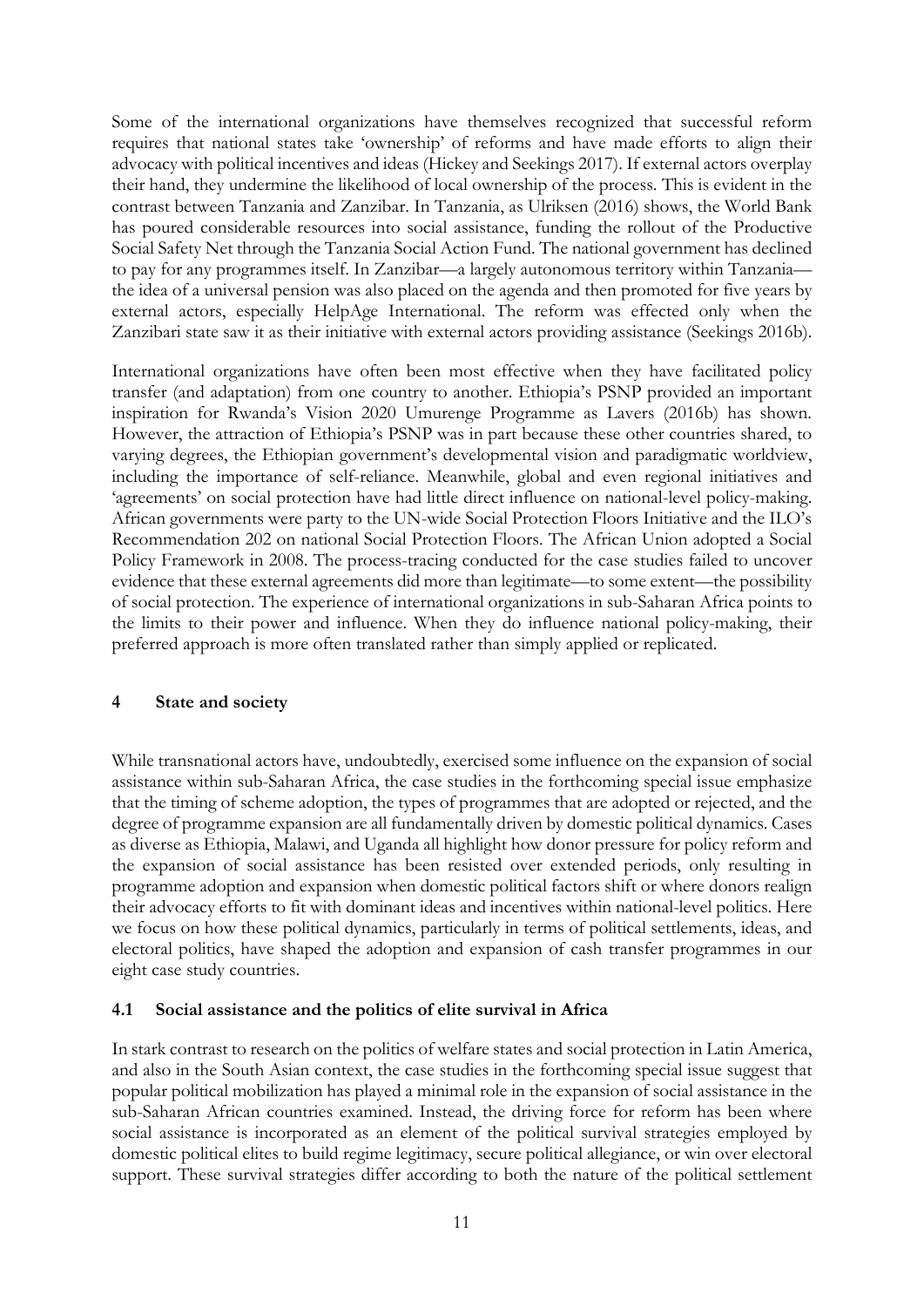Some of the international organizations have themselves recognized that successful reform requires that national states take 'ownership' of reforms and have made efforts to align their advocacy with political incentives and ideas (Hickey and Seekings 2017). If external actors overplay their hand, they undermine the likelihood of local ownership of the process. This is evident in the contrast between Tanzania and Zanzibar. In Tanzania, as Ulriksen (2016) shows, the World Bank has poured considerable resources into social assistance, funding the rollout of the Productive Social Safety Net through the Tanzania Social Action Fund. The national government has declined to pay for any programmes itself. In Zanzibar—a largely autonomous territory within Tanzania the idea of a universal pension was also placed on the agenda and then promoted for five years by external actors, especially HelpAge International. The reform was effected only when the Zanzibari state saw it as their initiative with external actors providing assistance (Seekings 2016b).

International organizations have often been most effective when they have facilitated policy transfer (and adaptation) from one country to another. Ethiopia's PSNP provided an important inspiration for Rwanda's Vision 2020 Umurenge Programme as Lavers (2016b) has shown. However, the attraction of Ethiopia's PSNP was in part because these other countries shared, to varying degrees, the Ethiopian government's developmental vision and paradigmatic worldview, including the importance of self-reliance. Meanwhile, global and even regional initiatives and 'agreements' on social protection have had little direct influence on national-level policy-making. African governments were party to the UN-wide Social Protection Floors Initiative and the ILO's Recommendation 202 on national Social Protection Floors. The African Union adopted a Social Policy Framework in 2008. The process-tracing conducted for the case studies failed to uncover evidence that these external agreements did more than legitimate—to some extent—the possibility of social protection. The experience of international organizations in sub-Saharan Africa points to the limits to their power and influence. When they do influence national policy-making, their preferred approach is more often translated rather than simply applied or replicated.

#### **4 State and society**

While transnational actors have, undoubtedly, exercised some influence on the expansion of social assistance within sub-Saharan Africa, the case studies in the forthcoming special issue emphasize that the timing of scheme adoption, the types of programmes that are adopted or rejected, and the degree of programme expansion are all fundamentally driven by domestic political dynamics. Cases as diverse as Ethiopia, Malawi, and Uganda all highlight how donor pressure for policy reform and the expansion of social assistance has been resisted over extended periods, only resulting in programme adoption and expansion when domestic political factors shift or where donors realign their advocacy efforts to fit with dominant ideas and incentives within national-level politics. Here we focus on how these political dynamics, particularly in terms of political settlements, ideas, and electoral politics, have shaped the adoption and expansion of cash transfer programmes in our eight case study countries.

### **4.1 Social assistance and the politics of elite survival in Africa**

In stark contrast to research on the politics of welfare states and social protection in Latin America, and also in the South Asian context, the case studies in the forthcoming special issue suggest that popular political mobilization has played a minimal role in the expansion of social assistance in the sub-Saharan African countries examined. Instead, the driving force for reform has been where social assistance is incorporated as an element of the political survival strategies employed by domestic political elites to build regime legitimacy, secure political allegiance, or win over electoral support. These survival strategies differ according to both the nature of the political settlement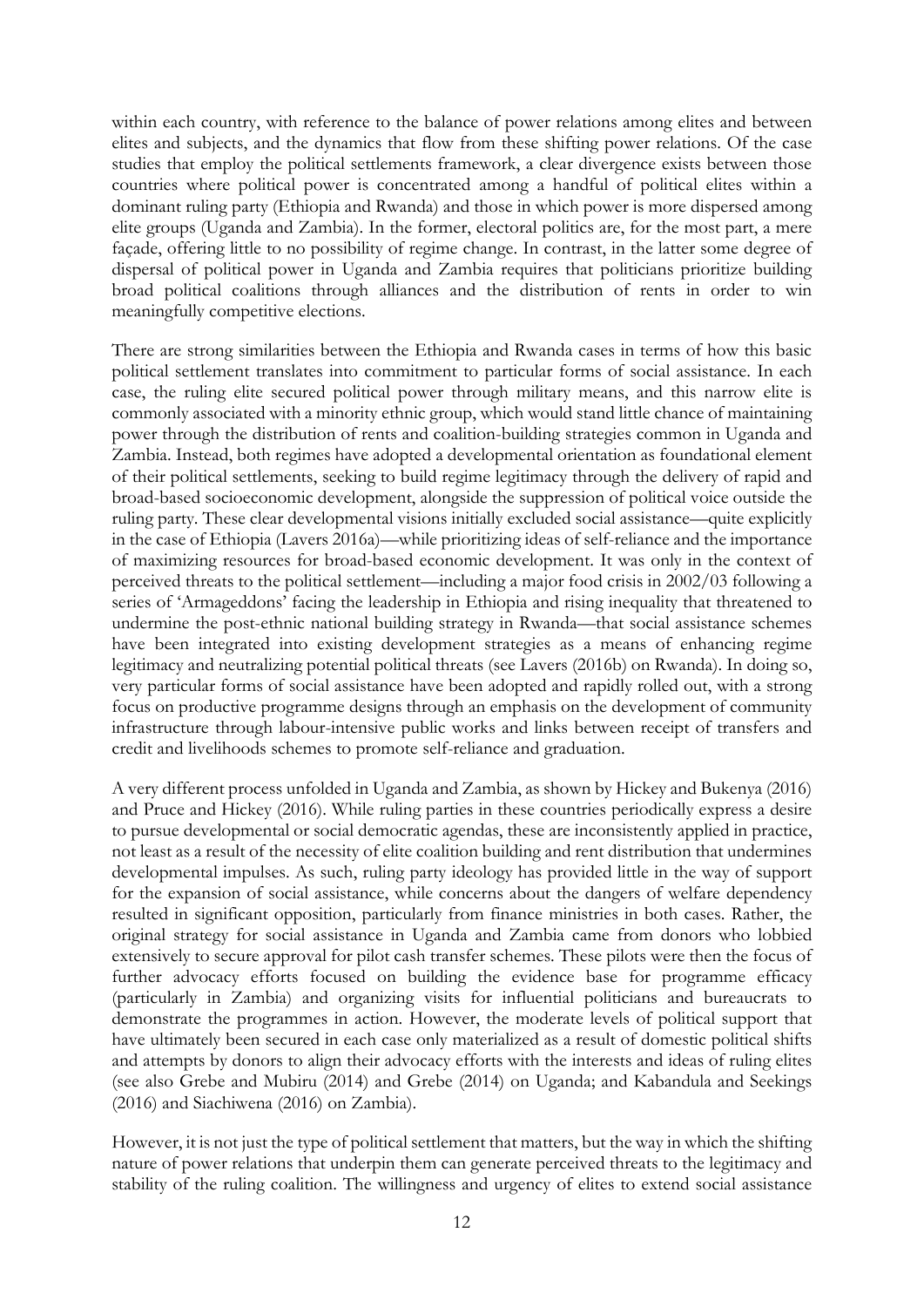within each country, with reference to the balance of power relations among elites and between elites and subjects, and the dynamics that flow from these shifting power relations. Of the case studies that employ the political settlements framework, a clear divergence exists between those countries where political power is concentrated among a handful of political elites within a dominant ruling party (Ethiopia and Rwanda) and those in which power is more dispersed among elite groups (Uganda and Zambia). In the former, electoral politics are, for the most part, a mere façade, offering little to no possibility of regime change. In contrast, in the latter some degree of dispersal of political power in Uganda and Zambia requires that politicians prioritize building broad political coalitions through alliances and the distribution of rents in order to win meaningfully competitive elections.

There are strong similarities between the Ethiopia and Rwanda cases in terms of how this basic political settlement translates into commitment to particular forms of social assistance. In each case, the ruling elite secured political power through military means, and this narrow elite is commonly associated with a minority ethnic group, which would stand little chance of maintaining power through the distribution of rents and coalition-building strategies common in Uganda and Zambia. Instead, both regimes have adopted a developmental orientation as foundational element of their political settlements, seeking to build regime legitimacy through the delivery of rapid and broad-based socioeconomic development, alongside the suppression of political voice outside the ruling party. These clear developmental visions initially excluded social assistance—quite explicitly in the case of Ethiopia (Lavers 2016a)—while prioritizing ideas of self-reliance and the importance of maximizing resources for broad-based economic development. It was only in the context of perceived threats to the political settlement—including a major food crisis in 2002/03 following a series of 'Armageddons' facing the leadership in Ethiopia and rising inequality that threatened to undermine the post-ethnic national building strategy in Rwanda—that social assistance schemes have been integrated into existing development strategies as a means of enhancing regime legitimacy and neutralizing potential political threats (see Lavers (2016b) on Rwanda). In doing so, very particular forms of social assistance have been adopted and rapidly rolled out, with a strong focus on productive programme designs through an emphasis on the development of community infrastructure through labour-intensive public works and links between receipt of transfers and credit and livelihoods schemes to promote self-reliance and graduation.

A very different process unfolded in Uganda and Zambia, as shown by Hickey and Bukenya (2016) and Pruce and Hickey (2016). While ruling parties in these countries periodically express a desire to pursue developmental or social democratic agendas, these are inconsistently applied in practice, not least as a result of the necessity of elite coalition building and rent distribution that undermines developmental impulses. As such, ruling party ideology has provided little in the way of support for the expansion of social assistance, while concerns about the dangers of welfare dependency resulted in significant opposition, particularly from finance ministries in both cases. Rather, the original strategy for social assistance in Uganda and Zambia came from donors who lobbied extensively to secure approval for pilot cash transfer schemes. These pilots were then the focus of further advocacy efforts focused on building the evidence base for programme efficacy (particularly in Zambia) and organizing visits for influential politicians and bureaucrats to demonstrate the programmes in action. However, the moderate levels of political support that have ultimately been secured in each case only materialized as a result of domestic political shifts and attempts by donors to align their advocacy efforts with the interests and ideas of ruling elites (see also Grebe and Mubiru (2014) and Grebe (2014) on Uganda; and Kabandula and Seekings (2016) and Siachiwena (2016) on Zambia).

However, it is not just the type of political settlement that matters, but the way in which the shifting nature of power relations that underpin them can generate perceived threats to the legitimacy and stability of the ruling coalition. The willingness and urgency of elites to extend social assistance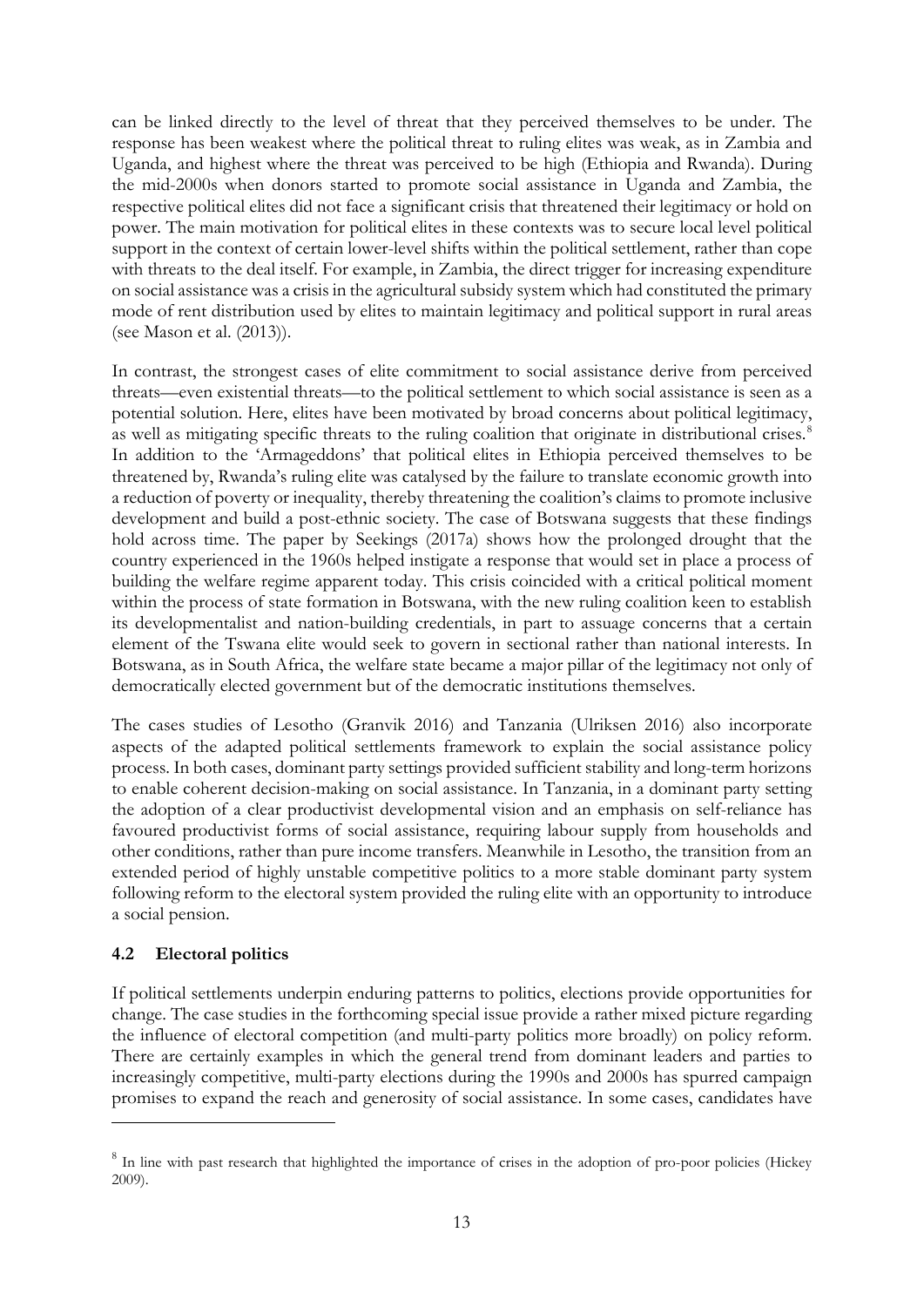can be linked directly to the level of threat that they perceived themselves to be under. The response has been weakest where the political threat to ruling elites was weak, as in Zambia and Uganda, and highest where the threat was perceived to be high (Ethiopia and Rwanda). During the mid-2000s when donors started to promote social assistance in Uganda and Zambia, the respective political elites did not face a significant crisis that threatened their legitimacy or hold on power. The main motivation for political elites in these contexts was to secure local level political support in the context of certain lower-level shifts within the political settlement, rather than cope with threats to the deal itself. For example, in Zambia, the direct trigger for increasing expenditure on social assistance was a crisis in the agricultural subsidy system which had constituted the primary mode of rent distribution used by elites to maintain legitimacy and political support in rural areas (see Mason et al. (2013)).

In contrast, the strongest cases of elite commitment to social assistance derive from perceived threats—even existential threats—to the political settlement to which social assistance is seen as a potential solution. Here, elites have been motivated by broad concerns about political legitimacy, as well as mitigating specific threats to the ruling coalition that originate in distributional crises.<sup>[8](#page-14-0)</sup> In addition to the 'Armageddons' that political elites in Ethiopia perceived themselves to be threatened by, Rwanda's ruling elite was catalysed by the failure to translate economic growth into a reduction of poverty or inequality, thereby threatening the coalition's claims to promote inclusive development and build a post-ethnic society. The case of Botswana suggests that these findings hold across time. The paper by Seekings (2017a) shows how the prolonged drought that the country experienced in the 1960s helped instigate a response that would set in place a process of building the welfare regime apparent today. This crisis coincided with a critical political moment within the process of state formation in Botswana, with the new ruling coalition keen to establish its developmentalist and nation-building credentials, in part to assuage concerns that a certain element of the Tswana elite would seek to govern in sectional rather than national interests. In Botswana, as in South Africa, the welfare state became a major pillar of the legitimacy not only of democratically elected government but of the democratic institutions themselves.

The cases studies of Lesotho (Granvik 2016) and Tanzania (Ulriksen 2016) also incorporate aspects of the adapted political settlements framework to explain the social assistance policy process. In both cases, dominant party settings provided sufficient stability and long-term horizons to enable coherent decision-making on social assistance. In Tanzania, in a dominant party setting the adoption of a clear productivist developmental vision and an emphasis on self-reliance has favoured productivist forms of social assistance, requiring labour supply from households and other conditions, rather than pure income transfers. Meanwhile in Lesotho, the transition from an extended period of highly unstable competitive politics to a more stable dominant party system following reform to the electoral system provided the ruling elite with an opportunity to introduce a social pension.

### **4.2 Electoral politics**

<u>.</u>

If political settlements underpin enduring patterns to politics, elections provide opportunities for change. The case studies in the forthcoming special issue provide a rather mixed picture regarding the influence of electoral competition (and multi-party politics more broadly) on policy reform. There are certainly examples in which the general trend from dominant leaders and parties to increasingly competitive, multi-party elections during the 1990s and 2000s has spurred campaign promises to expand the reach and generosity of social assistance. In some cases, candidates have

<span id="page-14-0"></span><sup>&</sup>lt;sup>8</sup> In line with past research that highlighted the importance of crises in the adoption of pro-poor policies (Hickey 2009).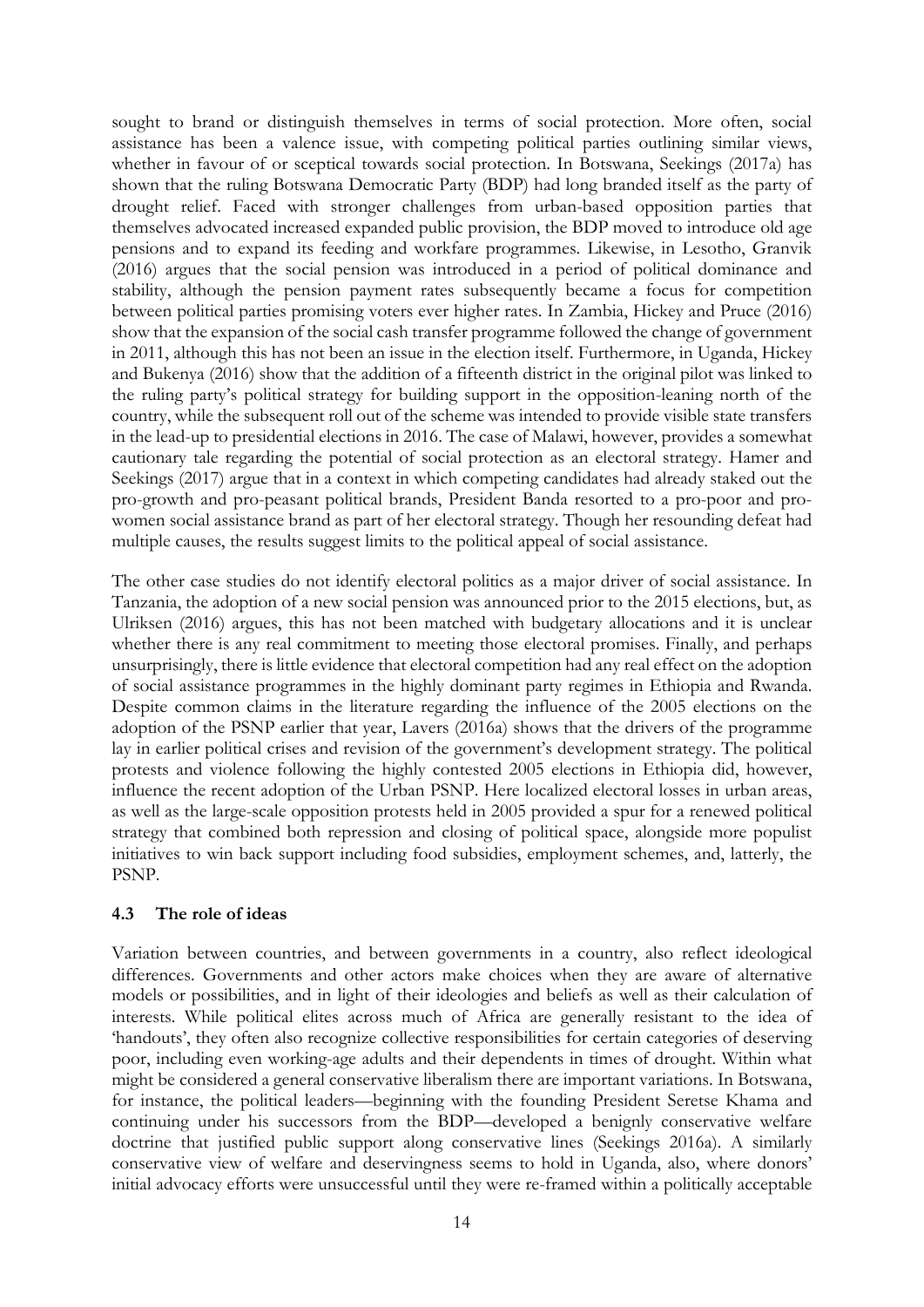sought to brand or distinguish themselves in terms of social protection. More often, social assistance has been a valence issue, with competing political parties outlining similar views, whether in favour of or sceptical towards social protection. In Botswana, Seekings (2017a) has shown that the ruling Botswana Democratic Party (BDP) had long branded itself as the party of drought relief. Faced with stronger challenges from urban-based opposition parties that themselves advocated increased expanded public provision, the BDP moved to introduce old age pensions and to expand its feeding and workfare programmes. Likewise, in Lesotho, Granvik (2016) argues that the social pension was introduced in a period of political dominance and stability, although the pension payment rates subsequently became a focus for competition between political parties promising voters ever higher rates. In Zambia, Hickey and Pruce (2016) show that the expansion of the social cash transfer programme followed the change of government in 2011, although this has not been an issue in the election itself. Furthermore, in Uganda, Hickey and Bukenya (2016) show that the addition of a fifteenth district in the original pilot was linked to the ruling party's political strategy for building support in the opposition-leaning north of the country, while the subsequent roll out of the scheme was intended to provide visible state transfers in the lead-up to presidential elections in 2016. The case of Malawi, however, provides a somewhat cautionary tale regarding the potential of social protection as an electoral strategy. Hamer and Seekings (2017) argue that in a context in which competing candidates had already staked out the pro-growth and pro-peasant political brands, President Banda resorted to a pro-poor and prowomen social assistance brand as part of her electoral strategy. Though her resounding defeat had multiple causes, the results suggest limits to the political appeal of social assistance.

The other case studies do not identify electoral politics as a major driver of social assistance. In Tanzania, the adoption of a new social pension was announced prior to the 2015 elections, but, as Ulriksen (2016) argues, this has not been matched with budgetary allocations and it is unclear whether there is any real commitment to meeting those electoral promises. Finally, and perhaps unsurprisingly, there is little evidence that electoral competition had any real effect on the adoption of social assistance programmes in the highly dominant party regimes in Ethiopia and Rwanda. Despite common claims in the literature regarding the influence of the 2005 elections on the adoption of the PSNP earlier that year, Lavers (2016a) shows that the drivers of the programme lay in earlier political crises and revision of the government's development strategy. The political protests and violence following the highly contested 2005 elections in Ethiopia did, however, influence the recent adoption of the Urban PSNP. Here localized electoral losses in urban areas, as well as the large-scale opposition protests held in 2005 provided a spur for a renewed political strategy that combined both repression and closing of political space, alongside more populist initiatives to win back support including food subsidies, employment schemes, and, latterly, the PSNP.

### **4.3 The role of ideas**

Variation between countries, and between governments in a country, also reflect ideological differences. Governments and other actors make choices when they are aware of alternative models or possibilities, and in light of their ideologies and beliefs as well as their calculation of interests. While political elites across much of Africa are generally resistant to the idea of 'handouts', they often also recognize collective responsibilities for certain categories of deserving poor, including even working-age adults and their dependents in times of drought. Within what might be considered a general conservative liberalism there are important variations. In Botswana, for instance, the political leaders—beginning with the founding President Seretse Khama and continuing under his successors from the BDP—developed a benignly conservative welfare doctrine that justified public support along conservative lines (Seekings 2016a). A similarly conservative view of welfare and deservingness seems to hold in Uganda, also, where donors' initial advocacy efforts were unsuccessful until they were re-framed within a politically acceptable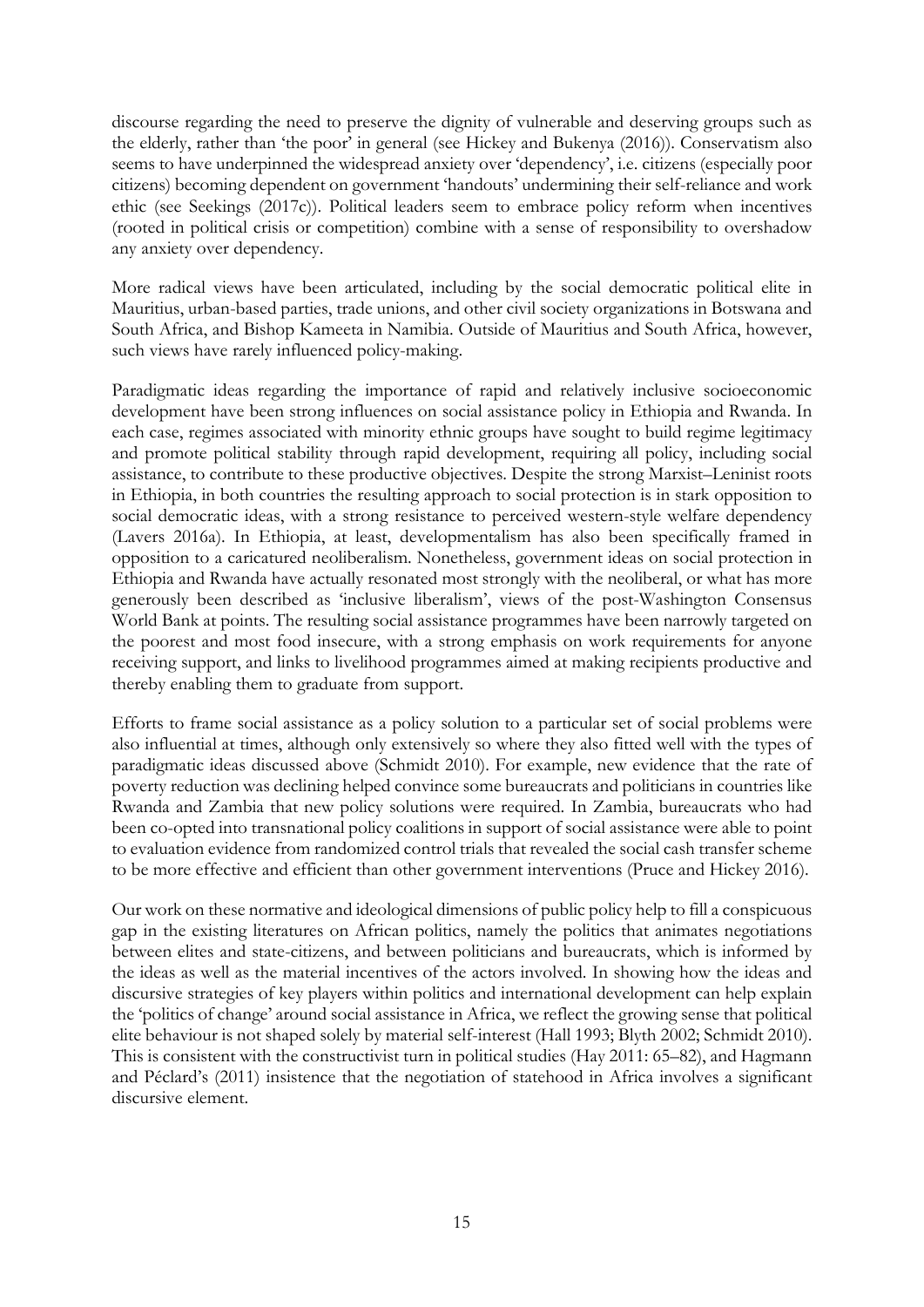discourse regarding the need to preserve the dignity of vulnerable and deserving groups such as the elderly, rather than 'the poor' in general (see Hickey and Bukenya (2016)). Conservatism also seems to have underpinned the widespread anxiety over 'dependency', i.e. citizens (especially poor citizens) becoming dependent on government 'handouts' undermining their self-reliance and work ethic (see Seekings (2017c)). Political leaders seem to embrace policy reform when incentives (rooted in political crisis or competition) combine with a sense of responsibility to overshadow any anxiety over dependency.

More radical views have been articulated, including by the social democratic political elite in Mauritius, urban-based parties, trade unions, and other civil society organizations in Botswana and South Africa, and Bishop Kameeta in Namibia. Outside of Mauritius and South Africa, however, such views have rarely influenced policy-making.

Paradigmatic ideas regarding the importance of rapid and relatively inclusive socioeconomic development have been strong influences on social assistance policy in Ethiopia and Rwanda. In each case, regimes associated with minority ethnic groups have sought to build regime legitimacy and promote political stability through rapid development, requiring all policy, including social assistance, to contribute to these productive objectives. Despite the strong Marxist–Leninist roots in Ethiopia, in both countries the resulting approach to social protection is in stark opposition to social democratic ideas, with a strong resistance to perceived western-style welfare dependency (Lavers 2016a). In Ethiopia, at least, developmentalism has also been specifically framed in opposition to a caricatured neoliberalism. Nonetheless, government ideas on social protection in Ethiopia and Rwanda have actually resonated most strongly with the neoliberal, or what has more generously been described as 'inclusive liberalism', views of the post-Washington Consensus World Bank at points. The resulting social assistance programmes have been narrowly targeted on the poorest and most food insecure, with a strong emphasis on work requirements for anyone receiving support, and links to livelihood programmes aimed at making recipients productive and thereby enabling them to graduate from support.

Efforts to frame social assistance as a policy solution to a particular set of social problems were also influential at times, although only extensively so where they also fitted well with the types of paradigmatic ideas discussed above (Schmidt 2010). For example, new evidence that the rate of poverty reduction was declining helped convince some bureaucrats and politicians in countries like Rwanda and Zambia that new policy solutions were required. In Zambia, bureaucrats who had been co-opted into transnational policy coalitions in support of social assistance were able to point to evaluation evidence from randomized control trials that revealed the social cash transfer scheme to be more effective and efficient than other government interventions (Pruce and Hickey 2016).

Our work on these normative and ideological dimensions of public policy help to fill a conspicuous gap in the existing literatures on African politics, namely the politics that animates negotiations between elites and state-citizens, and between politicians and bureaucrats, which is informed by the ideas as well as the material incentives of the actors involved. In showing how the ideas and discursive strategies of key players within politics and international development can help explain the 'politics of change' around social assistance in Africa, we reflect the growing sense that political elite behaviour is not shaped solely by material self-interest (Hall 1993; Blyth 2002; Schmidt 2010). This is consistent with the constructivist turn in political studies (Hay 2011: 65–82), and Hagmann and Péclard's (2011) insistence that the negotiation of statehood in Africa involves a significant discursive element.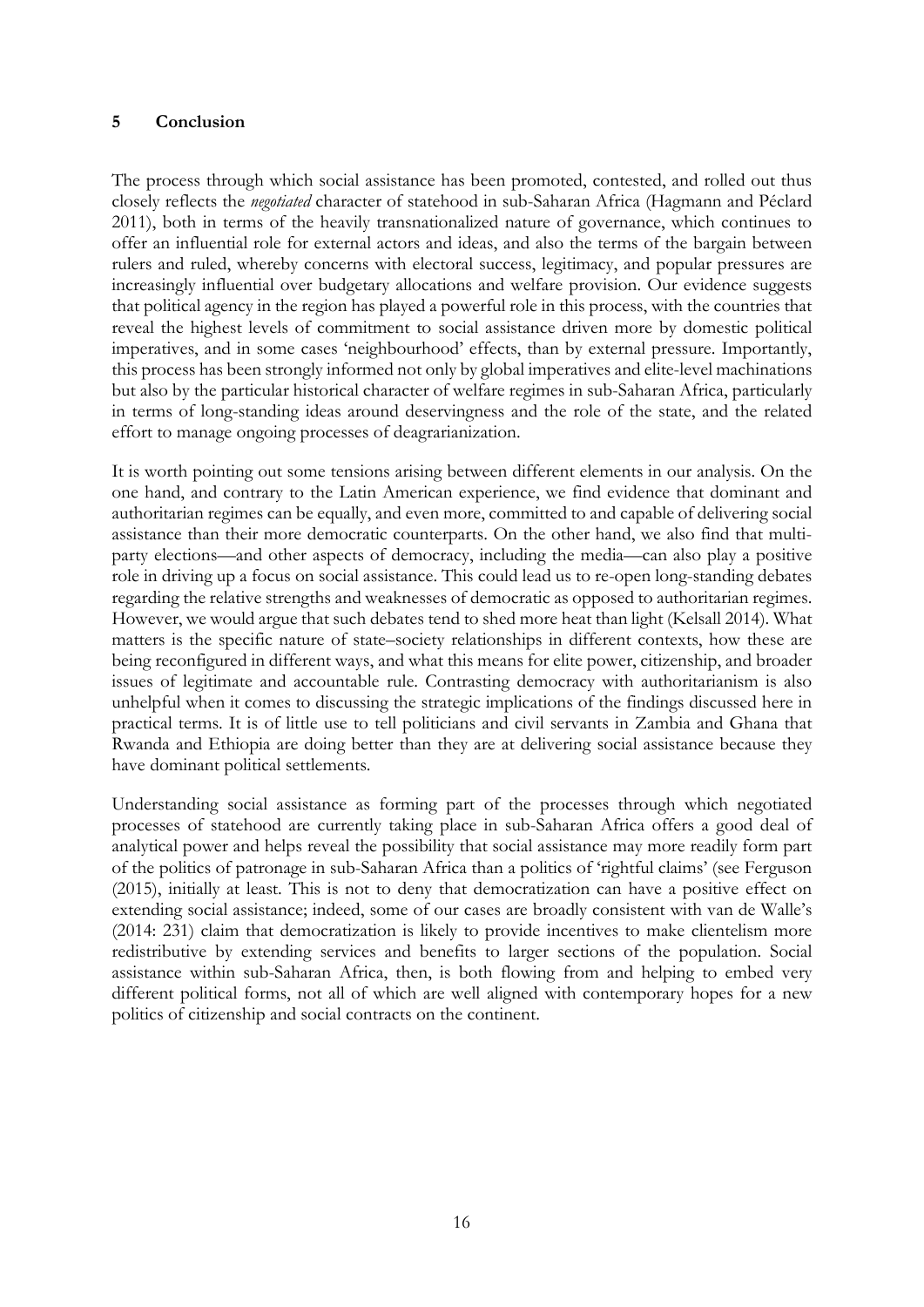#### **5 Conclusion**

The process through which social assistance has been promoted, contested, and rolled out thus closely reflects the *negotiated* character of statehood in sub-Saharan Africa (Hagmann and Péclard 2011), both in terms of the heavily transnationalized nature of governance, which continues to offer an influential role for external actors and ideas, and also the terms of the bargain between rulers and ruled, whereby concerns with electoral success, legitimacy, and popular pressures are increasingly influential over budgetary allocations and welfare provision. Our evidence suggests that political agency in the region has played a powerful role in this process, with the countries that reveal the highest levels of commitment to social assistance driven more by domestic political imperatives, and in some cases 'neighbourhood' effects, than by external pressure. Importantly, this process has been strongly informed not only by global imperatives and elite-level machinations but also by the particular historical character of welfare regimes in sub-Saharan Africa, particularly in terms of long-standing ideas around deservingness and the role of the state, and the related effort to manage ongoing processes of deagrarianization.

It is worth pointing out some tensions arising between different elements in our analysis. On the one hand, and contrary to the Latin American experience, we find evidence that dominant and authoritarian regimes can be equally, and even more, committed to and capable of delivering social assistance than their more democratic counterparts. On the other hand, we also find that multiparty elections—and other aspects of democracy, including the media—can also play a positive role in driving up a focus on social assistance. This could lead us to re-open long-standing debates regarding the relative strengths and weaknesses of democratic as opposed to authoritarian regimes. However, we would argue that such debates tend to shed more heat than light (Kelsall 2014). What matters is the specific nature of state–society relationships in different contexts, how these are being reconfigured in different ways, and what this means for elite power, citizenship, and broader issues of legitimate and accountable rule. Contrasting democracy with authoritarianism is also unhelpful when it comes to discussing the strategic implications of the findings discussed here in practical terms. It is of little use to tell politicians and civil servants in Zambia and Ghana that Rwanda and Ethiopia are doing better than they are at delivering social assistance because they have dominant political settlements.

Understanding social assistance as forming part of the processes through which negotiated processes of statehood are currently taking place in sub-Saharan Africa offers a good deal of analytical power and helps reveal the possibility that social assistance may more readily form part of the politics of patronage in sub-Saharan Africa than a politics of 'rightful claims' (see Ferguson (2015), initially at least. This is not to deny that democratization can have a positive effect on extending social assistance; indeed, some of our cases are broadly consistent with van de Walle's (2014: 231) claim that democratization is likely to provide incentives to make clientelism more redistributive by extending services and benefits to larger sections of the population. Social assistance within sub-Saharan Africa, then, is both flowing from and helping to embed very different political forms, not all of which are well aligned with contemporary hopes for a new politics of citizenship and social contracts on the continent.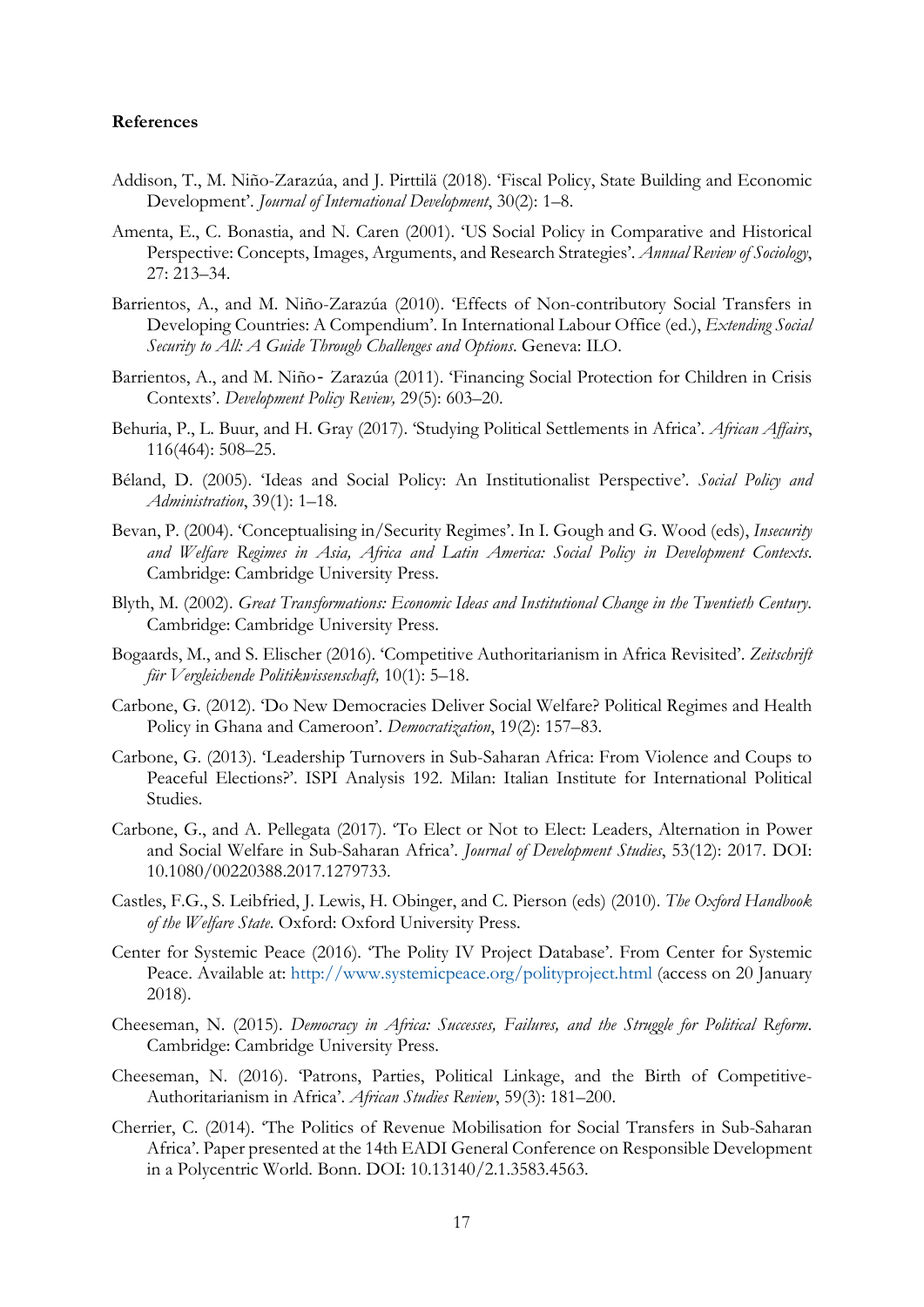#### **References**

- Addison, T., M. Niño-Zarazúa, and J. Pirttilä (2018). 'Fiscal Policy, State Building and Economic Development'. *Journal of International Development*, 30(2): 1–8.
- Amenta, E., C. Bonastia, and N. Caren (2001). 'US Social Policy in Comparative and Historical Perspective: Concepts, Images, Arguments, and Research Strategies'. *Annual Review of Sociology*, 27: 213–34.
- Barrientos, A., and M. Niño-Zarazúa (2010). 'Effects of Non-contributory Social Transfers in Developing Countries: A Compendium'. In International Labour Office (ed.), *Extending Social Security to All: A Guide Through Challenges and Options*. Geneva: ILO.
- Barrientos, A., and M. Niño Zarazúa (2011). 'Financing Social Protection for Children in Crisis Contexts'. *Development Policy Review,* 29(5): 603–20.
- Behuria, P., L. Buur, and H. Gray (2017). 'Studying Political Settlements in Africa'. *African Affairs*, 116(464): 508–25.
- Béland, D. (2005). 'Ideas and Social Policy: An Institutionalist Perspective'. *Social Policy and Administration*, 39(1): 1–18.
- Bevan, P. (2004). 'Conceptualising in/Security Regimes'. In I. Gough and G. Wood (eds), *Insecurity and Welfare Regimes in Asia, Africa and Latin America: Social Policy in Development Contexts*. Cambridge: Cambridge University Press.
- Blyth, M. (2002). *Great Transformations: Economic Ideas and Institutional Change in the Twentieth Century*. Cambridge: Cambridge University Press.
- Bogaards, M., and S. Elischer (2016). 'Competitive Authoritarianism in Africa Revisited'. *Zeitschrift für Vergleichende Politikwissenschaft,* 10(1): 5–18.
- Carbone, G. (2012). 'Do New Democracies Deliver Social Welfare? Political Regimes and Health Policy in Ghana and Cameroon'. *Democratization*, 19(2): 157–83.
- Carbone, G. (2013). 'Leadership Turnovers in Sub-Saharan Africa: From Violence and Coups to Peaceful Elections?'. ISPI Analysis 192. Milan: Italian Institute for International Political Studies.
- Carbone, G., and A. Pellegata (2017). 'To Elect or Not to Elect: Leaders, Alternation in Power and Social Welfare in Sub-Saharan Africa'. *Journal of Development Studies*, 53(12): 2017. DOI: 10.1080/00220388.2017.1279733.
- Castles, F.G., S. Leibfried, J. Lewis, H. Obinger, and C. Pierson (eds) (2010). *The Oxford Handbook of the Welfare State*. Oxford: Oxford University Press.
- Center for Systemic Peace (2016). 'The Polity IV Project Database'. From Center for Systemic Peace. Available at: <http://www.systemicpeace.org/polityproject.html> (access on 20 January 2018).
- Cheeseman, N. (2015). *Democracy in Africa: Successes, Failures, and the Struggle for Political Reform*. Cambridge: Cambridge University Press.
- Cheeseman, N. (2016). 'Patrons, Parties, Political Linkage, and the Birth of Competitive-Authoritarianism in Africa'. *African Studies Review*, 59(3): 181–200.
- Cherrier, C. (2014). 'The Politics of Revenue Mobilisation for Social Transfers in Sub-Saharan Africa'. Paper presented at the 14th EADI General Conference on Responsible Development in a Polycentric World. Bonn. DOI: 10.13140/2.1.3583.4563.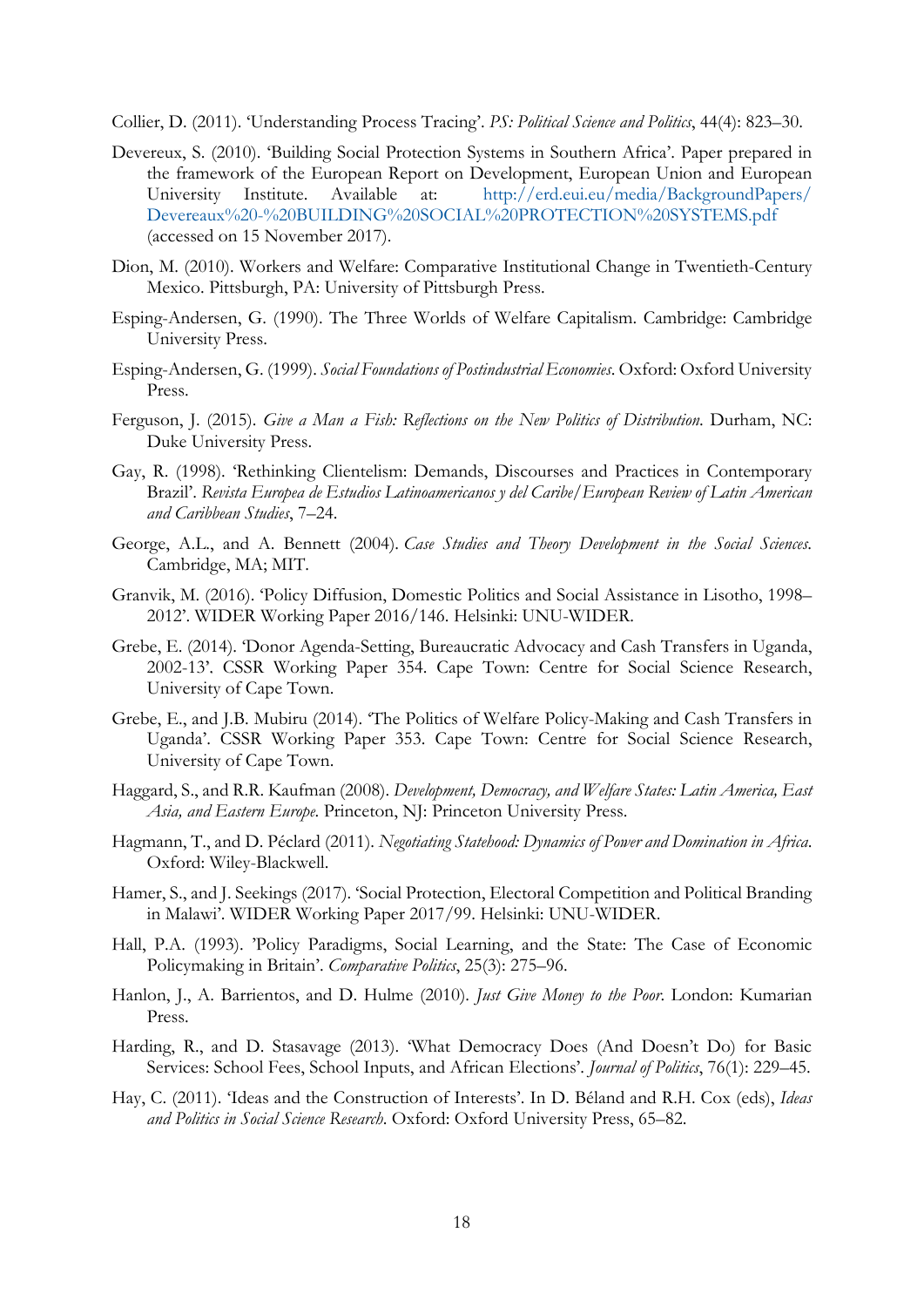Collier, D. (2011). 'Understanding Process Tracing'. *PS: Political Science and Politics*, 44(4): 823–30.

- Devereux, S. (2010). 'Building Social Protection Systems in Southern Africa'. Paper prepared in the framework of the European Report on Development, European Union and European University Institute. Available at: [http://erd.eui.eu/media/BackgroundPapers/](http://erd.eui.eu/media/BackgroundPapers/%0bDevereaux%20-%20BUILDING%20SOCIAL%20PROTECTION%20SYSTEMS.pdf) [Devereaux%20-%20BUILDING%20SOCIAL%20PROTECTION%20SYSTEMS.pdf](http://erd.eui.eu/media/BackgroundPapers/%0bDevereaux%20-%20BUILDING%20SOCIAL%20PROTECTION%20SYSTEMS.pdf) (accessed on 15 November 2017).
- Dion, M. (2010). Workers and Welfare: Comparative Institutional Change in Twentieth-Century Mexico. Pittsburgh, PA: University of Pittsburgh Press.
- Esping-Andersen, G. (1990). The Three Worlds of Welfare Capitalism. Cambridge: Cambridge University Press.
- Esping-Andersen, G. (1999). *Social Foundations of Postindustrial Economies*. Oxford: Oxford University Press.
- Ferguson, J. (2015). *Give a Man a Fish: Reflections on the New Politics of Distribution*. Durham, NC: Duke University Press.
- Gay, R. (1998). 'Rethinking Clientelism: Demands, Discourses and Practices in Contemporary Brazil'. *Revista Europea de Estudios Latinoamericanos y del Caribe/European Review of Latin American and Caribbean Studies*, 7–24.
- George, A.L., and A. Bennett (2004). *Case Studies and Theory Development in the Social Sciences*. Cambridge, MA; MIT.
- Granvik, M. (2016). 'Policy Diffusion, Domestic Politics and Social Assistance in Lisotho, 1998– 2012'. WIDER Working Paper 2016/146. Helsinki: UNU-WIDER.
- Grebe, E. (2014). 'Donor Agenda-Setting, Bureaucratic Advocacy and Cash Transfers in Uganda, 2002-13'. CSSR Working Paper 354. Cape Town: Centre for Social Science Research, University of Cape Town.
- Grebe, E., and J.B. Mubiru (2014). 'The Politics of Welfare Policy-Making and Cash Transfers in Uganda'. CSSR Working Paper 353. Cape Town: Centre for Social Science Research, University of Cape Town.
- Haggard, S., and R.R. Kaufman (2008). *Development, Democracy, and Welfare States: Latin America, East Asia, and Eastern Europe*. Princeton, NJ: Princeton University Press.
- Hagmann, T., and D. Péclard (2011). *Negotiating Statehood: Dynamics of Power and Domination in Africa*. Oxford: Wiley-Blackwell.
- Hamer, S., and J. Seekings (2017). 'Social Protection, Electoral Competition and Political Branding in Malawi'. WIDER Working Paper 2017/99. Helsinki: UNU-WIDER.
- Hall, P.A. (1993). 'Policy Paradigms, Social Learning, and the State: The Case of Economic Policymaking in Britain'. *Comparative Politics*, 25(3): 275–96.
- Hanlon, J., A. Barrientos, and D. Hulme (2010). *Just Give Money to the Poor*. London: Kumarian Press.
- Harding, R., and D. Stasavage (2013). 'What Democracy Does (And Doesn't Do) for Basic Services: School Fees, School Inputs, and African Elections'. *Journal of Politics*, 76(1): 229–45.
- Hay, C. (2011). 'Ideas and the Construction of Interests'. In D. Béland and R.H. Cox (eds), *Ideas and Politics in Social Science Research*. Oxford: Oxford University Press, 65–82.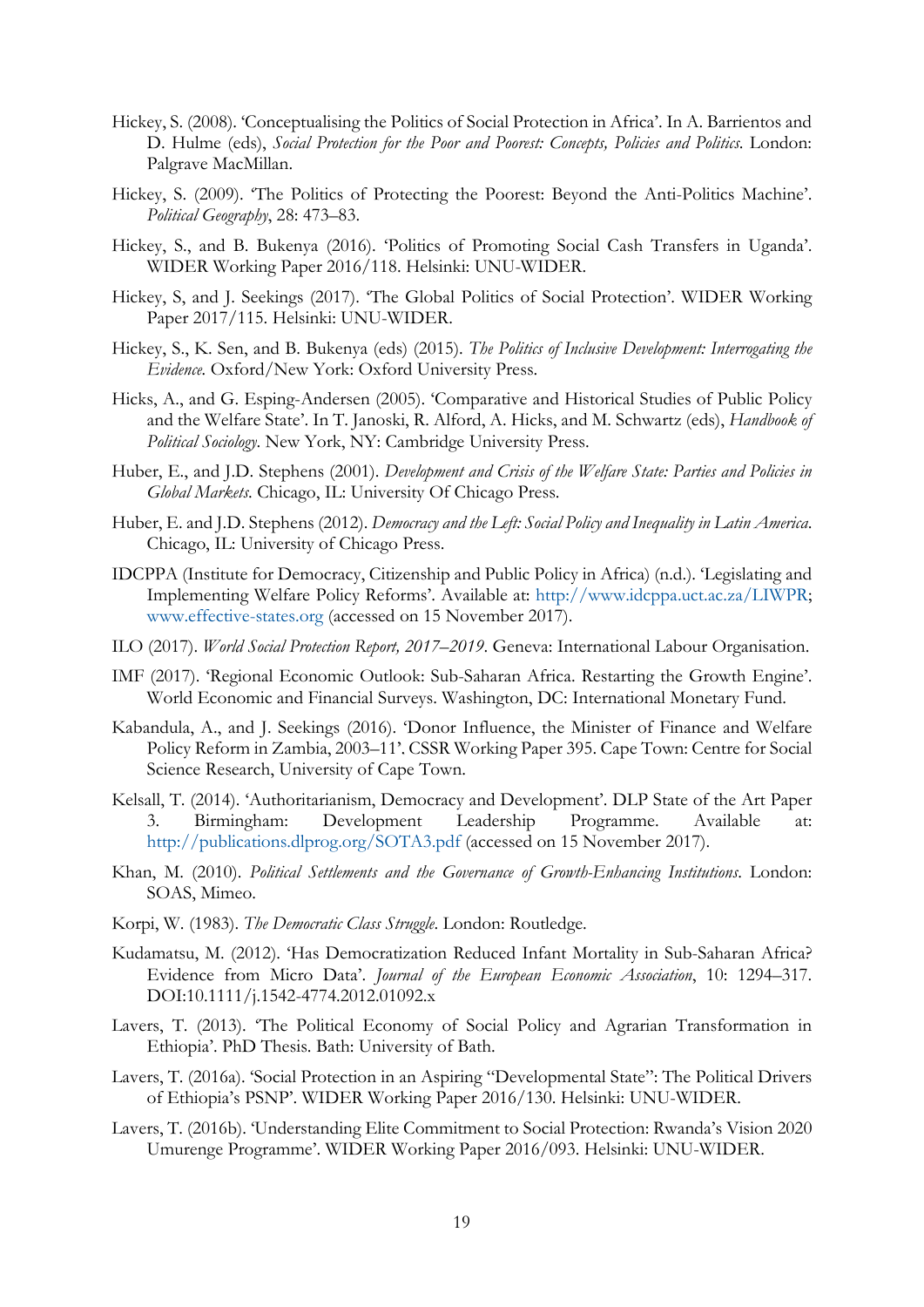- Hickey, S. (2008). 'Conceptualising the Politics of Social Protection in Africa'. In A. Barrientos and D. Hulme (eds), *Social Protection for the Poor and Poorest: Concepts, Policies and Politics*. London: Palgrave MacMillan.
- Hickey, S. (2009). 'The Politics of Protecting the Poorest: Beyond the Anti-Politics Machine'. *Political Geography*, 28: 473–83.
- Hickey, S., and B. Bukenya (2016). 'Politics of Promoting Social Cash Transfers in Uganda'. WIDER Working Paper 2016/118. Helsinki: UNU-WIDER.
- Hickey, S, and J. Seekings (2017). 'The Global Politics of Social Protection'. WIDER Working Paper 2017/115. Helsinki: UNU-WIDER.
- Hickey, S., K. Sen, and B. Bukenya (eds) (2015). *The Politics of Inclusive Development: Interrogating the Evidence.* Oxford/New York: Oxford University Press.
- Hicks, A., and G. Esping-Andersen (2005). 'Comparative and Historical Studies of Public Policy and the Welfare State'. In T. Janoski, R. Alford, A. Hicks, and M. Schwartz (eds), *Handbook of Political Sociology*. New York, NY: Cambridge University Press.
- Huber, E., and J.D. Stephens (2001). *Development and Crisis of the Welfare State: Parties and Policies in Global Markets*. Chicago, IL: University Of Chicago Press.
- Huber, E. and J.D. Stephens (2012). *Democracy and the Left: Social Policy and Inequality in Latin America*. Chicago, IL: University of Chicago Press.
- IDCPPA (Institute for Democracy, Citizenship and Public Policy in Africa) (n.d.). 'Legislating and Implementing Welfare Policy Reforms'. Available at: [http://www.idcppa.uct.ac.za/LIWPR;](http://www.idcppa.uct.ac.za/LIWPR) [www.effective-states.org](http://www.effective-states.org/) (accessed on 15 November 2017).
- ILO (2017). *World Social Protection Report, 2017–2019*. Geneva: International Labour Organisation.
- IMF (2017). 'Regional Economic Outlook: Sub-Saharan Africa. Restarting the Growth Engine'. World Economic and Financial Surveys. Washington, DC: International Monetary Fund.
- Kabandula, A., and J. Seekings (2016). 'Donor Influence, the Minister of Finance and Welfare Policy Reform in Zambia, 2003–11'. CSSR Working Paper 395. Cape Town: Centre for Social Science Research, University of Cape Town.
- Kelsall, T. (2014). 'Authoritarianism, Democracy and Development'. DLP State of the Art Paper 3. Birmingham: Development Leadership Programme. Available at: <http://publications.dlprog.org/SOTA3.pdf> (accessed on 15 November 2017).
- Khan, M. (2010). *Political Settlements and the Governance of Growth-Enhancing Institutions*. London: SOAS, Mimeo.
- Korpi, W. (1983). *The Democratic Class Struggle*. London: Routledge.
- Kudamatsu, M. (2012). 'Has Democratization Reduced Infant Mortality in Sub-Saharan Africa? Evidence from Micro Data'. *Journal of the European Economic Association*, 10: 1294–317. DOI:10.1111/j.1542-4774.2012.01092.x
- Lavers, T. (2013). 'The Political Economy of Social Policy and Agrarian Transformation in Ethiopia'. PhD Thesis. Bath: University of Bath.
- Lavers, T. (2016a). 'Social Protection in an Aspiring "Developmental State": The Political Drivers of Ethiopia's PSNP'. WIDER Working Paper 2016/130. Helsinki: UNU-WIDER.
- Lavers, T. (2016b). 'Understanding Elite Commitment to Social Protection: Rwanda's Vision 2020 Umurenge Programme'. WIDER Working Paper 2016/093. Helsinki: UNU-WIDER.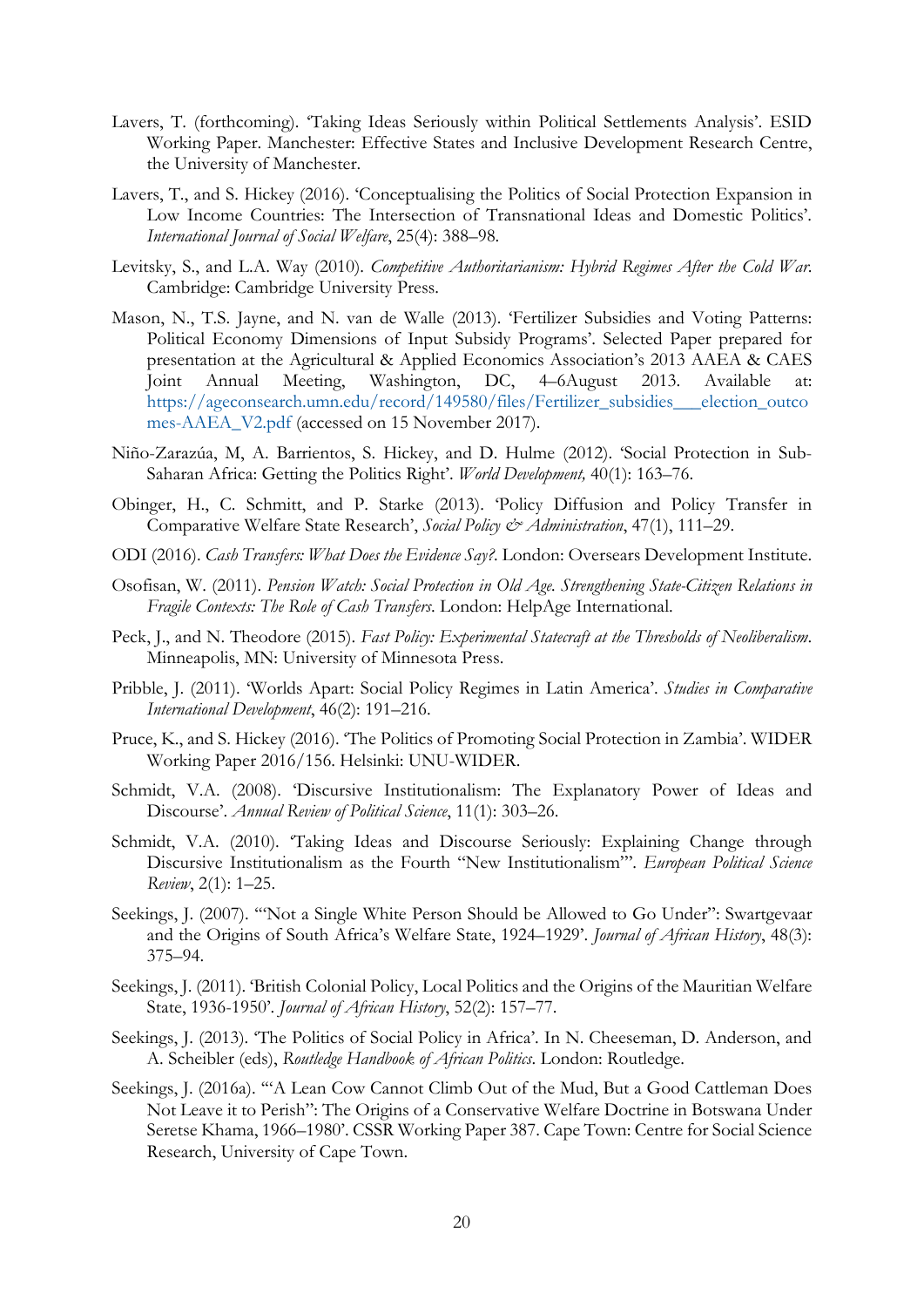- Lavers, T. (forthcoming). 'Taking Ideas Seriously within Political Settlements Analysis'. ESID Working Paper. Manchester: Effective States and Inclusive Development Research Centre, the University of Manchester.
- Lavers, T., and S. Hickey (2016). 'Conceptualising the Politics of Social Protection Expansion in Low Income Countries: The Intersection of Transnational Ideas and Domestic Politics'. *International Journal of Social Welfare*, 25(4): 388–98.
- Levitsky, S., and L.A. Way (2010). *Competitive Authoritarianism: Hybrid Regimes After the Cold War*. Cambridge: Cambridge University Press.
- Mason, N., T.S. Jayne, and N. van de Walle (2013). 'Fertilizer Subsidies and Voting Patterns: Political Economy Dimensions of Input Subsidy Programs'. Selected Paper prepared for presentation at the Agricultural & Applied Economics Association's 2013 AAEA & CAES Joint Annual Meeting, Washington, DC, 4–6August 2013. Available at: [https://ageconsearch.umn.edu/record/149580/files/Fertilizer\\_subsidies\\_\\_\\_election\\_outco](https://ageconsearch.umn.edu/record/149580/files/Fertilizer_subsidies___election_outcomes-AAEA_V2.pdf) [mes-AAEA\\_V2.pdf](https://ageconsearch.umn.edu/record/149580/files/Fertilizer_subsidies___election_outcomes-AAEA_V2.pdf) (accessed on 15 November 2017).
- Niño-Zarazúa, M, A. Barrientos, S. Hickey, and D. Hulme (2012). 'Social Protection in Sub-Saharan Africa: Getting the Politics Right'. *World Development,* 40(1): 163–76.
- Obinger, H., C. Schmitt, and P. Starke (2013). 'Policy Diffusion and Policy Transfer in Comparative Welfare State Research', *Social Policy & Administration*, 47(1), 111–29.
- ODI (2016). *Cash Transfers: What Does the Evidence Say?*. London: Oversears Development Institute.
- Osofisan, W. (2011). *Pension Watch: Social Protection in Old Age. Strengthening State-Citizen Relations in Fragile Contexts: The Role of Cash Transfers*. London: HelpAge International.
- Peck, J., and N. Theodore (2015). *Fast Policy: Experimental Statecraft at the Thresholds of Neoliberalism*. Minneapolis, MN: University of Minnesota Press.
- Pribble, J. (2011). 'Worlds Apart: Social Policy Regimes in Latin America'. *Studies in Comparative International Development*, 46(2): 191–216.
- Pruce, K., and S. Hickey (2016). 'The Politics of Promoting Social Protection in Zambia'. WIDER Working Paper 2016/156. Helsinki: UNU-WIDER.
- Schmidt, V.A. (2008). 'Discursive Institutionalism: The Explanatory Power of Ideas and Discourse'. *Annual Review of Political Science*, 11(1): 303–26.
- Schmidt, V.A. (2010). 'Taking Ideas and Discourse Seriously: Explaining Change through Discursive Institutionalism as the Fourth "New Institutionalism"'. *European Political Science Review*, 2(1): 1–25.
- Seekings, J. (2007). '"Not a Single White Person Should be Allowed to Go Under": Swartgevaar and the Origins of South Africa's Welfare State, 1924–1929'. *Journal of African History*, 48(3): 375–94.
- Seekings, J. (2011). 'British Colonial Policy, Local Politics and the Origins of the Mauritian Welfare State, 1936-1950'. *Journal of African History*, 52(2): 157–77.
- Seekings, J. (2013). 'The Politics of Social Policy in Africa'. In N. Cheeseman, D. Anderson, and A. Scheibler (eds), *Routledge Handbook of African Politics*. London: Routledge.
- Seekings, J. (2016a). '"A Lean Cow Cannot Climb Out of the Mud, But a Good Cattleman Does Not Leave it to Perish": The Origins of a Conservative Welfare Doctrine in Botswana Under Seretse Khama, 1966–1980'. CSSR Working Paper 387. Cape Town: Centre for Social Science Research, University of Cape Town.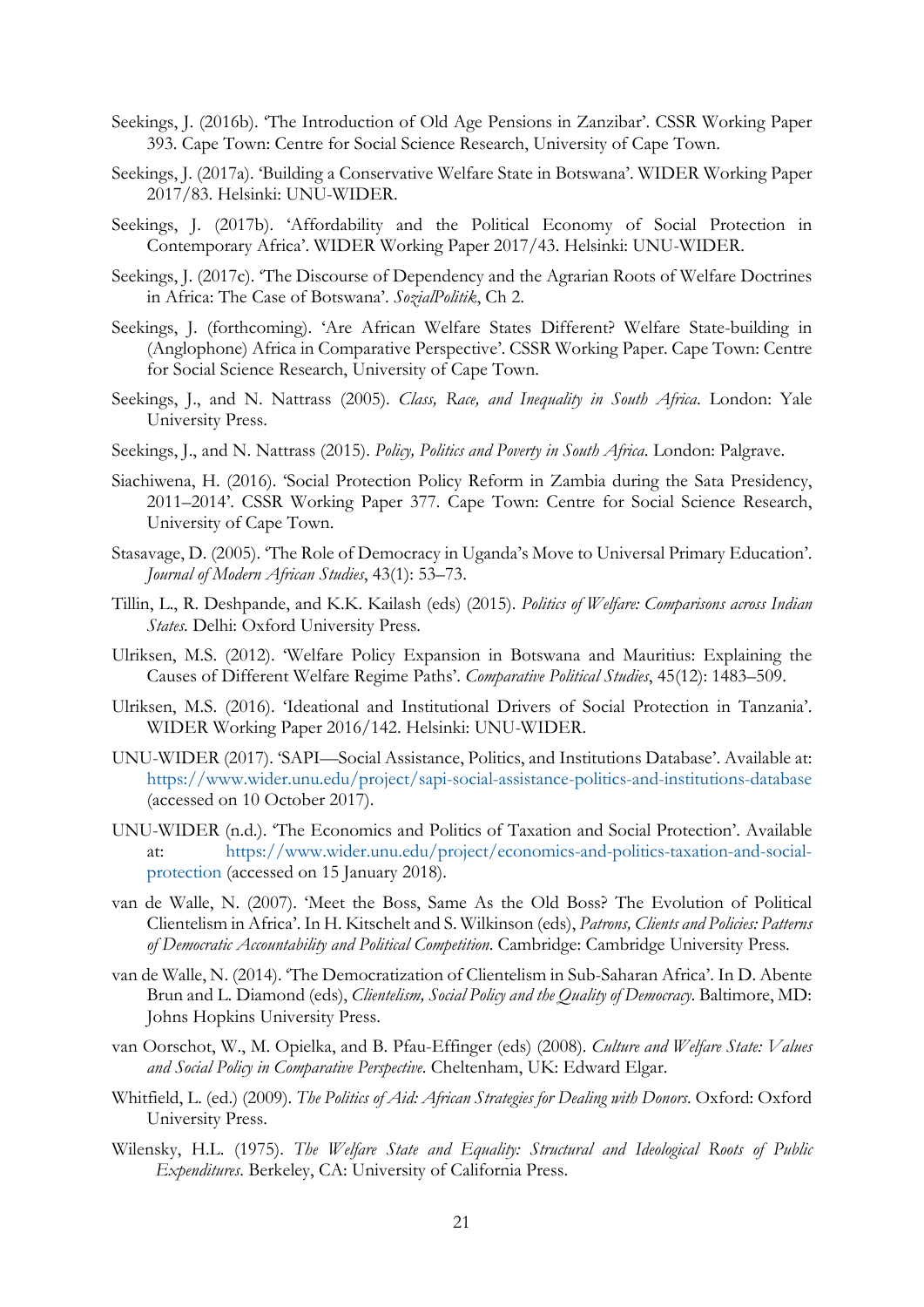- Seekings, J. (2016b). 'The Introduction of Old Age Pensions in Zanzibar'. CSSR Working Paper 393. Cape Town: Centre for Social Science Research, University of Cape Town.
- Seekings, J. (2017a). 'Building a Conservative Welfare State in Botswana'. WIDER Working Paper 2017/83. Helsinki: UNU-WIDER.
- Seekings, J. (2017b). 'Affordability and the Political Economy of Social Protection in Contemporary Africa'. WIDER Working Paper 2017/43. Helsinki: UNU-WIDER.
- Seekings, J. (2017c). 'The Discourse of Dependency and the Agrarian Roots of Welfare Doctrines in Africa: The Case of Botswana'. *SozialPolitik*, Ch 2.
- Seekings, J. (forthcoming). 'Are African Welfare States Different? Welfare State-building in (Anglophone) Africa in Comparative Perspective'. CSSR Working Paper. Cape Town: Centre for Social Science Research, University of Cape Town.
- Seekings, J., and N. Nattrass (2005). *Class, Race, and Inequality in South Africa*. London: Yale University Press.
- Seekings, J., and N. Nattrass (2015). *Policy, Politics and Poverty in South Africa*. London: Palgrave.
- Siachiwena, H. (2016). 'Social Protection Policy Reform in Zambia during the Sata Presidency, 2011–2014'. CSSR Working Paper 377. Cape Town: Centre for Social Science Research, University of Cape Town.
- Stasavage, D. (2005). 'The Role of Democracy in Uganda's Move to Universal Primary Education'. *Journal of Modern African Studies*, 43(1): 53–73.
- Tillin, L., R. Deshpande, and K.K. Kailash (eds) (2015). *Politics of Welfare: Comparisons across Indian States*. Delhi: Oxford University Press.
- Ulriksen, M.S. (2012). 'Welfare Policy Expansion in Botswana and Mauritius: Explaining the Causes of Different Welfare Regime Paths'. *Comparative Political Studies*, 45(12): 1483–509.
- Ulriksen, M.S. (2016). 'Ideational and Institutional Drivers of Social Protection in Tanzania'. WIDER Working Paper 2016/142. Helsinki: UNU-WIDER.
- UNU-WIDER (2017). 'SAPI—Social Assistance, Politics, and Institutions Database'. Available at: <https://www.wider.unu.edu/project/sapi-social-assistance-politics-and-institutions-database> (accessed on 10 October 2017).
- UNU-WIDER (n.d.). 'The Economics and Politics of Taxation and Social Protection'. Available at: [https://www.wider.unu.edu/project/economics-and-politics-taxation-and-social](https://www.wider.unu.edu/project/economics-and-politics-taxation-and-social-protection)[protection](https://www.wider.unu.edu/project/economics-and-politics-taxation-and-social-protection) (accessed on 15 January 2018).
- van de Walle, N. (2007). 'Meet the Boss, Same As the Old Boss? The Evolution of Political Clientelism in Africa'. In H. Kitschelt and S. Wilkinson (eds), *Patrons, Clients and Policies: Patterns of Democratic Accountability and Political Competition*. Cambridge: Cambridge University Press.
- van de Walle, N. (2014). 'The Democratization of Clientelism in Sub-Saharan Africa'. In D. Abente Brun and L. Diamond (eds), *Clientelism, Social Policy and the Quality of Democracy*. Baltimore, MD: Johns Hopkins University Press.
- van Oorschot, W., M. Opielka, and B. Pfau-Effinger (eds) (2008). *Culture and Welfare State: Values and Social Policy in Comparative Perspective*. Cheltenham, UK: Edward Elgar.
- Whitfield, L. (ed.) (2009). *The Politics of Aid: African Strategies for Dealing with Donors*. Oxford: Oxford University Press.
- Wilensky, H.L. (1975). *The Welfare State and Equality: Structural and Ideological Roots of Public Expenditures*. Berkeley, CA: University of California Press.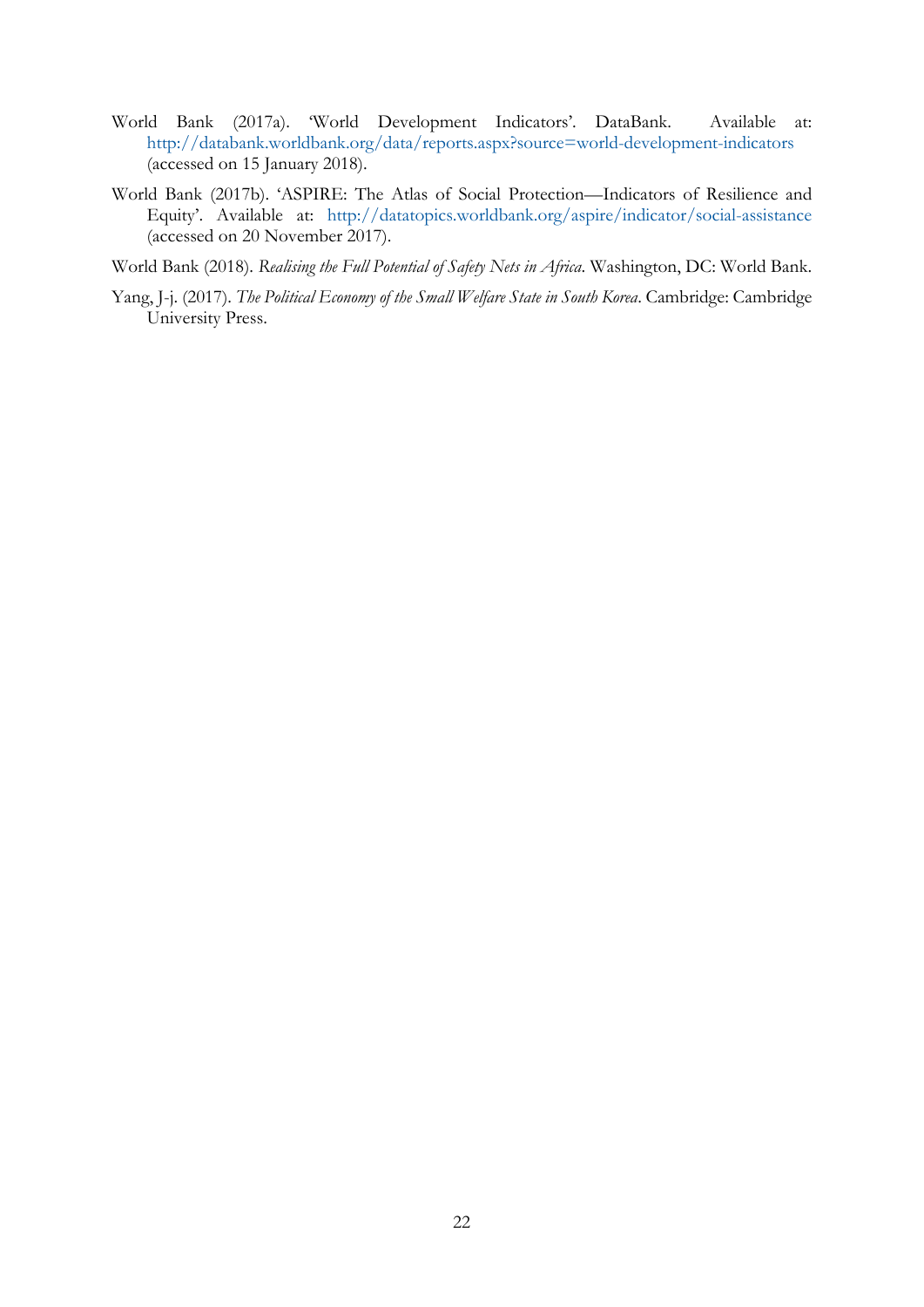- World Bank (2017a). 'World Development Indicators'. DataBank. Available at: <http://databank.worldbank.org/data/reports.aspx?source=world-development-indicators> (accessed on 15 January 2018).
- World Bank (2017b). 'ASPIRE: The Atlas of Social Protection—Indicators of Resilience and Equity'. Available at: <http://datatopics.worldbank.org/aspire/indicator/social-assistance> (accessed on 20 November 2017).
- World Bank (2018). *Realising the Full Potential of Safety Nets in Africa*. Washington, DC: World Bank.
- Yang, J-j. (2017). *The Political Economy of the Small Welfare State in South Korea*. Cambridge: Cambridge University Press.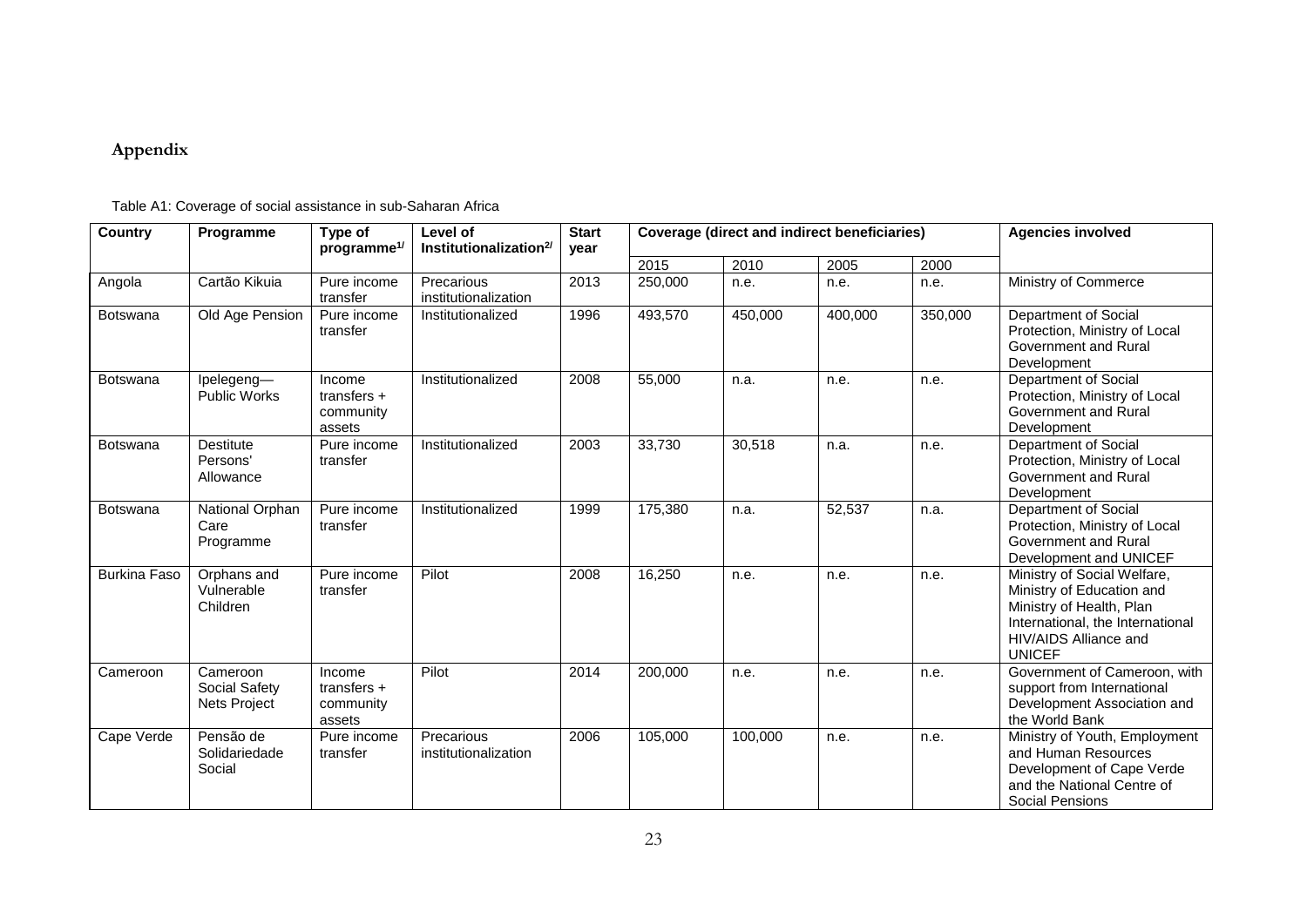# **Appendix**

| <b>Country</b>      | Programme                                        | Type of<br>programme <sup>1/</sup>             | Level of<br>Institutionalization <sup>2/</sup> | <b>Start</b><br>year |         | <b>Coverage (direct and indirect beneficiaries)</b> |         | <b>Agencies involved</b> |                                                                                                                                                                    |
|---------------------|--------------------------------------------------|------------------------------------------------|------------------------------------------------|----------------------|---------|-----------------------------------------------------|---------|--------------------------|--------------------------------------------------------------------------------------------------------------------------------------------------------------------|
|                     |                                                  |                                                |                                                |                      | 2015    | 2010                                                | 2005    | 2000                     |                                                                                                                                                                    |
| Angola              | Cartão Kikuia                                    | Pure income<br>transfer                        | Precarious<br>institutionalization             | 2013                 | 250,000 | n.e.                                                | n.e.    | n.e.                     | Ministry of Commerce                                                                                                                                               |
| Botswana            | Old Age Pension                                  | Pure income<br>transfer                        | Institutionalized                              | 1996                 | 493,570 | 450,000                                             | 400,000 | 350,000                  | Department of Social<br>Protection, Ministry of Local<br>Government and Rural<br>Development                                                                       |
| Botswana            | Ipelegeng-<br>Public Works                       | Income<br>transfers $+$<br>community<br>assets | Institutionalized                              | 2008                 | 55,000  | n.a.                                                | n.e.    | n.e.                     | Department of Social<br>Protection, Ministry of Local<br>Government and Rural<br>Development                                                                       |
| Botswana            | <b>Destitute</b><br>Persons'<br>Allowance        | Pure income<br>transfer                        | Institutionalized                              | 2003                 | 33,730  | 30,518                                              | n.a.    | n.e.                     | Department of Social<br>Protection, Ministry of Local<br>Government and Rural<br>Development                                                                       |
| Botswana            | National Orphan<br>Care<br>Programme             | Pure income<br>transfer                        | Institutionalized                              | 1999                 | 175,380 | n.a.                                                | 52,537  | n.a.                     | Department of Social<br>Protection, Ministry of Local<br>Government and Rural<br>Development and UNICEF                                                            |
| <b>Burkina Faso</b> | Orphans and<br>Vulnerable<br>Children            | Pure income<br>transfer                        | Pilot                                          | 2008                 | 16,250  | n.e.                                                | n.e.    | n.e.                     | Ministry of Social Welfare,<br>Ministry of Education and<br>Ministry of Health, Plan<br>International, the International<br>HIV/AIDS Alliance and<br><b>UNICEF</b> |
| Cameroon            | Cameroon<br>Social Safety<br><b>Nets Project</b> | Income<br>transfers $+$<br>community<br>assets | Pilot                                          | 2014                 | 200,000 | n.e.                                                | n.e.    | n.e.                     | Government of Cameroon, with<br>support from International<br>Development Association and<br>the World Bank                                                        |
| Cape Verde          | Pensão de<br>Solidariedade<br>Social             | Pure income<br>transfer                        | Precarious<br>institutionalization             | 2006                 | 105,000 | 100,000                                             | n.e.    | n.e.                     | Ministry of Youth, Employment<br>and Human Resources<br>Development of Cape Verde<br>and the National Centre of<br><b>Social Pensions</b>                          |

Table A1: Coverage of social assistance in sub-Saharan Africa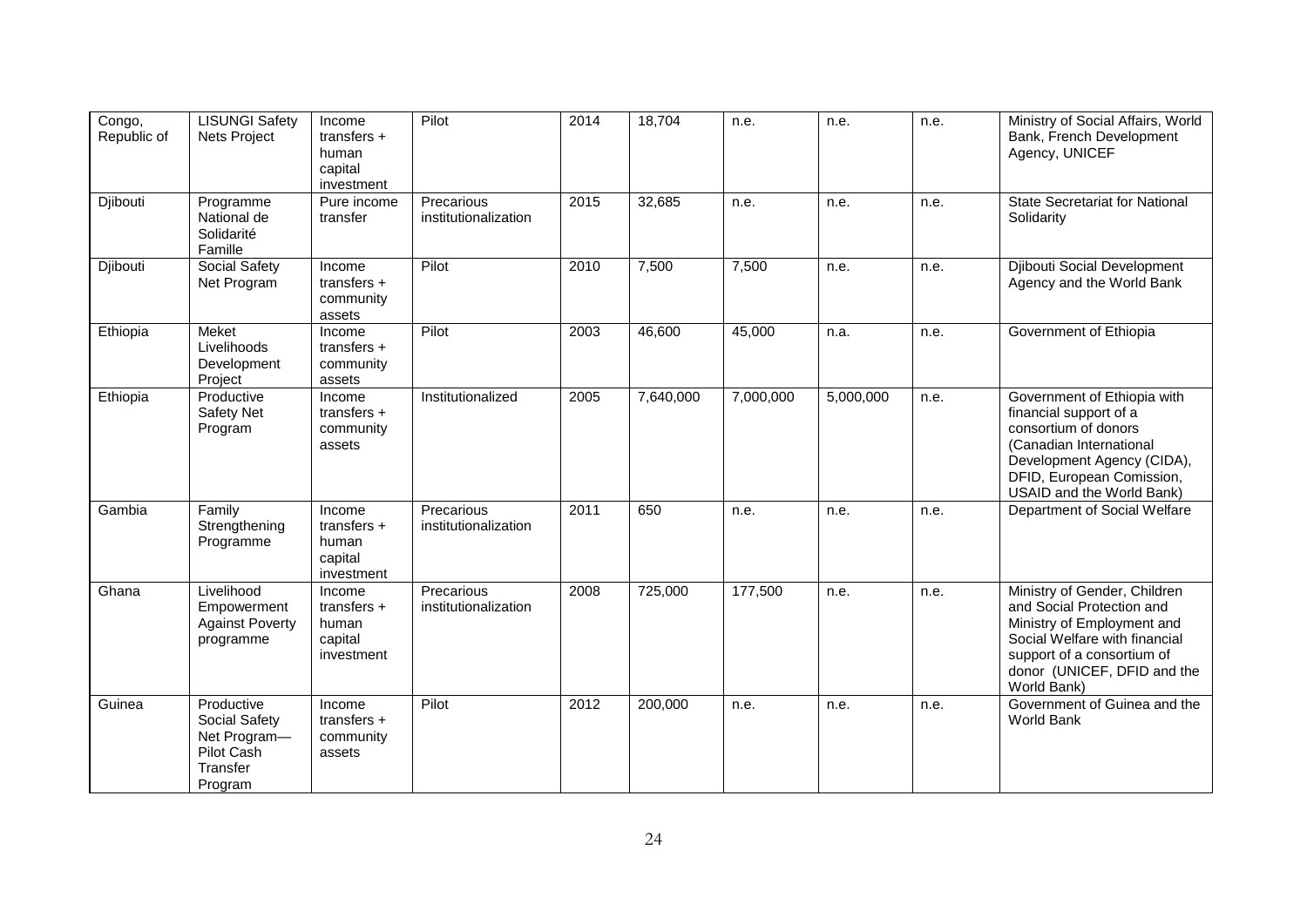| Congo,<br>Republic of | <b>LISUNGI Safety</b><br>Nets Project                                            | Income<br>transfers $+$<br>human<br>capital<br>investment | Pilot                              | 2014 | 18,704    | n.e.      | n.e.      | n.e. | Ministry of Social Affairs, World<br>Bank, French Development<br>Agency, UNICEF                                                                                                                      |
|-----------------------|----------------------------------------------------------------------------------|-----------------------------------------------------------|------------------------------------|------|-----------|-----------|-----------|------|------------------------------------------------------------------------------------------------------------------------------------------------------------------------------------------------------|
| Djibouti              | Programme<br>National de<br>Solidarité<br>Famille                                | Pure income<br>transfer                                   | Precarious<br>institutionalization | 2015 | 32,685    | n.e.      | n.e.      | n.e. | <b>State Secretariat for National</b><br>Solidarity                                                                                                                                                  |
| Djibouti              | Social Safety<br>Net Program                                                     | Income<br>transfers $+$<br>community<br>assets            | Pilot                              | 2010 | 7,500     | 7,500     | n.e.      | n.e. | Djibouti Social Development<br>Agency and the World Bank                                                                                                                                             |
| Ethiopia              | Meket<br>Livelihoods<br>Development<br>Project                                   | Income<br>transfers $+$<br>community<br>assets            | Pilot                              | 2003 | 46,600    | 45,000    | n.a.      | n.e. | Government of Ethiopia                                                                                                                                                                               |
| Ethiopia              | Productive<br><b>Safety Net</b><br>Program                                       | Income<br>transfers $+$<br>community<br>assets            | Institutionalized                  | 2005 | 7,640,000 | 7,000,000 | 5,000,000 | n.e. | Government of Ethiopia with<br>financial support of a<br>consortium of donors<br>(Canadian International<br>Development Agency (CIDA),<br>DFID, European Comission,<br>USAID and the World Bank)     |
| Gambia                | Family<br>Strengthening<br>Programme                                             | Income<br>transfers $+$<br>human<br>capital<br>investment | Precarious<br>institutionalization | 2011 | 650       | n.e.      | n.e.      | n.e. | Department of Social Welfare                                                                                                                                                                         |
| Ghana                 | Livelihood<br>Empowerment<br><b>Against Poverty</b><br>programme                 | Income<br>transfers $+$<br>human<br>capital<br>investment | Precarious<br>institutionalization | 2008 | 725,000   | 177,500   | n.e.      | n.e. | Ministry of Gender, Children<br>and Social Protection and<br>Ministry of Employment and<br>Social Welfare with financial<br>support of a consortium of<br>donor (UNICEF, DFID and the<br>World Bank) |
| Guinea                | Productive<br>Social Safety<br>Net Program-<br>Pilot Cash<br>Transfer<br>Program | Income<br>transfers $+$<br>community<br>assets            | Pilot                              | 2012 | 200,000   | n.e.      | n.e.      | n.e. | Government of Guinea and the<br><b>World Bank</b>                                                                                                                                                    |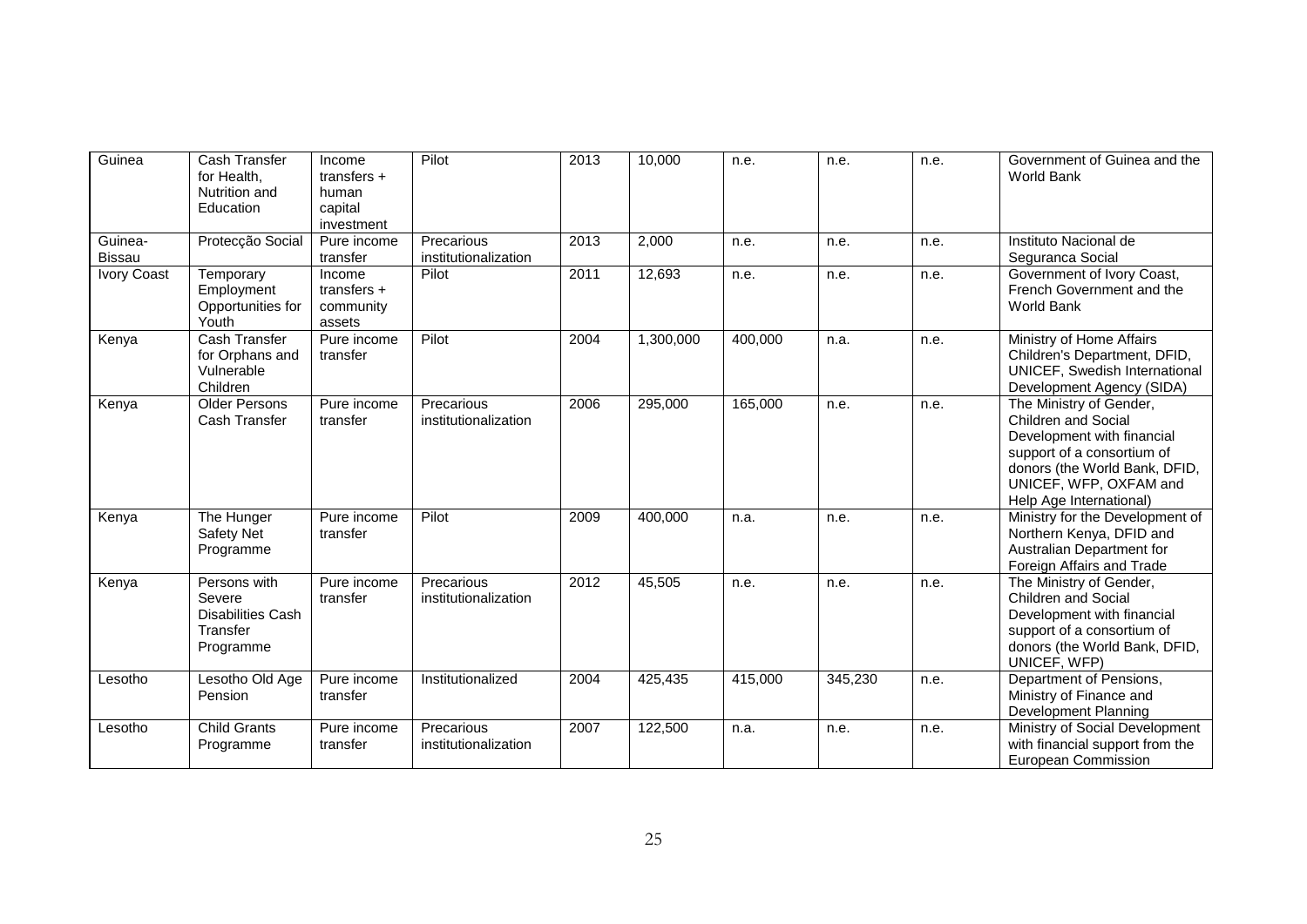| Guinea                   | Cash Transfer<br>for Health,<br>Nutrition and<br>Education                  | Income<br>transfers $+$<br>human<br>capital<br>investment | Pilot                              | 2013 | 10,000    | n.e.    | n.e.    | n.e. | Government of Guinea and the<br>World Bank                                                                                                                                                              |
|--------------------------|-----------------------------------------------------------------------------|-----------------------------------------------------------|------------------------------------|------|-----------|---------|---------|------|---------------------------------------------------------------------------------------------------------------------------------------------------------------------------------------------------------|
| Guinea-<br><b>Bissau</b> | Protecção Social                                                            | Pure income<br>transfer                                   | Precarious<br>institutionalization | 2013 | 2,000     | n.e.    | n.e.    | n.e. | Instituto Nacional de<br>Seguranca Social                                                                                                                                                               |
| Ivory Coast              | Temporary<br>Employment<br>Opportunities for<br>Youth                       | Income<br>transfers $+$<br>community<br>assets            | Pilot                              | 2011 | 12,693    | n.e.    | n.e.    | n.e. | Government of Ivory Coast,<br>French Government and the<br><b>World Bank</b>                                                                                                                            |
| Kenya                    | Cash Transfer<br>for Orphans and<br>Vulnerable<br>Children                  | Pure income<br>transfer                                   | Pilot                              | 2004 | 1,300,000 | 400,000 | n.a.    | n.e. | Ministry of Home Affairs<br>Children's Department, DFID,<br>UNICEF, Swedish International<br>Development Agency (SIDA)                                                                                  |
| Kenya                    | <b>Older Persons</b><br>Cash Transfer                                       | Pure income<br>transfer                                   | Precarious<br>institutionalization | 2006 | 295,000   | 165,000 | n.e.    | n.e. | The Ministry of Gender,<br><b>Children and Social</b><br>Development with financial<br>support of a consortium of<br>donors (the World Bank, DFID,<br>UNICEF, WFP, OXFAM and<br>Help Age International) |
| Kenya                    | The Hunger<br>Safety Net<br>Programme                                       | Pure income<br>transfer                                   | Pilot                              | 2009 | 400,000   | n.a.    | n.e.    | n.e. | Ministry for the Development of<br>Northern Kenya, DFID and<br>Australian Department for<br>Foreign Affairs and Trade                                                                                   |
| Kenya                    | Persons with<br>Severe<br><b>Disabilities Cash</b><br>Transfer<br>Programme | Pure income<br>transfer                                   | Precarious<br>institutionalization | 2012 | 45,505    | n.e.    | n.e.    | n.e. | The Ministry of Gender,<br><b>Children and Social</b><br>Development with financial<br>support of a consortium of<br>donors (the World Bank, DFID,<br>UNICEF, WFP)                                      |
| Lesotho                  | Lesotho Old Age<br>Pension                                                  | Pure income<br>transfer                                   | Institutionalized                  | 2004 | 425,435   | 415,000 | 345,230 | n.e. | Department of Pensions,<br>Ministry of Finance and<br>Development Planning                                                                                                                              |
| Lesotho                  | <b>Child Grants</b><br>Programme                                            | Pure income<br>transfer                                   | Precarious<br>institutionalization | 2007 | 122,500   | n.a.    | n.e.    | n.e. | Ministry of Social Development<br>with financial support from the<br>European Commission                                                                                                                |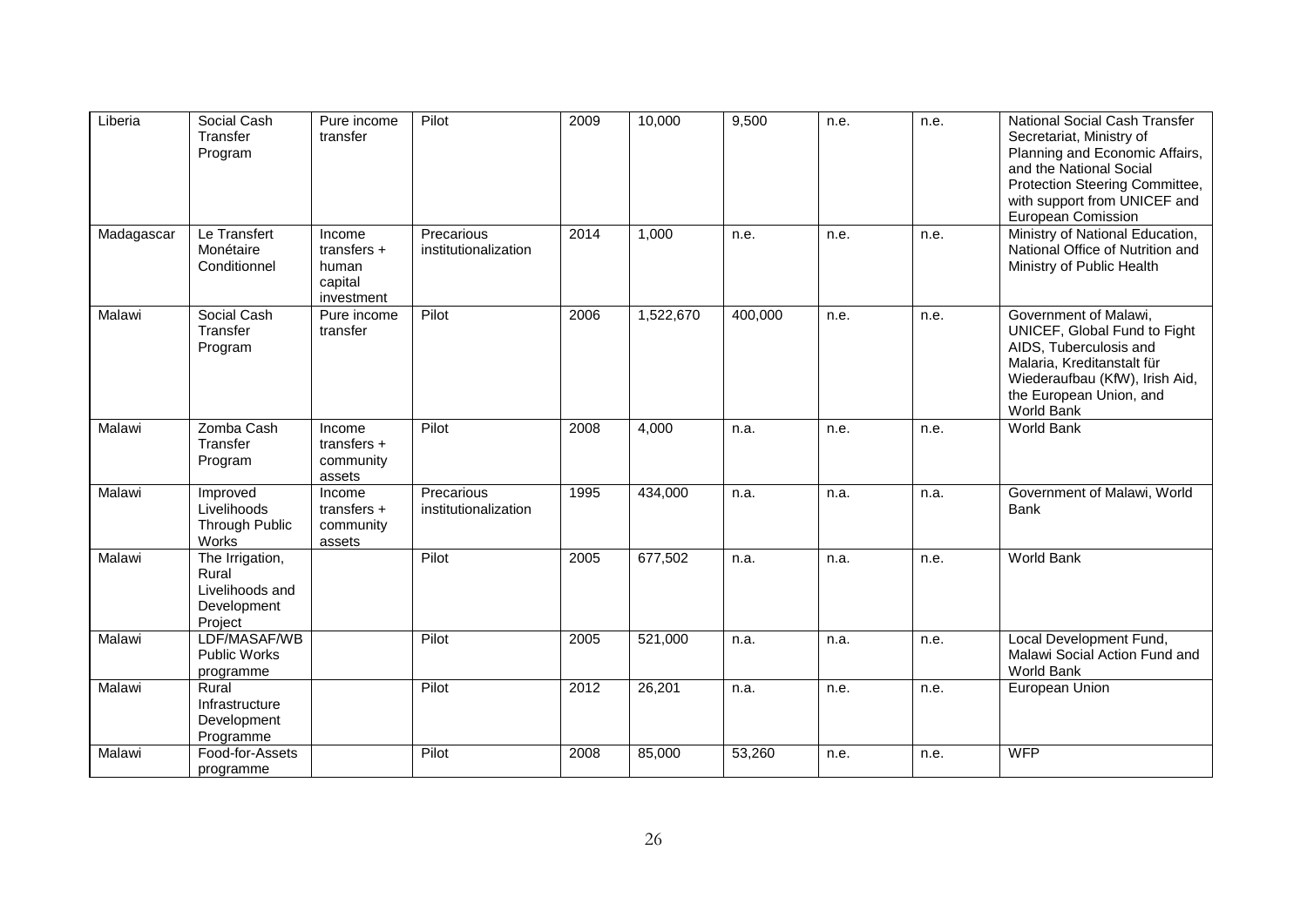| Liberia    | Social Cash<br>Transfer<br>Program                                    | Pure income<br>transfer                                   | Pilot                              | 2009 | 10,000    | 9,500   | n.e. | n.e. | <b>National Social Cash Transfer</b><br>Secretariat, Ministry of<br>Planning and Economic Affairs,<br>and the National Social<br>Protection Steering Committee,<br>with support from UNICEF and<br>European Comission |
|------------|-----------------------------------------------------------------------|-----------------------------------------------------------|------------------------------------|------|-----------|---------|------|------|-----------------------------------------------------------------------------------------------------------------------------------------------------------------------------------------------------------------------|
| Madagascar | Le Transfert<br>Monétaire<br>Conditionnel                             | Income<br>transfers $+$<br>human<br>capital<br>investment | Precarious<br>institutionalization | 2014 | 1,000     | n.e.    | n.e. | n.e. | Ministry of National Education,<br>National Office of Nutrition and<br>Ministry of Public Health                                                                                                                      |
| Malawi     | Social Cash<br>Transfer<br>Program                                    | Pure income<br>transfer                                   | Pilot                              | 2006 | 1,522,670 | 400,000 | n.e. | n.e. | Government of Malawi,<br>UNICEF, Global Fund to Fight<br>AIDS, Tuberculosis and<br>Malaria, Kreditanstalt für<br>Wiederaufbau (KfW), Irish Aid,<br>the European Union, and<br>World Bank                              |
| Malawi     | Zomba Cash<br>Transfer<br>Program                                     | Income<br>transfers $+$<br>community<br>assets            | Pilot                              | 2008 | 4,000     | n.a.    | n.e. | n.e. | World Bank                                                                                                                                                                                                            |
| Malawi     | Improved<br>Livelihoods<br><b>Through Public</b><br>Works             | Income<br>transfers $+$<br>community<br>assets            | Precarious<br>institutionalization | 1995 | 434,000   | n.a.    | n.a. | n.a. | Government of Malawi, World<br><b>Bank</b>                                                                                                                                                                            |
| Malawi     | The Irrigation,<br>Rural<br>Livelihoods and<br>Development<br>Project |                                                           | Pilot                              | 2005 | 677,502   | n.a.    | n.a. | n.e. | World Bank                                                                                                                                                                                                            |
| Malawi     | LDF/MASAF/WB<br><b>Public Works</b><br>programme                      |                                                           | Pilot                              | 2005 | 521,000   | n.a.    | n.a. | n.e. | Local Development Fund,<br>Malawi Social Action Fund and<br>World Bank                                                                                                                                                |
| Malawi     | Rural<br>Infrastructure<br>Development<br>Programme                   |                                                           | Pilot                              | 2012 | 26,201    | n.a.    | n.e. | n.e. | European Union                                                                                                                                                                                                        |
| Malawi     | Food-for-Assets<br>programme                                          |                                                           | Pilot                              | 2008 | 85,000    | 53,260  | n.e. | n.e. | <b>WFP</b>                                                                                                                                                                                                            |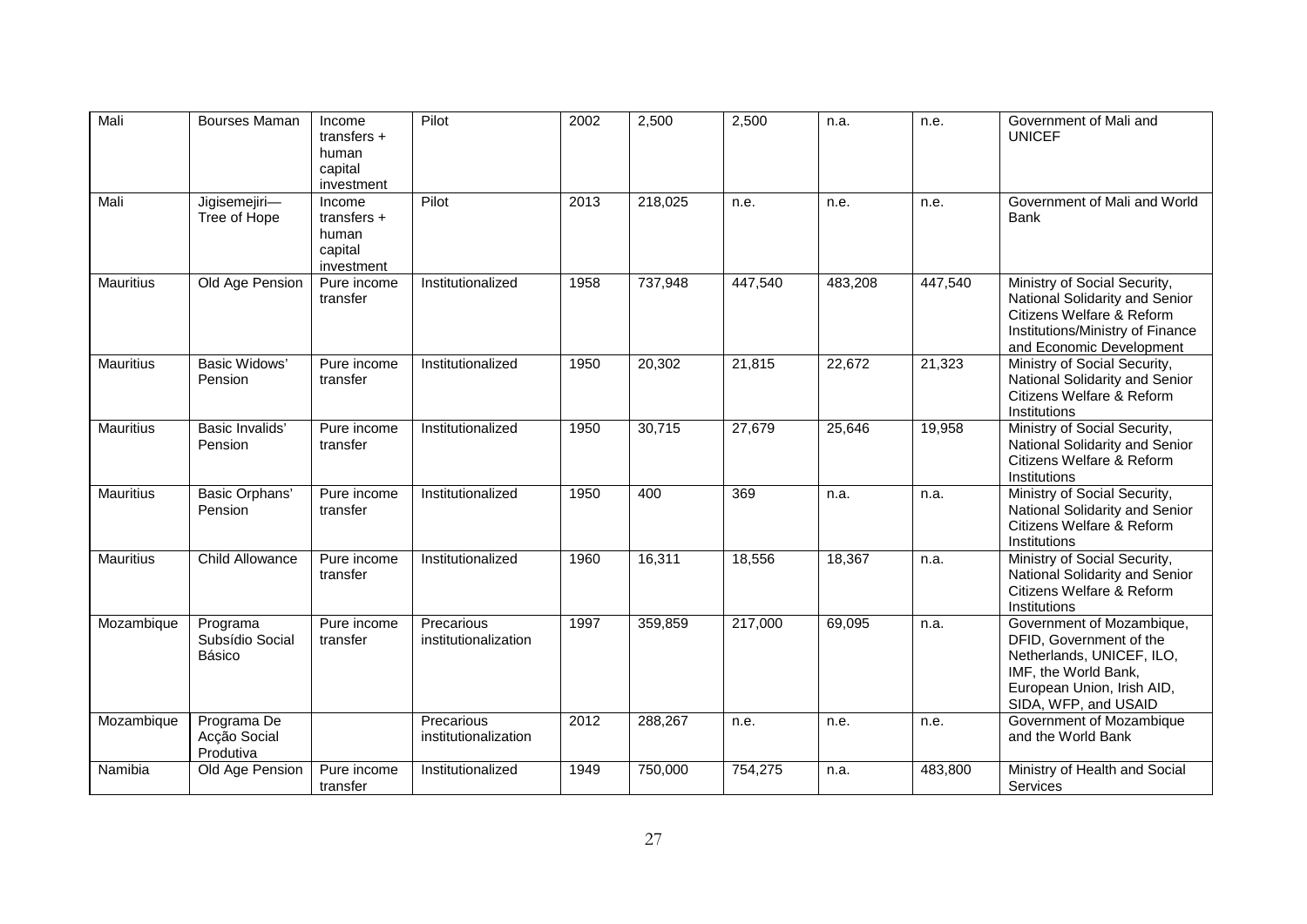| Mali             | <b>Bourses Maman</b>                     | Income<br>transfers $+$<br>human<br>capital<br>investment | Pilot                              | 2002 | 2,500   | 2,500   | n.a.    | n.e.    | Government of Mali and<br><b>UNICEF</b>                                                                                                                         |
|------------------|------------------------------------------|-----------------------------------------------------------|------------------------------------|------|---------|---------|---------|---------|-----------------------------------------------------------------------------------------------------------------------------------------------------------------|
| Mali             | Jigisemejiri-<br>Tree of Hope            | Income<br>transfers $+$<br>human<br>capital<br>investment | Pilot                              | 2013 | 218,025 | n.e.    | n.e.    | n.e.    | Government of Mali and World<br><b>Bank</b>                                                                                                                     |
| <b>Mauritius</b> | Old Age Pension                          | Pure income<br>transfer                                   | Institutionalized                  | 1958 | 737,948 | 447,540 | 483,208 | 447,540 | Ministry of Social Security,<br>National Solidarity and Senior<br>Citizens Welfare & Reform<br>Institutions/Ministry of Finance<br>and Economic Development     |
| <b>Mauritius</b> | <b>Basic Widows'</b><br>Pension          | Pure income<br>transfer                                   | Institutionalized                  | 1950 | 20,302  | 21,815  | 22,672  | 21,323  | Ministry of Social Security,<br>National Solidarity and Senior<br>Citizens Welfare & Reform<br>Institutions                                                     |
| <b>Mauritius</b> | <b>Basic Invalids'</b><br>Pension        | Pure income<br>transfer                                   | Institutionalized                  | 1950 | 30,715  | 27,679  | 25,646  | 19,958  | Ministry of Social Security,<br>National Solidarity and Senior<br>Citizens Welfare & Reform<br>Institutions                                                     |
| <b>Mauritius</b> | Basic Orphans'<br>Pension                | Pure income<br>transfer                                   | Institutionalized                  | 1950 | 400     | 369     | n.a.    | n.a.    | Ministry of Social Security,<br>National Solidarity and Senior<br>Citizens Welfare & Reform<br>Institutions                                                     |
| <b>Mauritius</b> | <b>Child Allowance</b>                   | Pure income<br>transfer                                   | Institutionalized                  | 1960 | 16,311  | 18,556  | 18,367  | n.a.    | Ministry of Social Security,<br>National Solidarity and Senior<br>Citizens Welfare & Reform<br>Institutions                                                     |
| Mozambique       | Programa<br>Subsídio Social<br>Básico    | Pure income<br>transfer                                   | Precarious<br>institutionalization | 1997 | 359,859 | 217,000 | 69,095  | n.a.    | Government of Mozambique,<br>DFID, Government of the<br>Netherlands, UNICEF, ILO,<br>IMF, the World Bank,<br>European Union, Irish AID,<br>SIDA, WFP, and USAID |
| Mozambique       | Programa De<br>Acção Social<br>Produtiva |                                                           | Precarious<br>institutionalization | 2012 | 288,267 | n.e.    | n.e.    | n.e.    | Government of Mozambique<br>and the World Bank                                                                                                                  |
| Namibia          | Old Age Pension                          | Pure income<br>transfer                                   | Institutionalized                  | 1949 | 750,000 | 754,275 | n.a.    | 483,800 | Ministry of Health and Social<br>Services                                                                                                                       |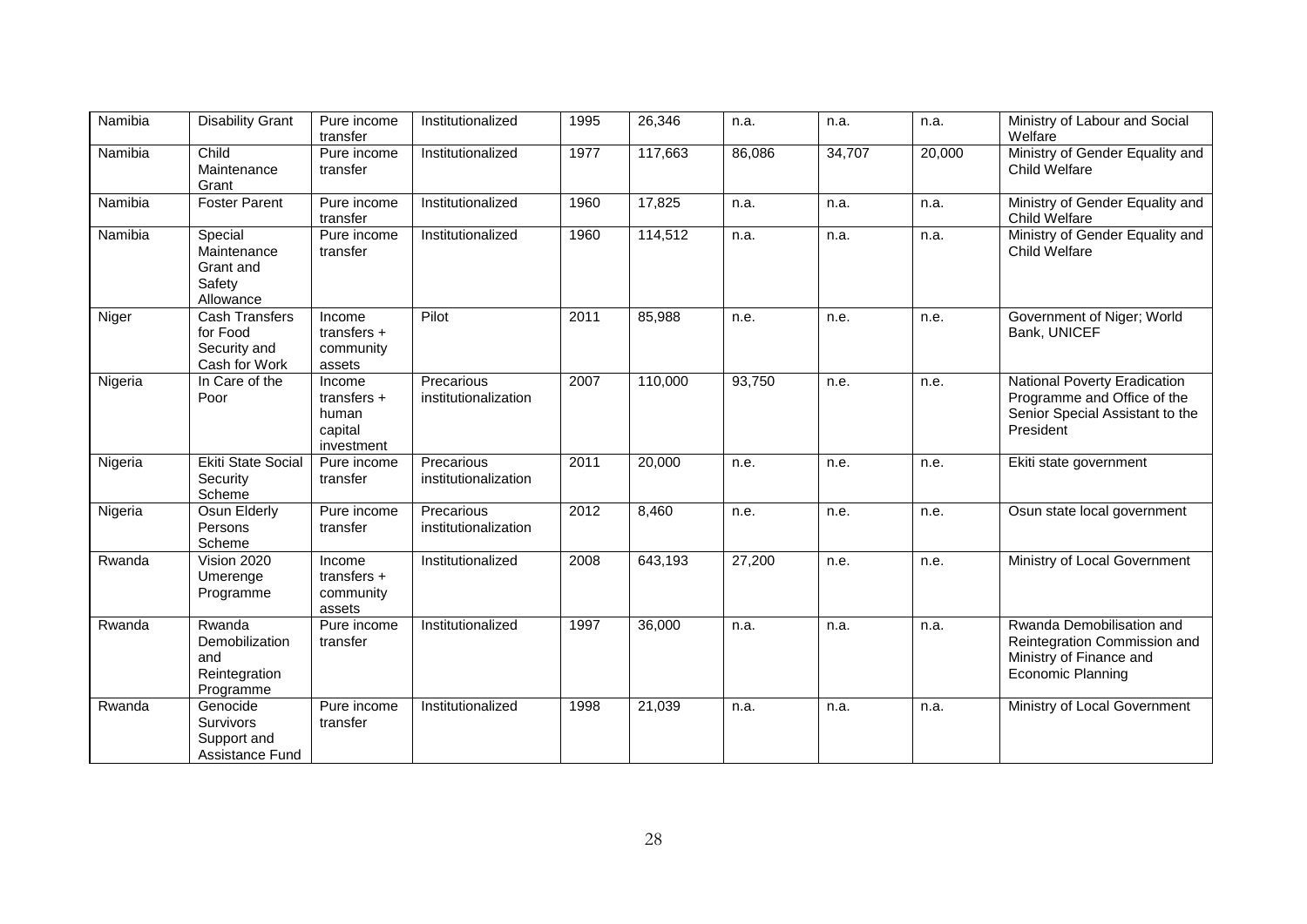| Namibia | <b>Disability Grant</b>                                            | Pure income<br>transfer                                 | Institutionalized                  | 1995 | 26,346  | n.a.   | n.a.   | n.a.   | Ministry of Labour and Social<br>Welfare                                                                         |
|---------|--------------------------------------------------------------------|---------------------------------------------------------|------------------------------------|------|---------|--------|--------|--------|------------------------------------------------------------------------------------------------------------------|
| Namibia | Child<br>Maintenance<br>Grant                                      | Pure income<br>transfer                                 | Institutionalized                  | 1977 | 117,663 | 86,086 | 34,707 | 20,000 | Ministry of Gender Equality and<br>Child Welfare                                                                 |
| Namibia | <b>Foster Parent</b>                                               | Pure income<br>transfer                                 | Institutionalized                  | 1960 | 17,825  | n.a.   | n.a.   | n.a.   | Ministry of Gender Equality and<br><b>Child Welfare</b>                                                          |
| Namibia | Special<br>Maintenance<br>Grant and<br>Safety<br>Allowance         | Pure income<br>transfer                                 | Institutionalized                  | 1960 | 114,512 | n.a.   | n.a.   | n.a.   | Ministry of Gender Equality and<br>Child Welfare                                                                 |
| Niger   | <b>Cash Transfers</b><br>for Food<br>Security and<br>Cash for Work | Income<br>transfers $+$<br>community<br>assets          | Pilot                              | 2011 | 85,988  | n.e.   | n.e.   | n.e.   | Government of Niger; World<br>Bank, UNICEF                                                                       |
| Nigeria | In Care of the<br>Poor                                             | Income<br>transfers +<br>human<br>capital<br>investment | Precarious<br>institutionalization | 2007 | 110,000 | 93,750 | n.e.   | n.e.   | National Poverty Eradication<br>Programme and Office of the<br>Senior Special Assistant to the<br>President      |
| Nigeria | <b>Ekiti State Social</b><br>Security<br>Scheme                    | Pure income<br>transfer                                 | Precarious<br>institutionalization | 2011 | 20,000  | n.e.   | n.e.   | n.e.   | Ekiti state government                                                                                           |
| Nigeria | Osun Elderly<br>Persons<br>Scheme                                  | Pure income<br>transfer                                 | Precarious<br>institutionalization | 2012 | 8,460   | n.e.   | n.e.   | n.e.   | Osun state local government                                                                                      |
| Rwanda  | Vision 2020<br>Umerenge<br>Programme                               | Income<br>transfers $+$<br>community<br>assets          | Institutionalized                  | 2008 | 643,193 | 27,200 | n.e.   | n.e.   | Ministry of Local Government                                                                                     |
| Rwanda  | Rwanda<br>Demobilization<br>and<br>Reintegration<br>Programme      | Pure income<br>transfer                                 | Institutionalized                  | 1997 | 36,000  | n.a.   | n.a.   | n.a.   | Rwanda Demobilisation and<br>Reintegration Commission and<br>Ministry of Finance and<br><b>Economic Planning</b> |
| Rwanda  | Genocide<br>Survivors<br>Support and<br>Assistance Fund            | Pure income<br>transfer                                 | Institutionalized                  | 1998 | 21,039  | n.a.   | n.a.   | n.a.   | Ministry of Local Government                                                                                     |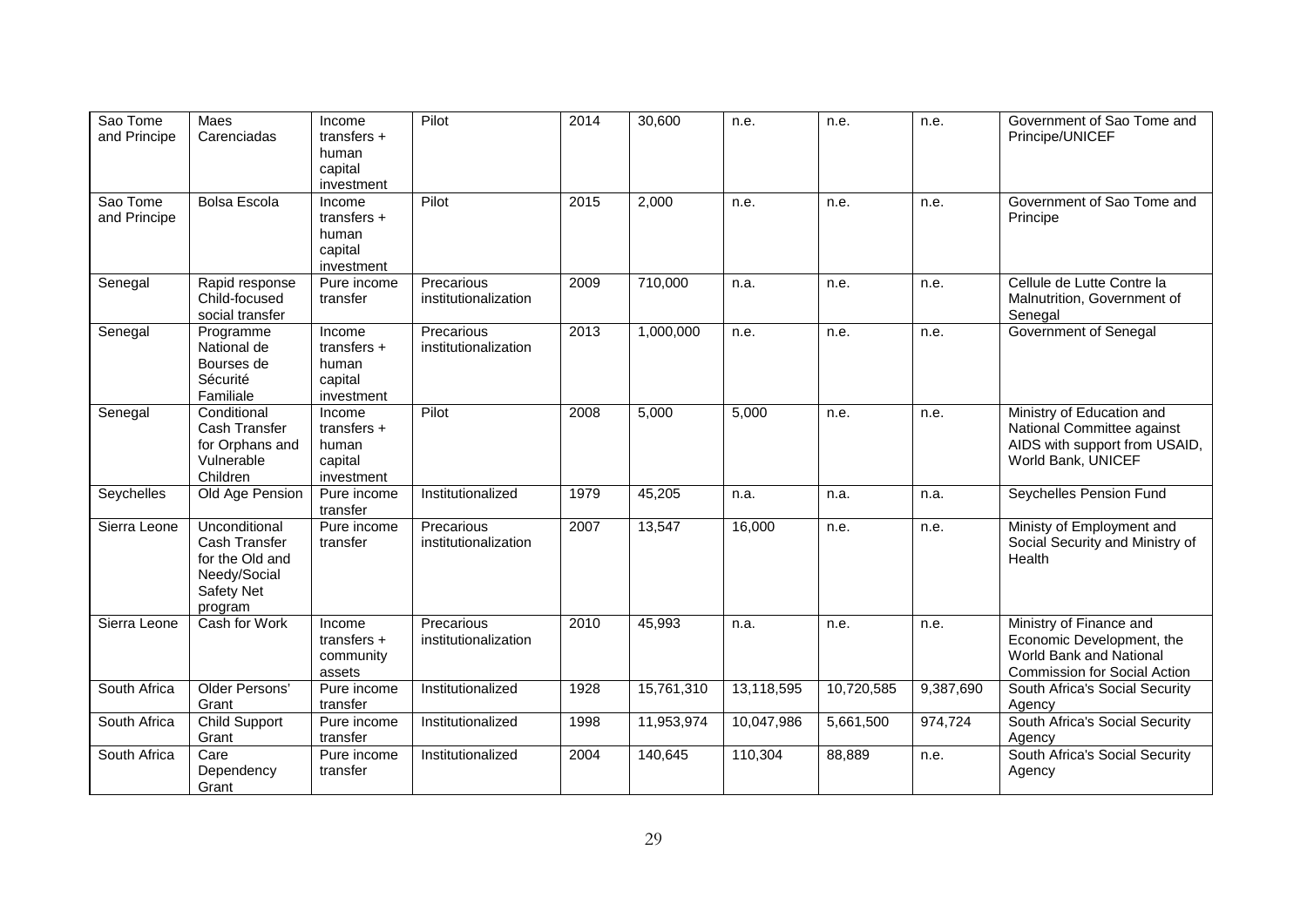| Sao Tome<br>and Principe | <b>Maes</b><br>Carenciadas                                                                        | Income<br>transfers $+$<br>human<br>capital<br>investment | Pilot                              | 2014 | 30,600     | n.e.       | n.e.       | n.e.      | Government of Sao Tome and<br>Principe/UNICEF                                                                          |
|--------------------------|---------------------------------------------------------------------------------------------------|-----------------------------------------------------------|------------------------------------|------|------------|------------|------------|-----------|------------------------------------------------------------------------------------------------------------------------|
| Sao Tome<br>and Principe | Bolsa Escola                                                                                      | Income<br>transfers +<br>human<br>capital<br>investment   | Pilot                              | 2015 | 2,000      | n.e.       | n.e.       | n.e.      | Government of Sao Tome and<br>Principe                                                                                 |
| Senegal                  | Rapid response<br>Child-focused<br>social transfer                                                | Pure income<br>transfer                                   | Precarious<br>institutionalization | 2009 | 710,000    | n.a.       | n.e.       | n.e.      | Cellule de Lutte Contre la<br>Malnutrition, Government of<br>Senegal                                                   |
| Senegal                  | Programme<br>National de<br>Bourses de<br>Sécurité<br>Familiale                                   | Income<br>transfers $+$<br>human<br>capital<br>investment | Precarious<br>institutionalization | 2013 | 1,000,000  | n.e.       | n.e.       | n.e.      | Government of Senegal                                                                                                  |
| Senegal                  | Conditional<br>Cash Transfer<br>for Orphans and<br>Vulnerable<br>Children                         | Income<br>transfers $+$<br>human<br>capital<br>investment | Pilot                              | 2008 | 5,000      | 5,000      | n.e.       | n.e.      | Ministry of Education and<br>National Committee against<br>AIDS with support from USAID,<br>World Bank, UNICEF         |
| Seychelles               | Old Age Pension                                                                                   | Pure income<br>transfer                                   | Institutionalized                  | 1979 | 45,205     | n.a.       | n.a.       | n.a.      | Seychelles Pension Fund                                                                                                |
| Sierra Leone             | Unconditional<br>Cash Transfer<br>for the Old and<br>Needy/Social<br><b>Safety Net</b><br>program | Pure income<br>transfer                                   | Precarious<br>institutionalization | 2007 | 13,547     | 16,000     | n.e.       | n.e.      | Ministy of Employment and<br>Social Security and Ministry of<br>Health                                                 |
| Sierra Leone             | Cash for Work                                                                                     | Income<br>transfers $+$<br>community<br>assets            | Precarious<br>institutionalization | 2010 | 45,993     | n.a.       | n.e.       | n.e.      | Ministry of Finance and<br>Economic Development, the<br>World Bank and National<br><b>Commission for Social Action</b> |
| South Africa             | Older Persons'<br>Grant                                                                           | Pure income<br>transfer                                   | Institutionalized                  | 1928 | 15,761,310 | 13,118,595 | 10,720,585 | 9,387,690 | South Africa's Social Security<br>Agency                                                                               |
| South Africa             | <b>Child Support</b><br>Grant                                                                     | Pure income<br>transfer                                   | Institutionalized                  | 1998 | 11,953,974 | 10,047,986 | 5,661,500  | 974,724   | South Africa's Social Security<br>Agency                                                                               |
| South Africa             | Care<br>Dependency<br>Grant                                                                       | Pure income<br>transfer                                   | Institutionalized                  | 2004 | 140,645    | 110,304    | 88,889     | n.e.      | South Africa's Social Security<br>Agency                                                                               |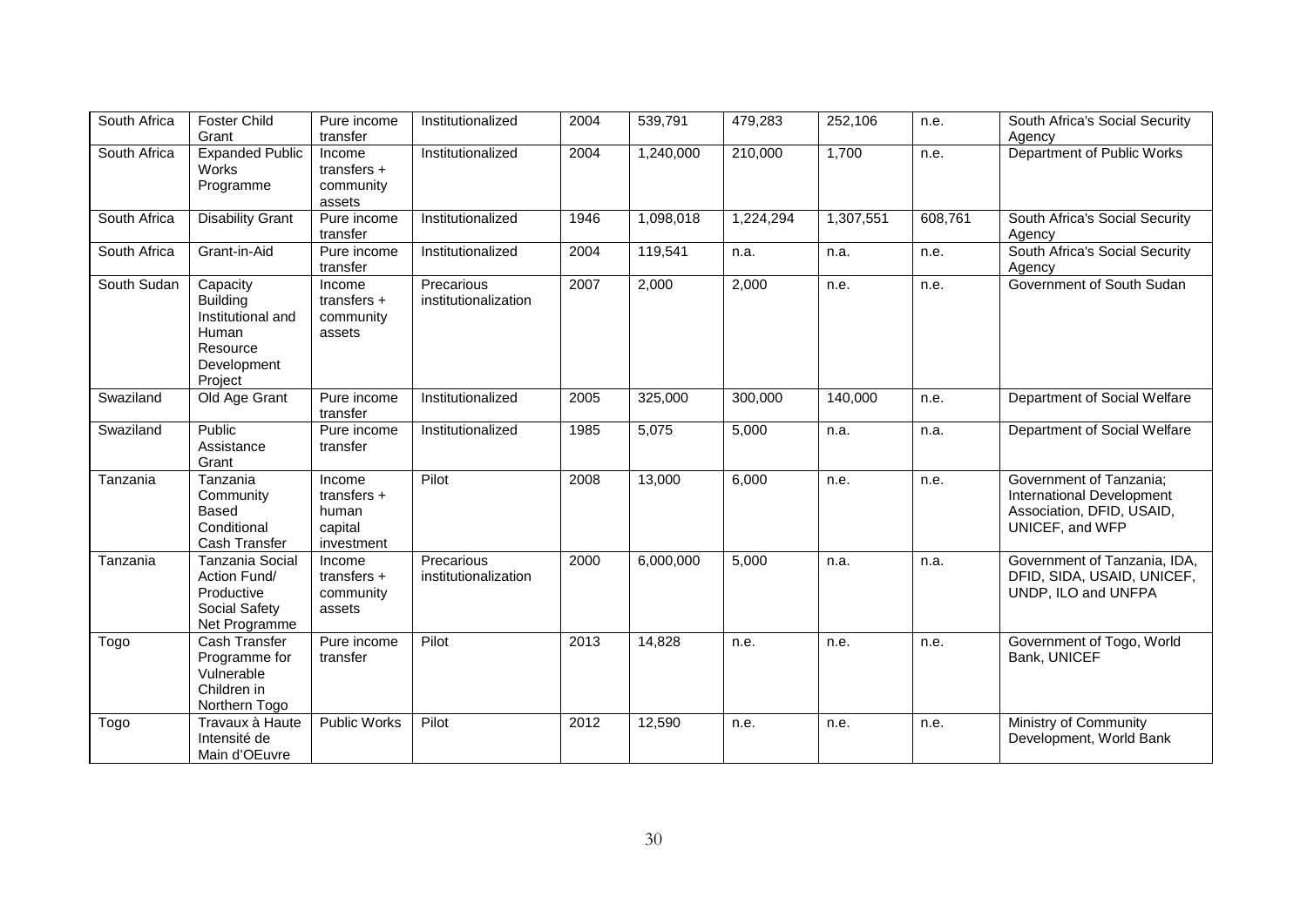| South Africa | <b>Foster Child</b><br>Grant                                                                    | Pure income<br>transfer                                   | Institutionalized                  | 2004 | 539,791   | 479,283   | 252,106   | n.e.    | South Africa's Social Security<br>Agency                                                             |
|--------------|-------------------------------------------------------------------------------------------------|-----------------------------------------------------------|------------------------------------|------|-----------|-----------|-----------|---------|------------------------------------------------------------------------------------------------------|
| South Africa | <b>Expanded Public</b><br>Works<br>Programme                                                    | Income<br>transfers $+$<br>community<br>assets            | Institutionalized                  | 2004 | 1,240,000 | 210,000   | 1,700     | n.e.    | Department of Public Works                                                                           |
| South Africa | <b>Disability Grant</b>                                                                         | Pure income<br>transfer                                   | Institutionalized                  | 1946 | 1,098,018 | 1,224,294 | 1,307,551 | 608,761 | South Africa's Social Security<br>Agency                                                             |
| South Africa | Grant-in-Aid                                                                                    | Pure income<br>transfer                                   | Institutionalized                  | 2004 | 119,541   | n.a.      | n.a.      | n.e.    | South Africa's Social Security<br>Agency                                                             |
| South Sudan  | Capacity<br><b>Building</b><br>Institutional and<br>Human<br>Resource<br>Development<br>Project | Income<br>transfers $+$<br>community<br>assets            | Precarious<br>institutionalization | 2007 | 2,000     | 2,000     | n.e.      | n.e.    | Government of South Sudan                                                                            |
| Swaziland    | Old Age Grant                                                                                   | Pure income<br>transfer                                   | Institutionalized                  | 2005 | 325,000   | 300,000   | 140,000   | n.e.    | Department of Social Welfare                                                                         |
| Swaziland    | Public<br>Assistance<br>Grant                                                                   | Pure income<br>transfer                                   | Institutionalized                  | 1985 | 5,075     | 5,000     | n.a.      | n.a.    | Department of Social Welfare                                                                         |
| Tanzania     | Tanzania<br>Community<br><b>Based</b><br>Conditional<br>Cash Transfer                           | Income<br>transfers $+$<br>human<br>capital<br>investment | Pilot                              | 2008 | 13,000    | 6,000     | n.e.      | n.e.    | Government of Tanzania;<br>International Development<br>Association, DFID, USAID,<br>UNICEF, and WFP |
| Tanzania     | <b>Tanzania Social</b><br>Action Fund/<br>Productive<br>Social Safety<br>Net Programme          | Income<br>transfers $+$<br>community<br>assets            | Precarious<br>institutionalization | 2000 | 6,000,000 | 5,000     | n.a.      | n.a.    | Government of Tanzania, IDA,<br>DFID, SIDA, USAID, UNICEF,<br>UNDP, ILO and UNFPA                    |
| Togo         | Cash Transfer<br>Programme for<br>Vulnerable<br>Children in<br>Northern Togo                    | Pure income<br>transfer                                   | Pilot                              | 2013 | 14,828    | n.e.      | n.e.      | n.e.    | Government of Togo, World<br>Bank, UNICEF                                                            |
| Togo         | Travaux à Haute<br>Intensité de<br>Main d'OEuvre                                                | <b>Public Works</b>                                       | Pilot                              | 2012 | 12,590    | n.e.      | n.e.      | n.e.    | Ministry of Community<br>Development, World Bank                                                     |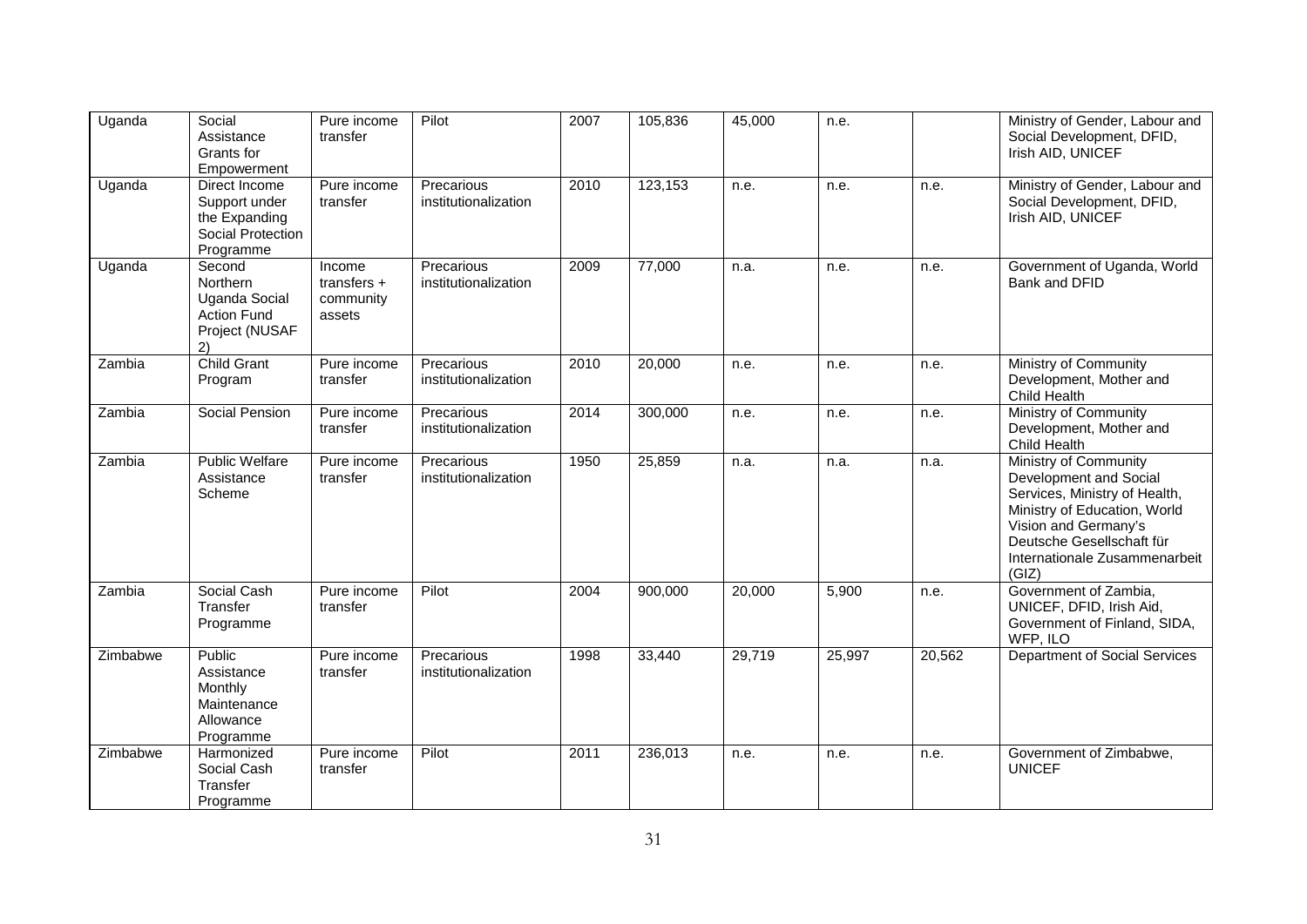| Uganda   | Social<br>Assistance<br>Grants for<br>Empowerment                                 | Pure income<br>transfer                        | Pilot                              | 2007 | 105,836 | 45,000 | n.e.   |        | Ministry of Gender, Labour and<br>Social Development, DFID,<br>Irish AID, UNICEF                                                                                                                                |
|----------|-----------------------------------------------------------------------------------|------------------------------------------------|------------------------------------|------|---------|--------|--------|--------|-----------------------------------------------------------------------------------------------------------------------------------------------------------------------------------------------------------------|
| Uganda   | Direct Income<br>Support under<br>the Expanding<br>Social Protection<br>Programme | Pure income<br>transfer                        | Precarious<br>institutionalization | 2010 | 123,153 | n.e.   | n.e.   | n.e.   | Ministry of Gender, Labour and<br>Social Development, DFID,<br>Irish AID, UNICEF                                                                                                                                |
| Uganda   | Second<br>Northern<br>Uganda Social<br><b>Action Fund</b><br>Project (NUSAF<br>2) | Income<br>transfers $+$<br>community<br>assets | Precarious<br>institutionalization | 2009 | 77,000  | n.a.   | n.e.   | n.e.   | Government of Uganda, World<br>Bank and DFID                                                                                                                                                                    |
| Zambia   | <b>Child Grant</b><br>Program                                                     | Pure income<br>transfer                        | Precarious<br>institutionalization | 2010 | 20,000  | n.e.   | n.e.   | n.e.   | Ministry of Community<br>Development, Mother and<br>Child Health                                                                                                                                                |
| Zambia   | Social Pension                                                                    | Pure income<br>transfer                        | Precarious<br>institutionalization | 2014 | 300,000 | n.e.   | n.e.   | n.e.   | Ministry of Community<br>Development, Mother and<br>Child Health                                                                                                                                                |
| Zambia   | <b>Public Welfare</b><br>Assistance<br>Scheme                                     | Pure income<br>transfer                        | Precarious<br>institutionalization | 1950 | 25,859  | n.a.   | n.a.   | n.a.   | Ministry of Community<br>Development and Social<br>Services, Ministry of Health,<br>Ministry of Education, World<br>Vision and Germany's<br>Deutsche Gesellschaft für<br>Internationale Zusammenarbeit<br>(GIZ) |
| Zambia   | Social Cash<br>Transfer<br>Programme                                              | Pure income<br>transfer                        | Pilot                              | 2004 | 900,000 | 20,000 | 5,900  | n.e.   | Government of Zambia,<br>UNICEF, DFID, Irish Aid,<br>Government of Finland, SIDA,<br>WFP, ILO                                                                                                                   |
| Zimbabwe | Public<br>Assistance<br>Monthly<br>Maintenance<br>Allowance<br>Programme          | Pure income<br>transfer                        | Precarious<br>institutionalization | 1998 | 33,440  | 29,719 | 25,997 | 20,562 | Department of Social Services                                                                                                                                                                                   |
| Zimbabwe | Harmonized<br>Social Cash<br>Transfer<br>Programme                                | Pure income<br>transfer                        | Pilot                              | 2011 | 236,013 | n.e.   | n.e.   | n.e.   | Government of Zimbabwe,<br><b>UNICEF</b>                                                                                                                                                                        |